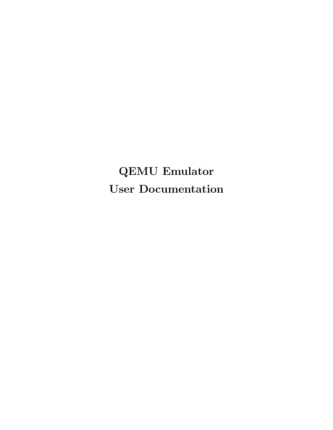QEMU Emulator User Documentation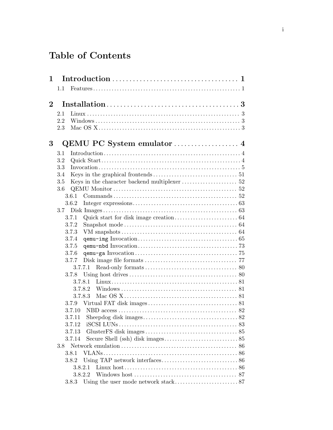# Table of Contents

| $\mathbf{1}$ |                |  |
|--------------|----------------|--|
|              | 1.1            |  |
| $\bf{2}$     |                |  |
|              | 2.1            |  |
|              | 2.2            |  |
|              | 2.3            |  |
| 3            |                |  |
|              | 3.1            |  |
|              | 3.2            |  |
|              | 3.3            |  |
|              | 3.4            |  |
|              | 3.5            |  |
|              | 3.6            |  |
|              | 3.6.1          |  |
|              | 3.6.2          |  |
|              | $3.7\,$        |  |
|              | 3.7.1          |  |
|              | 3.7.2          |  |
|              | 3.7.3          |  |
|              | 3.7.4<br>3.7.5 |  |
|              | 3.7.6          |  |
|              | 3.7.7          |  |
|              | 3.7.7.1        |  |
|              | 3.7.8          |  |
|              |                |  |
|              | 3.7.8.2        |  |
|              | 3.7.8.3        |  |
|              | 3.7.9          |  |
|              | 3.7.10         |  |
|              |                |  |
|              | 3.7.12         |  |
|              | 3.7.13         |  |
|              | 3.7.14         |  |
|              | 3.8            |  |
|              | 3.8.1          |  |
|              | 3.8.2          |  |
|              | 3.8.2.1        |  |
|              | 3.8.2.2        |  |
|              |                |  |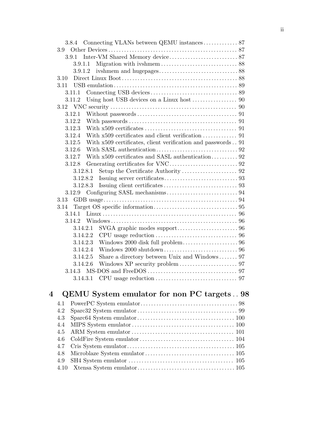| 3.9      |                                                                                |  |
|----------|--------------------------------------------------------------------------------|--|
| 3.9.1    |                                                                                |  |
| 3.9.1.1  |                                                                                |  |
|          | 3.9.1.2                                                                        |  |
| 3.10     |                                                                                |  |
| 3.11     |                                                                                |  |
| 3.11.1   |                                                                                |  |
| 3.11.2   | Using host USB devices on a Linux host $\ldots \ldots \ldots \ldots \ldots$ 90 |  |
|          |                                                                                |  |
| 3.12.1   |                                                                                |  |
| 3.12.2   |                                                                                |  |
| 3.12.3   |                                                                                |  |
| 3.12.4   |                                                                                |  |
| 3.12.5   | With x509 certificates, client verification and passwords . 91                 |  |
| 3.12.6   |                                                                                |  |
| 3.12.7   |                                                                                |  |
| 3.12.8   |                                                                                |  |
|          | 3.12.8.1                                                                       |  |
|          |                                                                                |  |
|          |                                                                                |  |
| 3.12.9   |                                                                                |  |
| 3.13     |                                                                                |  |
| 3.14     |                                                                                |  |
| 3.14.1   |                                                                                |  |
| 3.14.2   |                                                                                |  |
| 3.14.2.1 |                                                                                |  |
| 3.14.2.2 |                                                                                |  |
| 3.14.2.3 |                                                                                |  |
| 3.14.2.4 |                                                                                |  |
| 3.14.2.5 | Share a directory between Unix and Windows  97                                 |  |
| 3.14.2.6 |                                                                                |  |
|          |                                                                                |  |
| 3.14.3.1 |                                                                                |  |
|          |                                                                                |  |

# 4 QEMU System emulator for non PC targets . . [98](#page-101-0)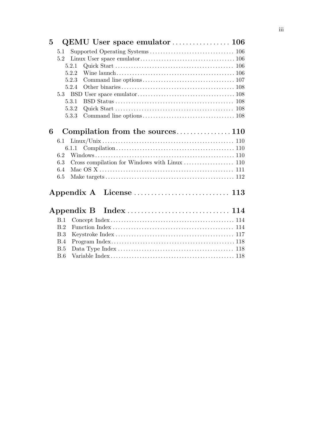| 5 |       |  |
|---|-------|--|
|   | 5.1   |  |
|   | 5.2   |  |
|   | 5.2.1 |  |
|   | 5.2.2 |  |
|   | 5.2.3 |  |
|   | 5.2.4 |  |
|   |       |  |
|   | 5.3.1 |  |
|   | 5.3.2 |  |
|   | 5.3.3 |  |
| 6 |       |  |
|   |       |  |
|   | 6.1   |  |
|   | 6.2   |  |
|   | 6.3   |  |
|   | 6.4   |  |
|   | 6.5   |  |
|   |       |  |
|   |       |  |
|   |       |  |
|   | B.1   |  |
|   | B.2   |  |
|   | B.3   |  |
|   | B.4   |  |
|   | B.5   |  |
|   | B.6   |  |
|   |       |  |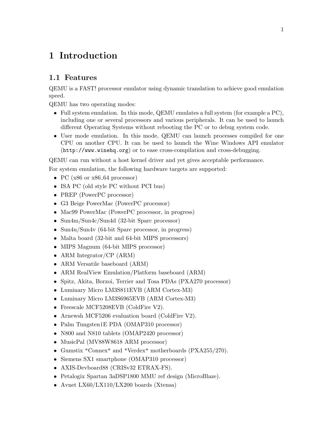# <span id="page-4-0"></span>1 Introduction

# 1.1 Features

QEMU is a FAST! processor emulator using dynamic translation to achieve good emulation speed.

QEMU has two operating modes:

- Full system emulation. In this mode, QEMU emulates a full system (for example a PC), including one or several processors and various peripherals. It can be used to launch different Operating Systems without rebooting the PC or to debug system code.
- User mode emulation. In this mode, QEMU can launch processes compiled for one CPU on another CPU. It can be used to launch the Wine Windows API emulator (<http://www.winehq.org>) or to ease cross-compilation and cross-debugging.

QEMU can run without a host kernel driver and yet gives acceptable performance.

For system emulation, the following hardware targets are supported:

- PC ( $x86$  or  $x86-64$  processor)
- ISA PC (old style PC without PCI bus)
- PREP (PowerPC processor)
- G3 Beige PowerMac (PowerPC processor)
- Mac99 PowerMac (PowerPC processor, in progress)
- Sun4m/Sun4c/Sun4d (32-bit Sparc processor)
- Sun4u/Sun4v (64-bit Sparc processor, in progress)
- Malta board (32-bit and 64-bit MIPS processors)
- MIPS Magnum (64-bit MIPS processor)
- ARM Integrator/CP (ARM)
- ARM Versatile baseboard (ARM)
- ARM RealView Emulation/Platform baseboard (ARM)
- Spitz, Akita, Borzoi, Terrier and Tosa PDAs (PXA270 processor)
- Luminary Micro LM3S811EVB (ARM Cortex-M3)
- Luminary Micro LM3S6965EVB (ARM Cortex-M3)
- Freescale MCF5208EVB (ColdFire V2).
- Arnewsh MCF5206 evaluation board (ColdFire V2).
- Palm Tungsten E PDA (OMAP310 processor)
- N800 and N810 tablets (OMAP2420 processor)
- MusicPal (MV88W8618 ARM processor)
- Gumstix "Connex" and "Verdex" motherboards (PXA255/270).
- Siemens SX1 smartphone (OMAP310 processor)
- AXIS-Devboard88 (CRISv32 ETRAX-FS).
- Petalogix Spartan 3aDSP1800 MMU ref design (MicroBlaze).
- Avnet LX60/LX110/LX200 boards (Xtensa)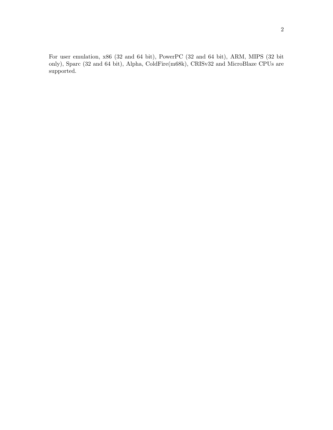For user emulation, x86 (32 and 64 bit), PowerPC (32 and 64 bit), ARM, MIPS (32 bit only), Sparc (32 and 64 bit), Alpha, ColdFire(m68k), CRISv32 and MicroBlaze CPUs are supported.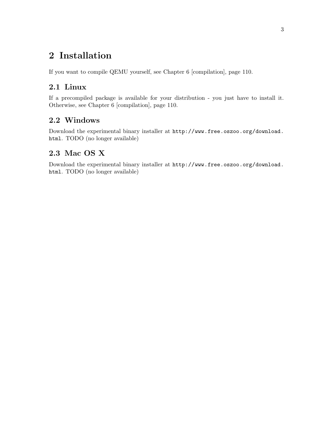# <span id="page-6-0"></span>2 Installation

If you want to compile QEMU yourself, see [Chapter 6 \[compilation\], page 110](#page-113-0).

# 2.1 Linux

If a precompiled package is available for your distribution - you just have to install it. Otherwise, see [Chapter 6 \[compilation\], page 110](#page-113-0).

# 2.2 Windows

Download the experimental binary installer at [http://www.free.oszoo.org/download.](http://www.free.oszoo.org/download.html) [html](http://www.free.oszoo.org/download.html). TODO (no longer available)

# 2.3 Mac OS X

Download the experimental binary installer at [http://www.free.oszoo.org/download.](http://www.free.oszoo.org/download.html) [html](http://www.free.oszoo.org/download.html). TODO (no longer available)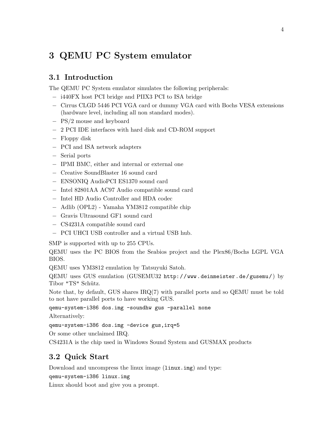# <span id="page-7-0"></span>3 QEMU PC System emulator

# 3.1 Introduction

The QEMU PC System emulator simulates the following peripherals:

- − i440FX host PCI bridge and PIIX3 PCI to ISA bridge
- − Cirrus CLGD 5446 PCI VGA card or dummy VGA card with Bochs VESA extensions (hardware level, including all non standard modes).
- − PS/2 mouse and keyboard
- − 2 PCI IDE interfaces with hard disk and CD-ROM support
- − Floppy disk
- − PCI and ISA network adapters
- − Serial ports
- − IPMI BMC, either and internal or external one
- − Creative SoundBlaster 16 sound card
- − ENSONIQ AudioPCI ES1370 sound card
- − Intel 82801AA AC97 Audio compatible sound card
- − Intel HD Audio Controller and HDA codec
- − Adlib (OPL2) Yamaha YM3812 compatible chip
- − Gravis Ultrasound GF1 sound card
- − CS4231A compatible sound card
- − PCI UHCI USB controller and a virtual USB hub.

SMP is supported with up to 255 CPUs.

QEMU uses the PC BIOS from the Seabios project and the Plex86/Bochs LGPL VGA BIOS.

QEMU uses YM3812 emulation by Tatsuyuki Satoh.

QEMU uses GUS emulation (GUSEMU32 <http://www.deinmeister.de/gusemu/>) by Tibor "TS" Schütz.

Note that, by default, GUS shares IRQ(7) with parallel ports and so QEMU must be told to not have parallel ports to have working GUS.

qemu-system-i386 dos.img -soundhw gus -parallel none Alternatively:

qemu-system-i386 dos.img -device gus,irq=5

Or some other unclaimed IRQ.

CS4231A is the chip used in Windows Sound System and GUSMAX products

# 3.2 Quick Start

Download and uncompress the linux image (linux.img) and type:

```
qemu-system-i386 linux.img
```
Linux should boot and give you a prompt.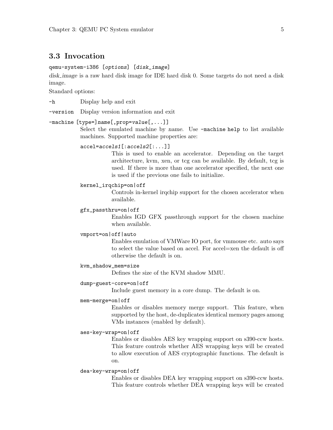# <span id="page-8-0"></span>3.3 Invocation

# qemu-system-i386 [options] [disk\_image]

disk image is a raw hard disk image for IDE hard disk 0. Some targets do not need a disk image.

Standard options:

-h Display help and exit

-version Display version information and exit

# -machine [type=]name[,prop=value[,...]]

Select the emulated machine by name. Use -machine help to list available machines. Supported machine properties are:

# accel=accels1[:accels2[:...]]

This is used to enable an accelerator. Depending on the target architecture, kvm, xen, or tcg can be available. By default, tcg is used. If there is more than one accelerator specified, the next one is used if the previous one fails to initialize.

# kernel\_irqchip=on|off

Controls in-kernel irqchip support for the chosen accelerator when available.

#### gfx\_passthru=on|off

Enables IGD GFX passthrough support for the chosen machine when available.

# vmport=on|off|auto

Enables emulation of VMWare IO port, for vmmouse etc. auto says to select the value based on accel. For accel=xen the default is off otherwise the default is on.

# kvm\_shadow\_mem=size

Defines the size of the KVM shadow MMU.

# dump-guest-core=on|off

Include guest memory in a core dump. The default is on.

#### mem-merge=on|off

Enables or disables memory merge support. This feature, when supported by the host, de-duplicates identical memory pages among VMs instances (enabled by default).

# aes-key-wrap=on|off

Enables or disables AES key wrapping support on s390-ccw hosts. This feature controls whether AES wrapping keys will be created to allow execution of AES cryptographic functions. The default is on.

## dea-key-wrap=on|off

Enables or disables DEA key wrapping support on s390-ccw hosts. This feature controls whether DEA wrapping keys will be created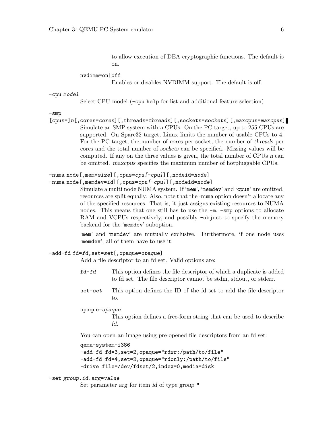to allow execution of DEA cryptographic functions. The default is on.

#### nvdimm=on|off

Enables or disables NVDIMM support. The default is off.

#### -cpu model

Select CPU model (-cpu help for list and additional feature selection)

#### -smp

[cpus=]n[,cores=cores][,threads=threads][,sockets=sockets][,maxcpus=maxcpus] Simulate an SMP system with n CPUs. On the PC target, up to 255 CPUs are supported. On Sparc32 target, Linux limits the number of usable CPUs to 4. For the PC target, the number of cores per socket, the number of threads per cores and the total number of sockets can be specified. Missing values will be computed. If any on the three values is given, the total number of CPUs n can be omitted. maxcpus specifies the maximum number of hotpluggable CPUs.

```
-numa node[,mem=size][,cpus=cpu[-cpu]][,nodeid=node]
```

```
-numa node[,memdev=id][,cpus=cpu[-cpu]][,nodeid=node]
```
Simulate a multi node NUMA system. If 'mem', 'memdev' and 'cpus' are omitted, resources are split equally. Also, note that the -numa option doesn't allocate any of the specified resources. That is, it just assigns existing resources to NUMA nodes. This means that one still has to use the  $-m$ ,  $-smp$  options to allocate RAM and VCPUs respectively, and possibly -object to specify the memory backend for the 'memdev' suboption.

'mem' and 'memdev' are mutually exclusive. Furthermore, if one node uses 'memdev', all of them have to use it.

# -add-fd fd=fd,set=set[,opaque=opaque]

Add a file descriptor to an fd set. Valid options are:

- fd=fd This option defines the file descriptor of which a duplicate is added to fd set. The file descriptor cannot be stdin, stdout, or stderr.
- set=set This option defines the ID of the fd set to add the file descriptor to.

#### opaque=opaque

This option defines a free-form string that can be used to describe fd.

You can open an image using pre-opened file descriptors from an fd set:

```
qemu-system-i386
-add-fd fd=3,set=2,opaque="rdwr:/path/to/file"
-add-fd fd=4,set=2,opaque="rdonly:/path/to/file"
-drive file=/dev/fdset/2,index=0,media=disk
```
#### -set group.id.arg=value

Set parameter arg for item id of type group "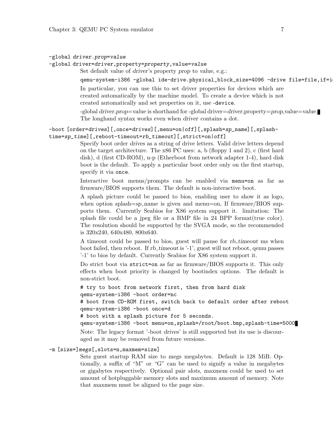```
-global driver.prop=value
```

```
-global driver=driver,property=property,value=value
```
Set default value of driver's property prop to value, e.g.:

qemu-system-i386 -global ide-drive.physical\_block\_size=4096 -drive file=file,if=i

In particular, you can use this to set driver properties for devices which are created automatically by the machine model. To create a device which is not created automatically and set properties on it, use -device.

-global driver.prop=value is shorthand for -global driver=driver,property=prop,value=value. The longhand syntax works even when driver contains a dot.

```
-boot [order=drives][,once=drives][,menu=on|off][,splash=sp_name][,splash-
time=sp_time][,reboot-timeout=rb_timeout][,strict=on|off]
```
Specify boot order drives as a string of drive letters. Valid drive letters depend on the target architecture. The x86 PC uses: a, b (floppy 1 and 2), c (first hard disk), d (first CD-ROM), n-p (Etherboot from network adapter 1-4), hard disk boot is the default. To apply a particular boot order only on the first startup, specify it via once.

Interactive boot menus/prompts can be enabled via menu=on as far as firmware/BIOS supports them. The default is non-interactive boot.

A splash picture could be passed to bios, enabling user to show it as logo, when option splash= $sp\_name$  is given and menu=on, If firmware/BIOS supports them. Currently Seabios for X86 system support it. limitation: The splash file could be a jpeg file or a BMP file in 24 BPP format(true color). The resolution should be supported by the SVGA mode, so the recommended is 320x240, 640x480, 800x640.

A timeout could be passed to bios, guest will pause for rb timeout ms when boot failed, then reboot. If rb\_timeout is '-1', guest will not reboot, qemu passes '-1' to bios by default. Currently Seabios for X86 system support it.

Do strict boot via strict=on as far as firmware/BIOS supports it. This only effects when boot priority is changed by bootindex options. The default is non-strict boot.

# try to boot from network first, then from hard disk qemu-system-i386 -boot order=nc # boot from CD-ROM first, switch back to default order after reboot qemu-system-i386 -boot once=d # boot with a splash picture for 5 seconds. qemu-system-i386 -boot menu=on,splash=/root/boot.bmp,splash-time=5000 Note: The legacy format '-boot drives' is still supported but its use is discour-

aged as it may be removed from future versions.

-m [size=]megs[,slots=n,maxmem=size]

Sets guest startup RAM size to megs megabytes. Default is 128 MiB. Optionally, a suffix of "M" or "G" can be used to signify a value in megabytes or gigabytes respectively. Optional pair slots, maxmem could be used to set amount of hotpluggable memory slots and maximum amount of memory. Note that maxmem must be aligned to the page size.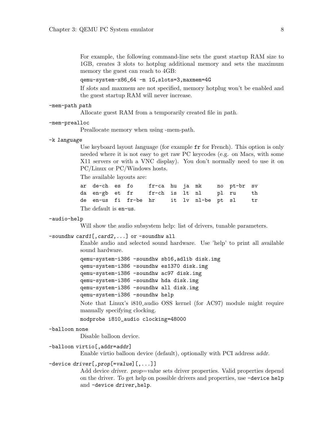For example, the following command-line sets the guest startup RAM size to 1GB, creates 3 slots to hotplug additional memory and sets the maximum memory the guest can reach to 4GB:

qemu-system-x86\_64 -m 1G,slots=3,maxmem=4G

If slots and maxmem are not specified, memory hotplug won't be enabled and the guest startup RAM will never increase.

# -mem-path path

Allocate guest RAM from a temporarily created file in path.

# -mem-prealloc

Preallocate memory when using -mem-path.

## -k language

Use keyboard layout language (for example fr for French). This option is only needed where it is not easy to get raw PC keycodes (e.g. on Macs, with some X11 servers or with a VNC display). You don't normally need to use it on PC/Linux or PC/Windows hosts.

The available layouts are:

ar de-ch es fo fr-ca hu ja mk no pt-br sv da en-gb et fr fr-ch is lt nl pl ru th de en-us fi fr-be hr it lv nl-be pt sl tr The default is en-us.

#### -audio-help

Will show the audio subsystem help: list of drivers, tunable parameters.

# -soundhw card1[, card2, . . .] or -soundhw all

Enable audio and selected sound hardware. Use 'help' to print all available sound hardware.

qemu-system-i386 -soundhw sb16,adlib disk.img qemu-system-i386 -soundhw es1370 disk.img qemu-system-i386 -soundhw ac97 disk.img qemu-system-i386 -soundhw hda disk.img qemu-system-i386 -soundhw all disk.img qemu-system-i386 -soundhw help Note that Linux's i810 audio OSS kernel (for AC97) module might require

manually specifying clocking.

modprobe i810\_audio clocking=48000

-balloon none

Disable balloon device.

#### -balloon virtio[, addr=addr]

Enable virtio balloon device (default), optionally with PCI address addr.

# -device driver[, prop[=value][,...]]

Add device driver. prop=value sets driver properties. Valid properties depend on the driver. To get help on possible drivers and properties, use -device help and -device driver,help.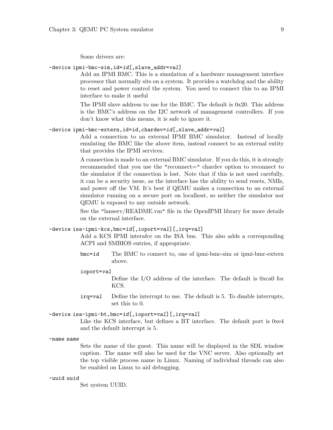Some drivers are:

#### -device ipmi-bmc-sim, id=id[, slave\_addr=val]

Add an IPMI BMC. This is a simulation of a hardware management interface processor that normally sits on a system. It provides a watchdog and the ability to reset and power control the system. You need to connect this to an IPMI interface to make it useful

The IPMI slave address to use for the BMC. The default is 0x20. This address is the BMC's address on the I2C network of management controllers. If you don't know what this means, it is safe to ignore it.

#### -device ipmi-bmc-extern,id=id,chardev=id[,slave\_addr=val]

Add a connection to an external IPMI BMC simulator. Instead of locally emulating the BMC like the above item, instead connect to an external entity that provides the IPMI services.

A connection is made to an external BMC simulator. If you do this, it is strongly recommended that you use the "reconnect=" chardev option to reconnect to the simulator if the connection is lost. Note that if this is not used carefully, it can be a security issue, as the interface has the ability to send resets, NMIs, and power off the VM. It's best if QEMU makes a connection to an external simulator running on a secure port on localhost, so neither the simulator nor QEMU is exposed to any outside network.

See the "lanserv/README.vm" file in the OpenIPMI library for more details on the external interface.

### -device isa-ipmi-kcs,bmc=id[,ioport=val][,irq=val]

Add a KCS IPMI interafce on the ISA bus. This also adds a corresponding ACPI and SMBIOS entries, if appropriate.

bmc=id The BMC to connect to, one of ipmi-bmc-sim or ipmi-bmc-extern above.

#### ioport=val

Define the I/O address of the interface. The default is 0xca0 for KCS.

irq=val Define the interrupt to use. The default is 5. To disable interrupts, set this to 0.

# -device isa-ipmi-bt,bmc=id[,ioport=val][,irq=val]

Like the KCS interface, but defines a BT interface. The default port is 0xe4 and the default interrupt is 5.

-name name

Sets the name of the guest. This name will be displayed in the SDL window caption. The name will also be used for the VNC server. Also optionally set the top visible process name in Linux. Naming of individual threads can also be enabled on Linux to aid debugging.

#### -uuid uuid

Set system UUID.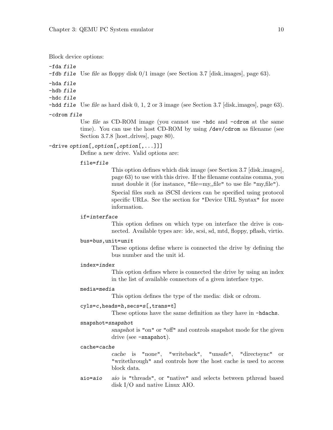Block device options:

-fda file

 $-$ fdb file Use file as floppy disk  $0/1$  image (see Section 3.7 [disk\_[images\], page 63](#page-66-1)).

-hda file

-hdb file

-hdc file

-hdd file Use file as hard disk 0, 1, 2 or 3 image (see Section 3.7 [disk [images\], page 63\)](#page-66-1).

#### -cdrom file

Use file as CD-ROM image (you cannot use -hdc and -cdrom at the same time). You can use the host CD-ROM by using /dev/cdrom as filename (see [Section 3.7.8 \[host](#page-83-1)\_drives], page 80).

# -drive option[,option[,option[,...]]]

Define a new drive. Valid options are:

#### file=file

This option defines which disk image (see [Section 3.7 \[disk](#page-66-1) images], [page 63\)](#page-66-1) to use with this drive. If the filename contains comma, you must double it (for instance, "file=my,,file" to use file "my,file"). Special files such as iSCSI devices can be specified using protocol specific URLs. See the section for "Device URL Syntax" for more information.

# if=interface

This option defines on which type on interface the drive is connected. Available types are: ide, scsi, sd, mtd, floppy, pflash, virtio.

#### bus=bus,unit=unit

These options define where is connected the drive by defining the bus number and the unit id.

#### index=index

This option defines where is connected the drive by using an index in the list of available connectors of a given interface type.

#### media=media

This option defines the type of the media: disk or cdrom.

#### cyls=c,heads=h,secs=s[,trans=t]

These options have the same definition as they have in -hdachs.

### snapshot=snapshot

snapshot is "on" or "off" and controls snapshot mode for the given drive (see -snapshot).

#### cache=cache

cache is "none", "writeback", "unsafe", "directsync" or "writethrough" and controls how the host cache is used to access block data.

aio=aio aio is "threads", or "native" and selects between pthread based disk I/O and native Linux AIO.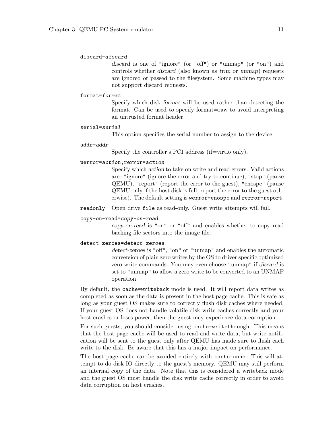#### discard=discard

discard is one of "ignore" (or "off") or "unmap" (or "on") and controls whether discard (also known as trim or unmap) requests are ignored or passed to the filesystem. Some machine types may not support discard requests.

#### format=format

Specify which disk format will be used rather than detecting the format. Can be used to specify format=raw to avoid interpreting an untrusted format header.

#### serial=serial

This option specifies the serial number to assign to the device.

#### addr=addr

Specify the controller's PCI address (if=virtio only).

#### werror=action,rerror=action

Specify which action to take on write and read errors. Valid actions are: "ignore" (ignore the error and try to continue), "stop" (pause QEMU), "report" (report the error to the guest), "enospc" (pause QEMU only if the host disk is full; report the error to the guest otherwise). The default setting is werror=enospc and rerror=report.

readonly Open drive file as read-only. Guest write attempts will fail.

# copy-on-read=copy-on-read

copy-on-read is "on" or "off" and enables whether to copy read backing file sectors into the image file.

#### detect-zeroes=detect-zeroes

detect-zeroes is "off", "on" or "unmap" and enables the automatic conversion of plain zero writes by the OS to driver specific optimized zero write commands. You may even choose "unmap" if discard is set to "unmap" to allow a zero write to be converted to an UNMAP operation.

By default, the cache=writeback mode is used. It will report data writes as completed as soon as the data is present in the host page cache. This is safe as long as your guest OS makes sure to correctly flush disk caches where needed. If your guest OS does not handle volatile disk write caches correctly and your host crashes or loses power, then the guest may experience data corruption.

For such guests, you should consider using cache=writethrough. This means that the host page cache will be used to read and write data, but write notification will be sent to the guest only after QEMU has made sure to flush each write to the disk. Be aware that this has a major impact on performance.

The host page cache can be avoided entirely with cache=none. This will attempt to do disk IO directly to the guest's memory. QEMU may still perform an internal copy of the data. Note that this is considered a writeback mode and the guest OS must handle the disk write cache correctly in order to avoid data corruption on host crashes.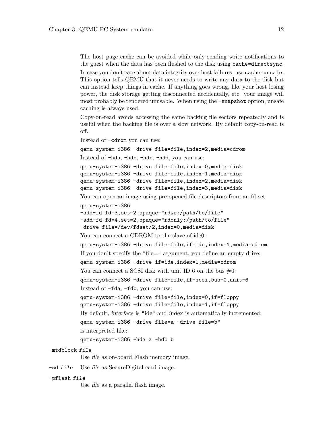The host page cache can be avoided while only sending write notifications to the guest when the data has been flushed to the disk using cache=directsync.

In case you don't care about data integrity over host failures, use cache=unsafe. This option tells QEMU that it never needs to write any data to the disk but can instead keep things in cache. If anything goes wrong, like your host losing power, the disk storage getting disconnected accidentally, etc. your image will most probably be rendered unusable. When using the -snapshot option, unsafe caching is always used.

Copy-on-read avoids accessing the same backing file sectors repeatedly and is useful when the backing file is over a slow network. By default copy-on-read is off.

Instead of -cdrom you can use:

qemu-system-i386 -drive file=file,index=2,media=cdrom

Instead of -hda, -hdb, -hdc, -hdd, you can use:

```
qemu-system-i386 -drive file=file,index=0,media=disk
qemu-system-i386 -drive file=file,index=1,media=disk
qemu-system-i386 -drive file=file,index=2,media=disk
qemu-system-i386 -drive file=file,index=3,media=disk
```
You can open an image using pre-opened file descriptors from an fd set:

```
qemu-system-i386
```
-add-fd fd=3,set=2,opaque="rdwr:/path/to/file" -add-fd fd=4,set=2,opaque="rdonly:/path/to/file" -drive file=/dev/fdset/2,index=0,media=disk

You can connect a CDROM to the slave of ide0:

qemu-system-i386 -drive file=file,if=ide,index=1,media=cdrom

If you don't specify the "file=" argument, you define an empty drive:

qemu-system-i386 -drive if=ide,index=1,media=cdrom

You can connect a SCSI disk with unit ID 6 on the bus  $\#0$ :

qemu-system-i386 -drive file=file,if=scsi,bus=0,unit=6

Instead of -fda, -fdb, you can use:

qemu-system-i386 -drive file=file,index=0,if=floppy qemu-system-i386 -drive file=file,index=1,if=floppy

By default, interface is "ide" and index is automatically incremented:

qemu-system-i386 -drive file=a -drive file=b"

is interpreted like:

qemu-system-i386 -hda a -hdb b

### -mtdblock file

Use file as on-board Flash memory image.

-sd file Use file as SecureDigital card image.

#### -pflash file

Use file as a parallel flash image.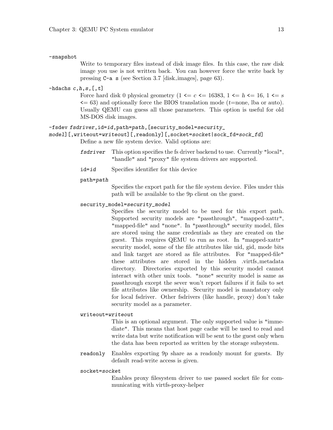#### -snapshot

Write to temporary files instead of disk image files. In this case, the raw disk image you use is not written back. You can however force the write back by pressing C-a s (see Section 3.7 [disk [images\], page 63\)](#page-66-1).

#### $-$ hdachs  $c, h, s, [t]$

Force hard disk 0 physical geometry (1  $\leq c \leq 16383$ , 1  $\leq h \leq 16$ , 1  $\leq s$  $\leq$  63) and optionally force the BIOS translation mode (t=none, lba or auto). Usually QEMU can guess all those parameters. This option is useful for old MS-DOS disk images.

# -fsdev fsdriver,id=id,path=path,[security\_model=security\_

# model][,writeout=writeout][,readonly][,socket=socket|sock\_fd=sock\_fd]

Define a new file system device. Valid options are:

- fsdriver This option specifies the fs driver backend to use. Currently "local", "handle" and "proxy" file system drivers are supported.
- id=id Specifies identifier for this device

#### path=path

Specifies the export path for the file system device. Files under this path will be available to the 9p client on the guest.

#### security\_model=security\_model

Specifies the security model to be used for this export path. Supported security models are "passthrough", "mapped-xattr", "mapped-file" and "none". In "passthrough" security model, files are stored using the same credentials as they are created on the guest. This requires QEMU to run as root. In "mapped-xattr" security model, some of the file attributes like uid, gid, mode bits and link target are stored as file attributes. For "mapped-file" these attributes are stored in the hidden .virtfs metadata directory. Directories exported by this security model cannot interact with other unix tools. "none" security model is same as passthrough except the sever won't report failures if it fails to set file attributes like ownership. Security model is mandatory only for local fsdriver. Other fsdrivers (like handle, proxy) don't take security model as a parameter.

#### writeout=writeout

This is an optional argument. The only supported value is "immediate". This means that host page cache will be used to read and write data but write notification will be sent to the guest only when the data has been reported as written by the storage subsystem.

readonly Enables exporting 9p share as a readonly mount for guests. By default read-write access is given.

#### socket=socket

Enables proxy filesystem driver to use passed socket file for communicating with virtfs-proxy-helper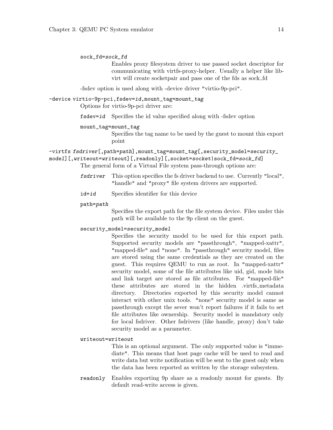#### sock\_fd=sock\_fd

Enables proxy filesystem driver to use passed socket descriptor for communicating with virtfs-proxy-helper. Usually a helper like libvirt will create socketpair and pass one of the fds as sock fd

-fsdev option is used along with -device driver "virtio-9p-pci".

# -device virtio-9p-pci,fsdev=id,mount\_tag=mount\_tag

Options for virtio-9p-pci driver are:

fsdev=id Specifies the id value specified along with -fsdev option

#### mount\_tag=mount\_tag

Specifies the tag name to be used by the guest to mount this export point

-virtfs fsdriver[,path=path],mount\_tag=mount\_tag[,security\_model=security\_ model][,writeout=writeout][,readonly][,socket=socket|sock\_fd=sock\_fd]

The general form of a Virtual File system pass-through options are:

- fsdriver This option specifies the fs driver backend to use. Currently "local", "handle" and "proxy" file system drivers are supported.
- id=id Specifies identifier for this device

#### path=path

Specifies the export path for the file system device. Files under this path will be available to the 9p client on the guest.

# security\_model=security\_model

Specifies the security model to be used for this export path. Supported security models are "passthrough", "mapped-xattr", "mapped-file" and "none". In "passthrough" security model, files are stored using the same credentials as they are created on the guest. This requires QEMU to run as root. In "mapped-xattr" security model, some of the file attributes like uid, gid, mode bits and link target are stored as file attributes. For "mapped-file" these attributes are stored in the hidden .virtfs metadata directory. Directories exported by this security model cannot interact with other unix tools. "none" security model is same as passthrough except the sever won't report failures if it fails to set file attributes like ownership. Security model is mandatory only for local fsdriver. Other fsdrivers (like handle, proxy) don't take security model as a parameter.

# writeout=writeout

This is an optional argument. The only supported value is "immediate". This means that host page cache will be used to read and write data but write notification will be sent to the guest only when the data has been reported as written by the storage subsystem.

readonly Enables exporting 9p share as a readonly mount for guests. By default read-write access is given.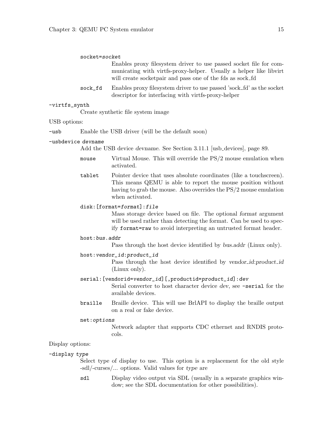| socket=socket |                                                                                                                                                                                                       |
|---------------|-------------------------------------------------------------------------------------------------------------------------------------------------------------------------------------------------------|
|               | Enables proxy filesystem driver to use passed socket file for com-<br>municating with virtfs-proxy-helper. Usually a helper like libvirt<br>will create socketpair and pass one of the fds as sock_fd |
| sock_fd       | Enables proxy filesystem driver to use passed 'sock_fd' as the socket<br>descriptor for interfacing with virtfs-proxy-helper                                                                          |
| -virtfs_synth |                                                                                                                                                                                                       |
|               | Create synthetic file system image                                                                                                                                                                    |

#### USB options:

-usb Enable the USB driver (will be the default soon)

#### -usbdevice devname

Add the USB device *devname*. See [Section 3.11.1 \[usb](#page-92-1)\_devices], page 89.

- mouse Virtual Mouse. This will override the PS/2 mouse emulation when activated.
- tablet Pointer device that uses absolute coordinates (like a touchscreen). This means QEMU is able to report the mouse position without having to grab the mouse. Also overrides the PS/2 mouse emulation when activated.

# disk:[format=format]:file

Mass storage device based on file. The optional format argument will be used rather than detecting the format. Can be used to specify format=raw to avoid interpreting an untrusted format header.

#### host:bus.addr

Pass through the host device identified by bus.addr (Linux only).

#### host:vendor\_id:product\_id

Pass through the host device identified by vendor id:product id (Linux only).

#### serial:[vendorid=vendor\_id][,productid=product\_id]:dev

Serial converter to host character device dev, see -serial for the available devices.

braille Braille device. This will use BrlAPI to display the braille output on a real or fake device.

#### net:options

Network adapter that supports CDC ethernet and RNDIS protocols.

# Display options:

# -display type

Select type of display to use. This option is a replacement for the old style -sdl/-curses/... options. Valid values for type are

sdl Display video output via SDL (usually in a separate graphics window; see the SDL documentation for other possibilities).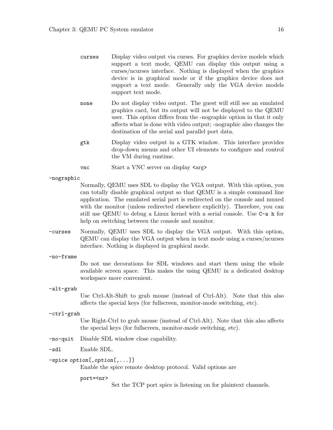| curses | Display video output via curses. For graphics device models which<br>support a text mode, QEMU can display this output using a<br>curses/neurses interface. Nothing is displayed when the graphics<br>device is in graphical mode or if the graphics device does not<br>support a text mode. Generally only the VGA device models<br>support text mode. |
|--------|---------------------------------------------------------------------------------------------------------------------------------------------------------------------------------------------------------------------------------------------------------------------------------------------------------------------------------------------------------|
| none   | Do not display video output. The guest will still see an emulated<br>graphics card, but its output will not be displayed to the QEMU<br>user. This option differs from the -nographic option in that it only<br>affects what is done with video output; -nographic also changes the<br>destination of the serial and parallel port data.                |
| gtk    | Display video output in a GTK window. This interface provides<br>drop-down menus and other UI elements to configure and control<br>the VM during runtime.                                                                                                                                                                                               |
| vnc    | Start a VNC server on display $\langle \text{arg}\rangle$                                                                                                                                                                                                                                                                                               |

#### -nographic

Normally, QEMU uses SDL to display the VGA output. With this option, you can totally disable graphical output so that QEMU is a simple command line application. The emulated serial port is redirected on the console and muxed with the monitor (unless redirected elsewhere explicitly). Therefore, you can still use QEMU to debug a Linux kernel with a serial console. Use C-a h for help on switching between the console and monitor.

-curses Normally, QEMU uses SDL to display the VGA output. With this option, QEMU can display the VGA output when in text mode using a curses/ncurses interface. Nothing is displayed in graphical mode.

```
-no-frame
```
Do not use decorations for SDL windows and start them using the whole available screen space. This makes the using QEMU in a dedicated desktop workspace more convenient.

### -alt-grab

Use Ctrl-Alt-Shift to grab mouse (instead of Ctrl-Alt). Note that this also affects the special keys (for fullscreen, monitor-mode switching, etc).

#### -ctrl-grab

Use Right-Ctrl to grab mouse (instead of Ctrl-Alt). Note that this also affects the special keys (for fullscreen, monitor-mode switching, etc).

-no-quit Disable SDL window close capability.

-sdl Enable SDL.

# -spice option[,option[,...]]

Enable the spice remote desktop protocol. Valid options are

#### port=<nr>

Set the TCP port spice is listening on for plaintext channels.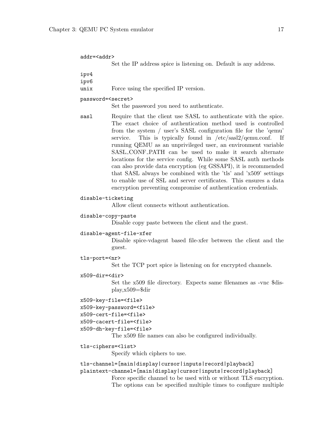#### addr=<addr>

Set the IP address spice is listening on. Default is any address.

ipv4

ipv6

unix Force using the specified IP version.

## password=<secret>

Set the password you need to authenticate.

sas1 Require that the client use SASL to authenticate with the spice. The exact choice of authentication method used is controlled from the system / user's SASL configuration file for the 'qemu' service. This is typically found in /etc/sasl2/qemu.conf. If running QEMU as an unprivileged user, an environment variable SASL CONF PATH can be used to make it search alternate locations for the service config. While some SASL auth methods can also provide data encryption (eg GSSAPI), it is recommended that SASL always be combined with the 'tls' and 'x509' settings to enable use of SSL and server certificates. This ensures a data encryption preventing compromise of authentication credentials.

# disable-ticketing

Allow client connects without authentication.

# disable-copy-paste

Disable copy paste between the client and the guest.

# disable-agent-file-xfer

Disable spice-vdagent based file-xfer between the client and the guest.

#### tls-port=<nr>

Set the TCP port spice is listening on for encrypted channels.

#### x509-dir=<dir>

Set the x509 file directory. Expects same filenames as -vnc \$display,x509=\$dir

#### x509-key-file=<file>

x509-key-password=<file> x509-cert-file=<file>

# x509-cacert-file=<file>

# x509-dh-key-file=<file>

The x509 file names can also be configured individually.

# tls-ciphers=<list>

Specify which ciphers to use.

# tls-channel=[main|display|cursor|inputs|record|playback] plaintext-channel=[main|display|cursor|inputs|record|playback]

Force specific channel to be used with or without TLS encryption. The options can be specified multiple times to configure multiple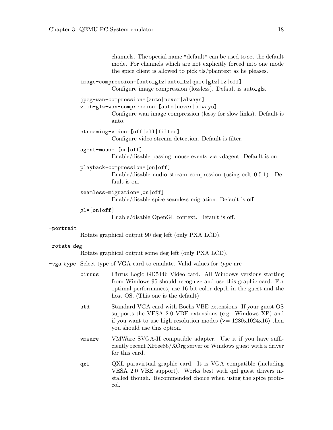channels. The special name "default" can be used to set the default mode. For channels which are not explicitly forced into one mode the spice client is allowed to pick tls/plaintext as he pleases.

image-compression=[auto\_glz|auto\_lz|quic|glz|lz|off] Configure image compression (lossless). Default is auto glz.

#### jpeg-wan-compression=[auto|never|always]

zlib-glz-wan-compression=[auto|never|always]

Configure wan image compression (lossy for slow links). Default is auto.

streaming-video=[off|all|filter] Configure video stream detection. Default is filter.

## agent-mouse=[on|off]

Enable/disable passing mouse events via vdagent. Default is on.

#### playback-compression=[on|off]

Enable/disable audio stream compression (using celt 0.5.1). Default is on.

### seamless-migration=[on|off]

Enable/disable spice seamless migration. Default is off.

#### gl=[on|off]

Enable/disable OpenGL context. Default is off.

### -portrait

Rotate graphical output 90 deg left (only PXA LCD).

#### -rotate deg

Rotate graphical output some deg left (only PXA LCD).

-vga type Select type of VGA card to emulate. Valid values for type are

- cirrus Cirrus Logic GD5446 Video card. All Windows versions starting from Windows 95 should recognize and use this graphic card. For optimal performances, use 16 bit color depth in the guest and the host OS. (This one is the default)
- std Standard VGA card with Bochs VBE extensions. If your guest OS supports the VESA 2.0 VBE extensions (e.g. Windows XP) and if you want to use high resolution modes ( $\geq$  1280x1024x16) then you should use this option.
- vmware VMWare SVGA-II compatible adapter. Use it if you have sufficiently recent XFree86/XOrg server or Windows guest with a driver for this card.
- qxl QXL paravirtual graphic card. It is VGA compatible (including VESA 2.0 VBE support). Works best with qxl guest drivers installed though. Recommended choice when using the spice protocol.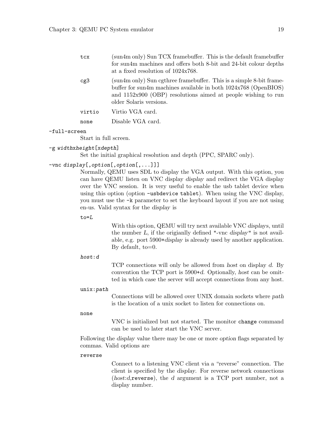| tcx    | (sun4m only) Sun TCX framebuffer. This is the default framebuffer<br>for sun4m machines and offers both 8-bit and 24-bit colour depths<br>at a fixed resolution of $1024x768$ .                                                      |
|--------|--------------------------------------------------------------------------------------------------------------------------------------------------------------------------------------------------------------------------------------|
| cg3    | (sun4m only) Sun cgthree framebuffer. This is a simple 8-bit frame-<br>buffer for sun4m machines available in both 1024x768 (OpenBIOS)<br>and $1152x900$ (OBP) resolutions aimed at people wishing to run<br>older Solaris versions. |
| virtio | Virtio VGA card.                                                                                                                                                                                                                     |
| none   | Disable VGA card.                                                                                                                                                                                                                    |
|        |                                                                                                                                                                                                                                      |

#### -full-screen

Start in full screen.

# -g widthxheight[xdepth]

Set the initial graphical resolution and depth (PPC, SPARC only).

# -vnc display[,option[,option[,...]]]

Normally, QEMU uses SDL to display the VGA output. With this option, you can have QEMU listen on VNC display display and redirect the VGA display over the VNC session. It is very useful to enable the usb tablet device when using this option (option -usbdevice tablet). When using the VNC display, you must use the -k parameter to set the keyboard layout if you are not using en-us. Valid syntax for the display is

to=L

With this option, QEMU will try next available VNC displays, until the number L, if the origianlly defined "-vnc display" is not available, e.g. port 5900+display is already used by another application. By default, to=0.

# host:d

TCP connections will only be allowed from host on display d. By convention the TCP port is 5900+d. Optionally, host can be omitted in which case the server will accept connections from any host.

#### unix:path

Connections will be allowed over UNIX domain sockets where path is the location of a unix socket to listen for connections on.

#### none

VNC is initialized but not started. The monitor change command can be used to later start the VNC server.

Following the display value there may be one or more option flags separated by commas. Valid options are

#### reverse

Connect to a listening VNC client via a "reverse" connection. The client is specified by the display. For reverse network connections (host:d,reverse), the d argument is a TCP port number, not a display number.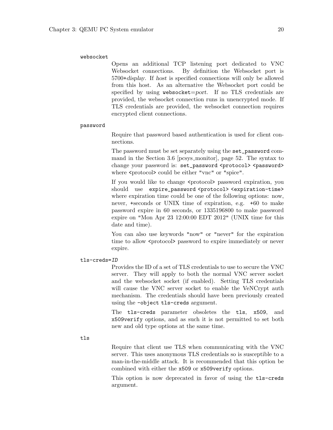#### websocket

Opens an additional TCP listening port dedicated to VNC Websocket connections. By definition the Websocket port is 5700+display. If host is specified connections will only be allowed from this host. As an alternative the Websocket port could be specified by using websocket=port. If no TLS credentials are provided, the websocket connection runs in unencrypted mode. If TLS credentials are provided, the websocket connection requires encrypted client connections.

#### password

Require that password based authentication is used for client connections.

The password must be set separately using the set\_password command in the [Section 3.6 \[pcsys](#page-55-1) monitor], page 52. The syntax to change your password is: set\_password <protocol> <password> where  $\langle$  protocol> could be either "vnc" or "spice".

If you would like to change  $\langle$ protocol> password expiration, you should use expire\_password <protocol> <expiration-time> where expiration time could be one of the following options: now, never, +seconds or UNIX time of expiration, e.g. +60 to make password expire in 60 seconds, or 1335196800 to make password expire on "Mon Apr 23 12:00:00 EDT 2012" (UNIX time for this date and time).

You can also use keywords "now" or "never" for the expiration time to allow  $\langle$ protocol> password to expire immediately or never expire.

# tls-creds=ID

Provides the ID of a set of TLS credentials to use to secure the VNC server. They will apply to both the normal VNC server socket and the websocket socket (if enabled). Setting TLS credentials will cause the VNC server socket to enable the VeNCrypt auth mechanism. The credentials should have been previously created using the -object tls-creds argument.

The tls-creds parameter obsoletes the tls, x509, and x509verify options, and as such it is not permitted to set both new and old type options at the same time.

tls

Require that client use TLS when communicating with the VNC server. This uses anonymous TLS credentials so is susceptible to a man-in-the-middle attack. It is recommended that this option be combined with either the x509 or x509verify options.

This option is now deprecated in favor of using the tls-creds argument.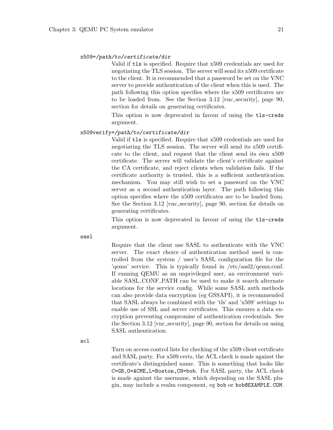#### x509=/path/to/certificate/dir

Valid if tls is specified. Require that x509 credentials are used for negotiating the TLS session. The server will send its x509 certificate to the client. It is recommended that a password be set on the VNC server to provide authentication of the client when this is used. The path following this option specifies where the x509 certificates are to be loaded from. See the Section 3.12 [vnc [security\], page 90,](#page-93-1) section for details on generating certificates.

This option is now deprecated in favour of using the tls-creds argument.

# x509verify=/path/to/certificate/dir

Valid if tls is specified. Require that x509 credentials are used for negotiating the TLS session. The server will send its x509 certificate to the client, and request that the client send its own x509 certificate. The server will validate the client's certificate against the CA certificate, and reject clients when validation fails. If the certificate authority is trusted, this is a sufficient authentication mechanism. You may still wish to set a password on the VNC server as a second authentication layer. The path following this option specifies where the x509 certificates are to be loaded from. See the Section 3.12 [vnc\_[security\], page 90,](#page-93-1) section for details on generating certificates.

This option is now deprecated in favour of using the tls-creds argument.

sasl

Require that the client use SASL to authenticate with the VNC server. The exact choice of authentication method used is controlled from the system / user's SASL configuration file for the 'qemu' service. This is typically found in /etc/sasl2/qemu.conf. If running QEMU as an unprivileged user, an environment variable SASL CONF PATH can be used to make it search alternate locations for the service config. While some SASL auth methods can also provide data encryption (eg GSSAPI), it is recommended that SASL always be combined with the 'tls' and 'x509' settings to enable use of SSL and server certificates. This ensures a data encryption preventing compromise of authentication credentials. See the Section 3.12 [vnc [security\], page 90,](#page-93-1) section for details on using SASL authentication.

acl

Turn on access control lists for checking of the x509 client certificate and SASL party. For x509 certs, the ACL check is made against the certificate's distinguished name. This is something that looks like C=GB,O=ACME,L=Boston,CN=bob. For SASL party, the ACL check is made against the username, which depending on the SASL plugin, may include a realm component, eg bob or bob@EXAMPLE.COM.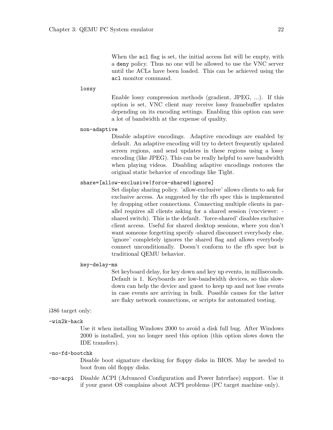When the acl flag is set, the initial access list will be empty, with a deny policy. Thus no one will be allowed to use the VNC server until the ACLs have been loaded. This can be achieved using the acl monitor command.

#### lossy

Enable lossy compression methods (gradient, JPEG, ...). If this option is set, VNC client may receive lossy framebuffer updates depending on its encoding settings. Enabling this option can save a lot of bandwidth at the expense of quality.

#### non-adaptive

Disable adaptive encodings. Adaptive encodings are enabled by default. An adaptive encoding will try to detect frequently updated screen regions, and send updates in these regions using a lossy encoding (like JPEG). This can be really helpful to save bandwidth when playing videos. Disabling adaptive encodings restores the original static behavior of encodings like Tight.

# share=[allow-exclusive|force-shared|ignore]

Set display sharing policy. 'allow-exclusive' allows clients to ask for exclusive access. As suggested by the rfb spec this is implemented by dropping other connections. Connecting multiple clients in parallel requires all clients asking for a shared session (vncviewer: shared switch). This is the default. 'force-shared' disables exclusive client access. Useful for shared desktop sessions, where you don't want someone forgetting specify -shared disconnect everybody else. 'ignore' completely ignores the shared flag and allows everybody connect unconditionally. Doesn't conform to the rfb spec but is traditional QEMU behavior.

#### key-delay-ms

Set keyboard delay, for key down and key up events, in milliseconds. Default is 1. Keyboards are low-bandwidth devices, so this slowdown can help the device and guest to keep up and not lose events in case events are arriving in bulk. Possible causes for the latter are flaky network connections, or scripts for automated testing.

#### i386 target only:

#### -win2k-hack

Use it when installing Windows 2000 to avoid a disk full bug. After Windows 2000 is installed, you no longer need this option (this option slows down the IDE transfers).

# -no-fd-bootchk

Disable boot signature checking for floppy disks in BIOS. May be needed to boot from old floppy disks.

-no-acpi Disable ACPI (Advanced Configuration and Power Interface) support. Use it if your guest OS complains about ACPI problems (PC target machine only).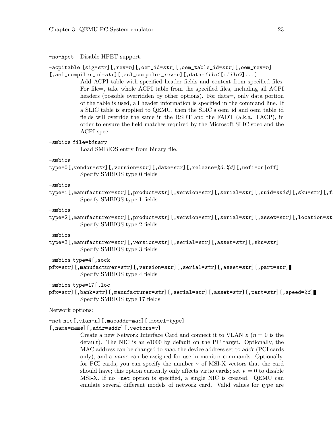-no-hpet Disable HPET support.

```
-acpitable [sig=str][,rev=n][,oem_id=str][,oem_table_id=str][,oem_rev=n]
[,asl_compiler_id=str][,asl_compiler_rev=n][,data=file1[:file2]...]
          Add ACPI table with specified header fields and context from specified files.
          For file=, take whole ACPI table from the specified files, including all ACPI
          headers (possible overridden by other options). For data =, only data portion
          of the table is used, all header information is specified in the command line. If
          a SLIC table is supplied to QEMU, then the SLIC's oem id and oem table id
          fields will override the same in the RSDT and the FADT (a.k.a. FACP), in
          order to ensure the field matches required by the Microsoft SLIC spec and the
          ACPI spec.
-smbios file=binary
          Load SMBIOS entry from binary file.
-smbios
type=0[,vendor=str][,version=str][,date=str][,release=%d.%d][,uefi=on|off]
          Specify SMBIOS type 0 fields
-smbios
type=1[,manufacturer=str][,product=str][,version=str][,serial=str][,uuid=uuid][,sku=str][,f
          Specify SMBIOS type 1 fields
-smbios
type=2[,manufacturer=str][,product=str][,version=str][,serial=str][,asset=str][,location=st
          Specify SMBIOS type 2 fields
-smbios
type=3[,manufacturer=str][,version=str][,serial=str][,asset=str][,sku=str]
          Specify SMBIOS type 3 fields
-smbios type=4[,sock_
pfx=str][,manufacturer=str][,version=str][,serial=str][,asset=str][,part=str]
          Specify SMBIOS type 4 fields
-smbios type=17[,loc_
pfx=str][,bank=str][,manufacturer=str][,serial=str][,asset=str][,part=str][,speed=%d]
          Specify SMBIOS type 17 fields
Network options:
-net nic[,vlan=n][,macaddr=mac][,model=type]
[, name=name] [, addr=addr] [, vectors=v]
          Create a new Network Interface Card and connect it to VLAN n (n = 0) is the
          default). The NIC is an e1000 by default on the PC target. Optionally, the
          MAC address can be changed to mac, the device address set to addr (PCI cards
```
only), and a name can be assigned for use in monitor commands. Optionally, for PCI cards, you can specify the number v of MSI-X vectors that the card should have; this option currently only affects virtio cards; set  $v = 0$  to disable MSI-X. If no -net option is specified, a single NIC is created. QEMU can emulate several different models of network card. Valid values for type are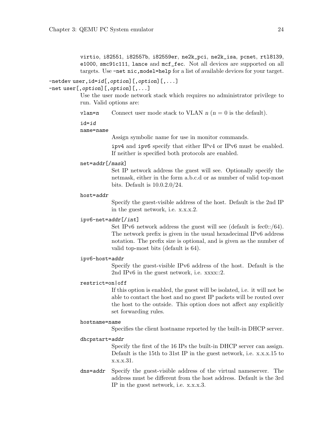virtio, i82551, i82557b, i82559er, ne2k\_pci, ne2k\_isa, pcnet, rtl8139, e1000, smc91c111, lance and mcf\_fec. Not all devices are supported on all targets. Use -net nic, model=help for a list of available devices for your target.

# -netdev user, id=id[, option][, option][,...]

# -net user[,option][,option][,...]

Use the user mode network stack which requires no administrator privilege to run. Valid options are:

vlan=n Connect user mode stack to VLAN  $n (n = 0)$  is the default).

#### id=id

name=name

Assign symbolic name for use in monitor commands.

ipv4 and ipv6 specify that either IPv4 or IPv6 must be enabled. If neither is specified both protocols are enabled.

#### net=addr[/mask]

Set IP network address the guest will see. Optionally specify the netmask, either in the form a.b.c.d or as number of valid top-most bits. Default is 10.0.2.0/24.

#### host=addr

Specify the guest-visible address of the host. Default is the 2nd IP in the guest network, i.e. x.x.x.2.

# ipv6-net=addr[/int]

Set IPv6 network address the guest will see (default is fec0::/64). The network prefix is given in the usual hexadecimal IPv6 address notation. The prefix size is optional, and is given as the number of valid top-most bits (default is 64).

# ipv6-host=addr

Specify the guest-visible IPv6 address of the host. Default is the 2nd IPv6 in the guest network, i.e. xxxx::2.

#### restrict=on|off

If this option is enabled, the guest will be isolated, i.e. it will not be able to contact the host and no guest IP packets will be routed over the host to the outside. This option does not affect any explicitly set forwarding rules.

#### hostname=name

Specifies the client hostname reported by the built-in DHCP server.

# dhcpstart=addr

Specify the first of the 16 IPs the built-in DHCP server can assign. Default is the 15th to 31st IP in the guest network, i.e. x.x.x.15 to x.x.x.31.

dns=addr Specify the guest-visible address of the virtual nameserver. The address must be different from the host address. Default is the 3rd IP in the guest network, i.e. x.x.x.3.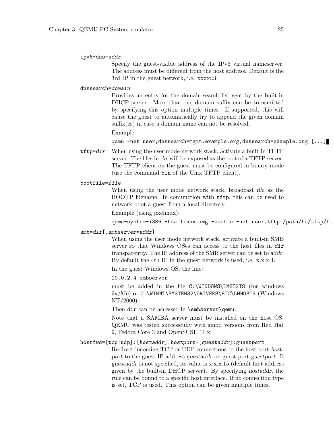#### ipv6-dns=addr

Specify the guest-visible address of the IPv6 virtual nameserver. The address must be different from the host address. Default is the 3rd IP in the guest network, i.e. xxxx::3.

#### dnssearch=domain

Provides an entry for the domain-search list sent by the built-in DHCP server. More than one domain suffix can be transmitted by specifying this option multiple times. If supported, this will cause the guest to automatically try to append the given domain suffix(es) in case a domain name can not be resolved.

Example:

qemu -net user,dnssearch=mgmt.example.org,dnssearch=example.org [...]

 $tttp=dir$  When using the user mode network stack, activate a built-in TFTP server. The files in dir will be exposed as the root of a TFTP server. The TFTP client on the guest must be configured in binary mode (use the command bin of the Unix TFTP client).

#### bootfile=file

When using the user mode network stack, broadcast file as the BOOTP filename. In conjunction with tftp, this can be used to network boot a guest from a local directory.

Example (using pxelinux):

qemu-system-i386 -hda linux.img -boot n -net user,tftp=/path/to/tftp/fi

# smb=dir[,smbserver=addr]

When using the user mode network stack, activate a built-in SMB server so that Windows OSes can access to the host files in dir transparently. The IP address of the SMB server can be set to addr. By default the 4th IP in the guest network is used, i.e. x.x.x.4.

In the guest Windows OS, the line:

# 10.0.2.4 smbserver

must be added in the file C:\WINDOWS\LMHOSTS (for windows 9x/Me) or C:\WINNT\SYSTEM32\DRIVERS\ETC\LMHOSTS (Windows NT/2000).

Then  $\text{dir}$  can be accessed in \smbserver\qemu.

Note that a SAMBA server must be installed on the host OS. QEMU was tested successfully with smbd versions from Red Hat 9, Fedora Core 3 and OpenSUSE 11.x.

#### hostfwd=[tcp|udp]:[hostaddr]:hostport-[guestaddr]:guestport

Redirect incoming TCP or UDP connections to the host port hostport to the guest IP address guestaddr on guest port guestport. If guestaddr is not specified, its value is x.x.x.15 (default first address given by the built-in DHCP server). By specifying hostaddr, the rule can be bound to a specific host interface. If no connection type is set, TCP is used. This option can be given multiple times.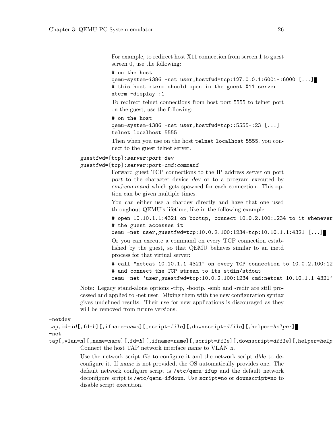For example, to redirect host X11 connection from screen 1 to guest screen 0, use the following:

# # on the host

```
qemu-system-i386 -net user,hostfwd=tcp:127.0.0.1:6001-:6000 [...]
# this host xterm should open in the guest X11 server
xterm -display :1
```
To redirect telnet connections from host port 5555 to telnet port on the guest, use the following:

# on the host qemu-system-i386 -net user,hostfwd=tcp::5555-:23 [...] telnet localhost 5555

Then when you use on the host telnet localhost 5555, you connect to the guest telnet server.

# guestfwd=[tcp]:server:port-dev guestfwd=[tcp]:server:port-cmd:command

Forward guest TCP connections to the IP address server on port port to the character device dev or to a program executed by cmd:command which gets spawned for each connection. This option can be given multiple times.

You can either use a chardev directly and have that one used throughout QEMU's lifetime, like in the following example:

# open 10.10.1.1:4321 on bootup, connect 10.0.2.100:1234 to it whenever # the guest accesses it

qemu -net user, guestfwd=tcp:10.0.2.100:1234-tcp:10.10.1.1:4321 [...]

Or you can execute a command on every TCP connection established by the guest, so that QEMU behaves similar to an inetd process for that virtual server:

# call "netcat 10.10.1.1 4321" on every TCP connection to 10.0.2.100:12 # and connect the TCP stream to its stdin/stdout qemu -net 'user,guestfwd=tcp:10.0.2.100:1234-cmd:netcat 10.10.1.1 4321'

Note: Legacy stand-alone options -tftp, -bootp, -smb and -redir are still processed and applied to -net user. Mixing them with the new configuration syntax gives undefined results. Their use for new applications is discouraged as they will be removed from future versions.

-netdev

```
tap,id=id[,fd=h][,ifname=name][,script=file][,downscript=dfile][,helper=helper]
-net
```

```
tap[,vlan=n][,name=name][,fd=h][,ifname=name][,script=file][,downscript=dfile][,helper=help
          Connect the host TAP network interface name to VLAN n.
```
Use the network script file to configure it and the network script dfile to deconfigure it. If name is not provided, the OS automatically provides one. The default network configure script is /etc/qemu-ifup and the default network deconfigure script is /etc/qemu-ifdown. Use script=no or downscript=no to disable script execution.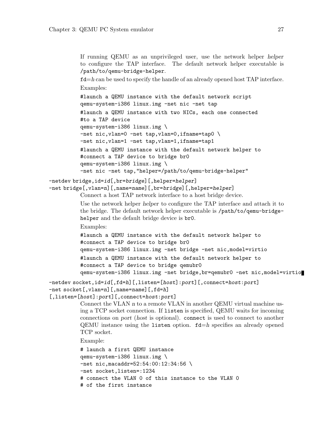```
If running QEMU as an unprivileged user, use the network helper helper
to configure the TAP interface. The default network helper executable is
/path/to/qemu-bridge-helper.
```
fd=h can be used to specify the handle of an already opened host TAP interface. Examples:

#launch a QEMU instance with the default network script qemu-system-i386 linux.img -net nic -net tap #launch a QEMU instance with two NICs, each one connected #to a TAP device qemu-system-i386 linux.img \ -net nic,vlan=0 -net tap,vlan=0,ifname=tap0 \ -net nic, vlan=1 -net tap, vlan=1, ifname=tap1 #launch a QEMU instance with the default network helper to #connect a TAP device to bridge br0 qemu-system-i386 linux.img \ -net nic -net tap,"helper=/path/to/qemu-bridge-helper"

```
-netdev bridge, id=id[, br=bridge][, helper=helper]
```
-net bridge[,vlan=n][,name=name][,br=bridge][,helper=helper]

Connect a host TAP network interface to a host bridge device.

Use the network helper helper to configure the TAP interface and attach it to the bridge. The default network helper executable is /path/to/qemu-bridgehelper and the default bridge device is br0.

Examples:

```
#launch a QEMU instance with the default network helper to
#connect a TAP device to bridge br0
qemu-system-i386 linux.img -net bridge -net nic,model=virtio
#launch a QEMU instance with the default network helper to
#connect a TAP device to bridge qemubr0
qemu-system-i386 linux.img -net bridge,br=qemubr0 -net nic,model=virtio
```

```
-netdev socket,id=id[,fd=h][,listen=[host]:port][,connect=host:port]
-net socket [, vlan=n] [, name=name] [, fd=h]
```
[,listen=[host]:port][,connect=host:port]

Connect the VLAN  $\boldsymbol{n}$  to a remote VLAN in another QEMU virtual machine using a TCP socket connection. If listen is specified, QEMU waits for incoming connections on port (host is optional). connect is used to connect to another  $QEMU$  instance using the listen option.  $fd=h$  specifies an already opened TCP socket.

Example:

```
# launch a first QEMU instance
qemu-system-i386 linux.img \
-net nic,macaddr=52:54:00:12:34:56 \
-net socket,listen=:1234
# connect the VLAN 0 of this instance to the VLAN 0
# of the first instance
```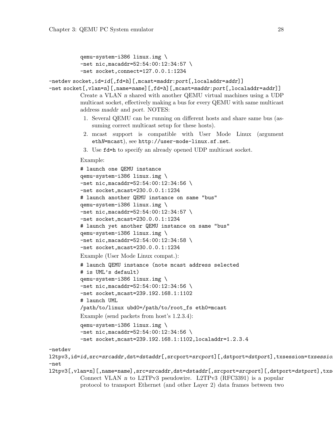```
qemu-system-i386 linux.img \
-net nic,macaddr=52:54:00:12:34:57 \
-net socket,connect=127.0.0.1:1234
```

```
-netdev socket,id=id[,fd=h][,mcast=maddr:port[,localaddr=addr]]
```

```
-net socket[,vlan=n][,name=name][,fd=h][,mcast=maddr:port[,localaddr=addr]]
          Create a VLAN n shared with another QEMU virtual machines using a UDP
          multicast socket, effectively making a bus for every QEMU with same multicast
          address maddr and port. NOTES:
```
- 1. Several QEMU can be running on different hosts and share same bus (assuming correct multicast setup for these hosts).
- 2. mcast support is compatible with User Mode Linux (argument ethN=mcast), see <http://user-mode-linux.sf.net>.
- 3. Use fd=h to specify an already opened UDP multicast socket.

Example:

-netdev

-net

```
# launch one QEMU instance
          qemu-system-i386 linux.img \
          -net nic,macaddr=52:54:00:12:34:56 \
          -net socket,mcast=230.0.0.1:1234
          # launch another QEMU instance on same "bus"
          qemu-system-i386 linux.img \
          -net nic,macaddr=52:54:00:12:34:57 \
          -net socket,mcast=230.0.0.1:1234
          # launch yet another QEMU instance on same "bus"
          qemu-system-i386 linux.img \
          -net nic,macaddr=52:54:00:12:34:58 \
          -net socket,mcast=230.0.0.1:1234
          Example (User Mode Linux compat.):
          # launch QEMU instance (note mcast address selected
          # is UML's default)
          qemu-system-i386 linux.img \
          -net nic,macaddr=52:54:00:12:34:56 \
          -net socket,mcast=239.192.168.1:1102
          # launch UML
          /path/to/linux ubd0=/path/to/root_fs eth0=mcast
          Example (send packets from host's 1.2.3.4):
          qemu-system-i386 linux.img \
          -net nic,macaddr=52:54:00:12:34:56 \
          -net socket,mcast=239.192.168.1:1102,localaddr=1.2.3.4
l2tpv3,id=id,src=srcaddr,dst=dstaddr[,srcport=srcport][,dstport=dstport],txsession=txsessio
l2tpv3[,vlan=n][,name=name],src=srcaddr,dst=dstaddr[,srcport=srcport][,dstport=dstport],txs
```
Connect VLAN n to L2TPv3 pseudowire. L2TPv3 (RFC3391) is a popular protocol to transport Ethernet (and other Layer 2) data frames between two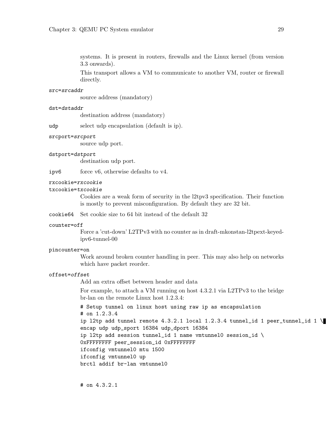systems. It is present in routers, firewalls and the Linux kernel (from version 3.3 onwards).

This transport allows a VM to communicate to another VM, router or firewall directly.

#### src=srcaddr

source address (mandatory)

#### dst=dstaddr

destination address (mandatory)

udp select udp encapsulation (default is ip).

#### srcport=srcport

source udp port.

#### dstport=dstport

destination udp port.

ipv6 force v6, otherwise defaults to v4.

# rxcookie=rxcookie

#### txcookie=txcookie

Cookies are a weak form of security in the l2tpv3 specification. Their function is mostly to prevent misconfiguration. By default they are 32 bit.

cookie64 Set cookie size to 64 bit instead of the default 32

#### counter=off

Force a 'cut-down' L2TPv3 with no counter as in draft-mkonstan-l2tpext-keyedipv6-tunnel-00

# pincounter=on

Work around broken counter handling in peer. This may also help on networks which have packet reorder.

# offset=offset

Add an extra offset between header and data

For example, to attach a VM running on host 4.3.2.1 via L2TPv3 to the bridge br-lan on the remote Linux host 1.2.3.4:

# Setup tunnel on linux host using raw ip as encapsulation # on 1.2.3.4 ip l2tp add tunnel remote 4.3.2.1 local 1.2.3.4 tunnel\_id 1 peer\_tunnel\_id 1 \ encap udp udp\_sport 16384 udp\_dport 16384 ip l2tp add session tunnel\_id 1 name vmtunnel0 session\_id \ 0xFFFFFFFF peer\_session\_id 0xFFFFFFFF ifconfig vmtunnel0 mtu 1500 ifconfig vmtunnel0 up brctl addif br-lan vmtunnel0

# on 4.3.2.1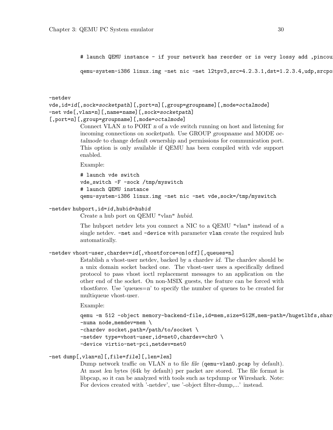# launch QEMU instance - if your network has reorder or is very lossy add ,pincou

qemu-system-i386 linux.img -net nic -net l2tpv3,src=4.2.3.1,dst=1.2.3.4,udp,srcpo

-netdev

```
vde,id=id[,sock=socketpath][,port=n][,group=groupname][,mode=octalmode]
-net vde[, vlan=n][, name=name][, sock=socketpath]
```
[,port=n][,group=groupname][,mode=octalmode]

Connect VLAN n to PORT n of a vde switch running on host and listening for incoming connections on socketpath. Use GROUP groupname and MODE octalmode to change default ownership and permissions for communication port. This option is only available if QEMU has been compiled with vde support enabled.

Example:

# launch vde switch vde\_switch -F -sock /tmp/myswitch # launch QEMU instance qemu-system-i386 linux.img -net nic -net vde,sock=/tmp/myswitch

# -netdev hubport, id=id, hubid=hubid

Create a hub port on QEMU "vlan" hubid.

The hubport netdev lets you connect a NIC to a QEMU "vlan" instead of a single netdev. -net and -device with parameter vlan create the required hub automatically.

# -netdev vhost-user,chardev=id[,vhostforce=on|off][,queues=n]

Establish a vhost-user netdev, backed by a chardev id. The chardev should be a unix domain socket backed one. The vhost-user uses a specifically defined protocol to pass vhost ioctl replacement messages to an application on the other end of the socket. On non-MSIX guests, the feature can be forced with vhostforce. Use 'queues=n' to specify the number of queues to be created for multiqueue vhost-user.

Example:

qemu -m 512 -object memory-backend-file,id=mem,size=512M,mem-path=/hugetlbfs,shar -numa node, memdev=mem \ -chardev socket,path=/path/to/socket \ -netdev type=vhost-user,id=net0,chardev=chr0 \ -device virtio-net-pci,netdev=net0

## -net dump[,vlan=n][,file=file][,len=len]

Dump network traffic on VLAN n to file file (qemu-vlan0.pcap by default). At most len bytes (64k by default) per packet are stored. The file format is libpcap, so it can be analyzed with tools such as tcpdump or Wireshark. Note: For devices created with '-netdev', use '-object filter-dump,...' instead.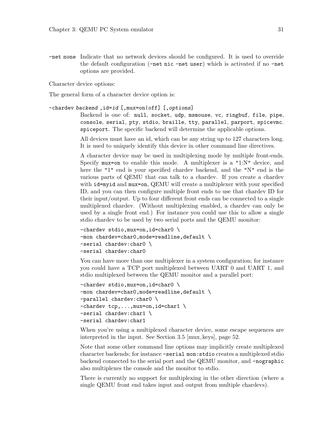-net none Indicate that no network devices should be configured. It is used to override the default configuration (-net nic -net user) which is activated if no -net options are provided.

Character device options:

The general form of a character device option is:

```
-chardev backend ,id=id [,mux=on|off] [,options]
```
Backend is one of: null, socket, udp, msmouse, vc, ringbuf, file, pipe, console, serial, pty, stdio, braille, tty, parallel, parport, spicevmc. spiceport. The specific backend will determine the applicable options.

All devices must have an id, which can be any string up to 127 characters long. It is used to uniquely identify this device in other command line directives.

A character device may be used in multiplexing mode by multiple front-ends. Specify mux=on to enable this mode. A multiplexer is a "1:N" device, and here the "1" end is your specified chardev backend, and the "N" end is the various parts of QEMU that can talk to a chardev. If you create a chardev with id=myid and mux=on, QEMU will create a multiplexer with your specified ID, and you can then configure multiple front ends to use that chardev ID for their input/output. Up to four different front ends can be connected to a single multiplexed chardev. (Without multiplexing enabled, a chardev can only be used by a single front end.) For instance you could use this to allow a single stdio chardev to be used by two serial ports and the QEMU monitor:

```
-chardev stdio, mux=on, id=char0 \
-mon chardev=char0, mode=readline, default \
-serial chardev:char0 \
-serial chardev:char0
```
You can have more than one multiplexer in a system configuration; for instance you could have a TCP port multiplexed between UART 0 and UART 1, and stdio multiplexed between the QEMU monitor and a parallel port:

```
-chardev stdio,mux=on,id=char0 \
-mon chardev=char0, mode=readline, default \
-parallel chardev:char0 \
-chardev tcp,..., mux=on, id=char1 \
-serial chardev:char1 \
-serial chardev:char1
```
When you're using a multiplexed character device, some escape sequences are interpreted in the input. See [Section 3.5 \[mux](#page-55-2) keys], page 52.

Note that some other command line options may implicitly create multiplexed character backends; for instance -serial mon:stdio creates a multiplexed stdio backend connected to the serial port and the QEMU monitor, and -nographic also multiplexes the console and the monitor to stdio.

There is currently no support for multiplexing in the other direction (where a single QEMU front end takes input and output from multiple chardevs).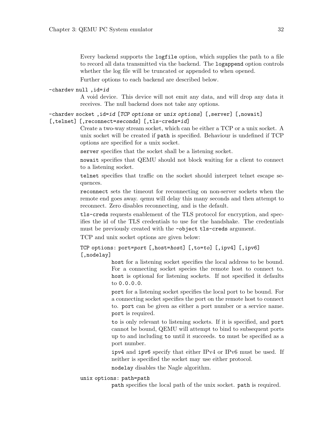Every backend supports the logfile option, which supplies the path to a file to record all data transmitted via the backend. The logappend option controls whether the log file will be truncated or appended to when opened.

Further options to each backend are described below.

```
-chardev null ,id=id
```
A void device. This device will not emit any data, and will drop any data it receives. The null backend does not take any options.

```
-chardev socket, id=id [TCP options or unix options] [, server] [, nowait]
[,telnet] [,reconnect=seconds] [,tls-creds=id]
```
Create a two-way stream socket, which can be either a TCP or a unix socket. A unix socket will be created if path is specified. Behaviour is undefined if TCP options are specified for a unix socket.

server specifies that the socket shall be a listening socket.

nowait specifies that QEMU should not block waiting for a client to connect to a listening socket.

telnet specifies that traffic on the socket should interpret telnet escape sequences.

reconnect sets the timeout for reconnecting on non-server sockets when the remote end goes away. qemu will delay this many seconds and then attempt to reconnect. Zero disables reconnecting, and is the default.

tls-creds requests enablement of the TLS protocol for encryption, and specifies the id of the TLS credentials to use for the handshake. The credentials must be previously created with the -object tls-creds argument.

TCP and unix socket options are given below:

TCP options: port=port [,host=host] [,to=to] [,ipv4] [,ipv6] [, nodelay]

> host for a listening socket specifies the local address to be bound. For a connecting socket species the remote host to connect to. host is optional for listening sockets. If not specified it defaults to 0.0.0.0.

> port for a listening socket specifies the local port to be bound. For a connecting socket specifies the port on the remote host to connect to. port can be given as either a port number or a service name. port is required.

> to is only relevant to listening sockets. If it is specified, and port cannot be bound, QEMU will attempt to bind to subsequent ports up to and including to until it succeeds. to must be specified as a port number.

> ipv4 and ipv6 specify that either IPv4 or IPv6 must be used. If neither is specified the socket may use either protocol.

nodelay disables the Nagle algorithm.

#### unix options: path=path

path specifies the local path of the unix socket. path is required.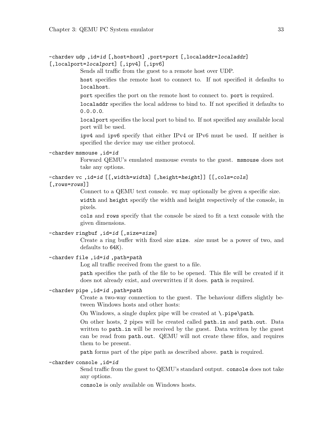```
-chardev udp, id=id [,host=host], port=port [,localaddr=localaddr]
[,localport=localport] [,ipv4] [,ipv6]
```
Sends all traffic from the guest to a remote host over UDP.

host specifies the remote host to connect to. If not specified it defaults to localhost.

port specifies the port on the remote host to connect to. port is required.

localaddr specifies the local address to bind to. If not specified it defaults to 0.0.0.0.

localport specifies the local port to bind to. If not specified any available local port will be used.

ipv4 and ipv6 specify that either IPv4 or IPv6 must be used. If neither is specified the device may use either protocol.

# -chardev msmouse ,id=id

Forward QEMU's emulated msmouse events to the guest. msmouse does not take any options.

# -chardev vc ,id=id [[,width=width] [,height=height]] [[,cols=cols]

# [,rows=rows]]

Connect to a QEMU text console. vc may optionally be given a specific size.

width and height specify the width and height respectively of the console, in pixels.

cols and rows specify that the console be sized to fit a text console with the given dimensions.

# -chardev ringbuf ,id=id [,size=size]

Create a ring buffer with fixed size size. size must be a power of two, and defaults to 64K).

# -chardev file, id=id, path=path

Log all traffic received from the guest to a file.

path specifies the path of the file to be opened. This file will be created if it does not already exist, and overwritten if it does. path is required.

# -chardev pipe, id=id, path=path

Create a two-way connection to the guest. The behaviour differs slightly between Windows hosts and other hosts:

On Windows, a single duplex pipe will be created at  $\iota$ , pipe $\path$ .

On other hosts, 2 pipes will be created called path.in and path.out. Data written to path.in will be received by the guest. Data written by the guest can be read from path.out. QEMU will not create these fifos, and requires them to be present.

path forms part of the pipe path as described above. path is required.

# -chardev console ,id=id

Send traffic from the guest to QEMU's standard output. console does not take any options.

console is only available on Windows hosts.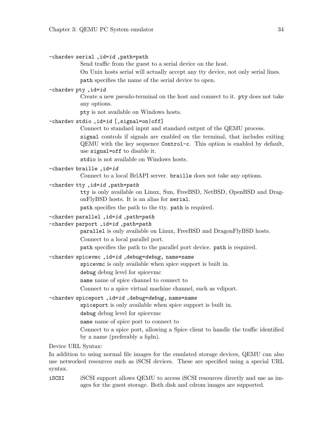```
-chardev serial, id=id, path=path
```
Send traffic from the guest to a serial device on the host.

On Unix hosts serial will actually accept any tty device, not only serial lines.

path specifies the name of the serial device to open.

# -chardev pty ,id=id

Create a new pseudo-terminal on the host and connect to it. pty does not take any options.

pty is not available on Windows hosts.

### -chardev stdio ,id=id [,signal=on|off]

Connect to standard input and standard output of the QEMU process.

signal controls if signals are enabled on the terminal, that includes exiting QEMU with the key sequence Control-c. This option is enabled by default, use signal=off to disable it.

stdio is not available on Windows hosts.

```
-chardev braille, id=id
```
Connect to a local BrlAPI server. braille does not take any options.

```
-chardev tty, id=id, path=path
```
tty is only available on Linux, Sun, FreeBSD, NetBSD, OpenBSD and DragonFlyBSD hosts. It is an alias for serial.

path specifies the path to the tty. path is required.

# -chardev parallel, id=id, path=path

# -chardev parport, id=id, path=path

parallel is only available on Linux, FreeBSD and DragonFlyBSD hosts.

Connect to a local parallel port.

path specifies the path to the parallel port device. path is required.

# -chardev spicevmc, id=id, debug=debug, name=name

spicevmc is only available when spice support is built in.

debug debug level for spicevmc

name name of spice channel to connect to

Connect to a spice virtual machine channel, such as vdiport.

# -chardev spiceport ,id=id ,debug=debug, name=name

spiceport is only available when spice support is built in.

debug debug level for spicevmc

name name of spice port to connect to

Connect to a spice port, allowing a Spice client to handle the traffic identified by a name (preferably a fqdn).

Device URL Syntax:

In addition to using normal file images for the emulated storage devices, QEMU can also use networked resources such as iSCSI devices. These are specified using a special URL syntax.

iSCSI iSCSI support allows QEMU to access iSCSI resources directly and use as images for the guest storage. Both disk and cdrom images are supported.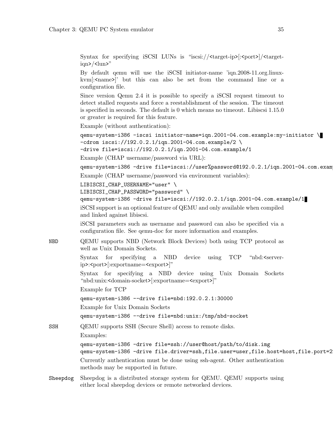Syntax for specifying iSCSI LUNs is "iscsi://<target-ip>[:<port>]/<targetign>/<lun>"

By default qemu will use the iSCSI initiator-name 'iqn.2008-11.org.linuxkvm[:<name>]' but this can also be set from the command line or a configuration file.

Since version Qemu 2.4 it is possible to specify a iSCSI request timeout to detect stalled requests and force a reestablishment of the session. The timeout is specified in seconds. The default is 0 which means no timeout. Libiscsi 1.15.0 or greater is required for this feature.

Example (without authentication):

qemu-system-i386 -iscsi initiator-name=iqn.2001-04.com.example:my-initiator \ -cdrom iscsi://192.0.2.1/iqn.2001-04.com.example/2 \ -drive file=iscsi://192.0.2.1/iqn.2001-04.com.example/1

Example (CHAP username/password via URL):

qemu-system-i386 -drive file=iscsi://user%password@192.0.2.1/iqn.2001-04.com.example/1 Example (CHAP username/password via environment variables):

LIBISCSI\_CHAP\_USERNAME="user" \

LIBISCSI\_CHAP\_PASSWORD="password" \

qemu-system-i386 -drive file=iscsi://192.0.2.1/iqn.2001-04.com.example/1 iSCSI support is an optional feature of QEMU and only available when compiled and linked against libiscsi.

iSCSI parameters such as username and password can also be specified via a configuration file. See qemu-doc for more information and examples.

NBD QEMU supports NBD (Network Block Devices) both using TCP protocol as well as Unix Domain Sockets.

> Syntax for specifying a NBD device using TCP "nbd:<serverip>:<port>[:exportname=<export>]"

> Syntax for specifying a NBD device using Unix Domain Sockets "nbd:unix:<domain-socket>[:exportname=<export>]"

Example for TCP

qemu-system-i386 --drive file=nbd:192.0.2.1:30000

Example for Unix Domain Sockets

qemu-system-i386 --drive file=nbd:unix:/tmp/nbd-socket

SSH QEMU supports SSH (Secure Shell) access to remote disks. Examples:

> qemu-system-i386 -drive file=ssh://user@host/path/to/disk.img qemu-system-i386 -drive file.driver=ssh,file.user=user,file.host=host,file.port=2 Currently authentication must be done using ssh-agent. Other authentication methods may be supported in future.

Sheepdog Sheepdog is a distributed storage system for QEMU. QEMU supports using either local sheepdog devices or remote networked devices.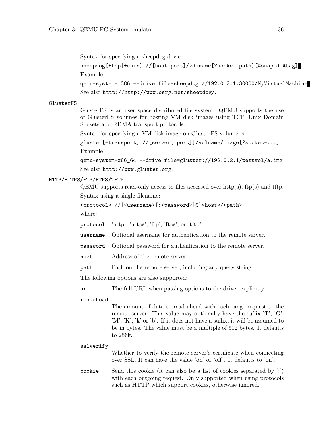Syntax for specifying a sheepdog device

sheepdog[+tcp|+unix]://[host:port]/vdiname[?socket=path][#snapid|#tag] Example

qemu-system-i386 --drive file=sheepdog://192.0.2.1:30000/MyVirtualMachine See also <http://http://www.osrg.net/sheepdog/>.

### GlusterFS

GlusterFS is an user space distributed file system. QEMU supports the use of GlusterFS volumes for hosting VM disk images using TCP, Unix Domain Sockets and RDMA transport protocols.

Syntax for specifying a VM disk image on GlusterFS volume is

gluster[+transport]://[server[:port]]/volname/image[?socket=...] Example

qemu-system-x86\_64 --drive file=gluster://192.0.2.1/testvol/a.img See also <http://www.gluster.org>.

# HTTP/HTTPS/FTP/FTPS/TFTP

 $QEMU$  supports read-only access to files accessed over  $http(s), ftp(s)$  and tftp. Syntax using a single filename:

<protocol>://[<username>[:<password>]@]<host>/<path>

where:

protocol 'http', 'https', 'ftp', 'ftps', or 'tftp'.

username Optional username for authentication to the remote server.

password Optional password for authentication to the remote server.

- host Address of the remote server.
- path Path on the remote server, including any query string.

The following options are also supported:

url The full URL when passing options to the driver explicitly.

### readahead

The amount of data to read ahead with each range request to the remote server. This value may optionally have the suffix 'T', 'G', 'M', 'K', 'k' or 'b'. If it does not have a suffix, it will be assumed to be in bytes. The value must be a multiple of 512 bytes. It defaults to 256k.

# sslverify

Whether to verify the remote server's certificate when connecting over SSL. It can have the value 'on' or 'off'. It defaults to 'on'.

cookie Send this cookie (it can also be a list of cookies separated by ';') with each outgoing request. Only supported when using protocols such as HTTP which support cookies, otherwise ignored.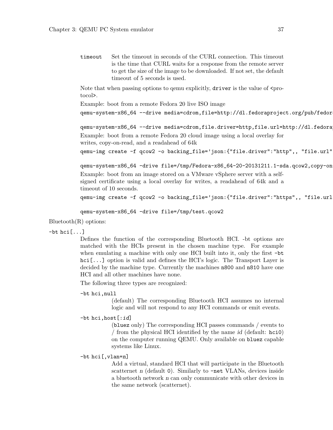timeout Set the timeout in seconds of the CURL connection. This timeout is the time that CURL waits for a response from the remote server to get the size of the image to be downloaded. If not set, the default timeout of 5 seconds is used.

Note that when passing options to qemu explicitly, driver is the value of  $\epsilon$ protocol>.

Example: boot from a remote Fedora 20 live ISO image

```
qemu-system-x86_64 --drive media=cdrom,file=http://dl.fedoraproject.org/pub/fedor
```
qemu-system-x86\_64 --drive media=cdrom,file.driver=http,file.url=http://dl.fedora

Example: boot from a remote Fedora 20 cloud image using a local overlay for writes, copy-on-read, and a readahead of 64k

gemu-img create -f gcow2 -o backing\_file='json:{"file.driver":"http",, "file.url"

```
qemu-system-x86_64 -drive file=/tmp/Fedora-x86_64-20-20131211.1-sda.qcow2,copy-on
```
Example: boot from an image stored on a VMware vSphere server with a selfsigned certificate using a local overlay for writes, a readahead of 64k and a timeout of 10 seconds.

```
qemu-img create -f qcow2 -o backing_file='json:{"file.driver":"https",, "file.url
```

```
qemu-system-x86_64 -drive file=/tmp/test.qcow2
```
 $Bluetooth(R)$  options:

 $-bt$  hci $\lceil$ ...]

Defines the function of the corresponding Bluetooth HCI. -bt options are matched with the HCIs present in the chosen machine type. For example when emulating a machine with only one HCI built into it, only the first  $-bt$  $hci$ [...] option is valid and defines the HCI's logic. The Transport Layer is decided by the machine type. Currently the machines n800 and n810 have one HCI and all other machines have none.

The following three types are recognized:

-bt hci,null

(default) The corresponding Bluetooth HCI assumes no internal logic and will not respond to any HCI commands or emit events.

-bt hci,host[:id]

(bluez only) The corresponding HCI passes commands / events to / from the physical HCI identified by the name id (default: hci0) on the computer running QEMU. Only available on bluez capable systems like Linux.

-bt hci[,vlan=n]

Add a virtual, standard HCI that will participate in the Bluetooth scatternet n (default 0). Similarly to -net VLANs, devices inside a bluetooth network n can only communicate with other devices in the same network (scatternet).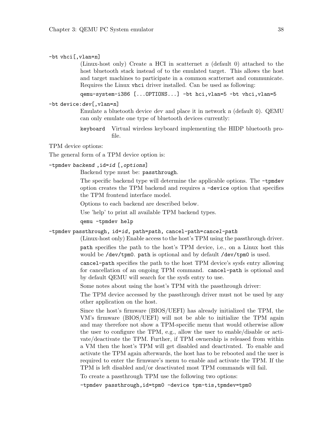# -bt vhci[, vlan=n]

(Linux-host only) Create a HCI in scatternet n (default 0) attached to the host bluetooth stack instead of to the emulated target. This allows the host and target machines to participate in a common scatternet and communicate. Requires the Linux vhci driver installed. Can be used as following:

qemu-system-i386 [...OPTIONS...] -bt hci,vlan=5 -bt vhci,vlan=5

-bt device:dev[,vlan=n]

Emulate a bluetooth device dev and place it in network n (default 0). QEMU can only emulate one type of bluetooth devices currently:

keyboard Virtual wireless keyboard implementing the HIDP bluetooth profile.

TPM device options:

The general form of a TPM device option is:

# -tpmdev backend ,id=id [,options]

Backend type must be: passthrough.

The specific backend type will determine the applicable options. The -tpmdev option creates the TPM backend and requires a -device option that specifies the TPM frontend interface model.

Options to each backend are described below.

Use 'help' to print all available TPM backend types.

qemu -tpmdev help

-tpmdev passthrough, id=id, path=path, cancel-path=cancel-path

(Linux-host only) Enable access to the host's TPM using the passthrough driver. path specifies the path to the host's TPM device, i.e., on a Linux host this would be /dev/tpm0. path is optional and by default /dev/tpm0 is used.

cancel-path specifies the path to the host TPM device's sysfs entry allowing for cancellation of an ongoing TPM command. cancel-path is optional and by default QEMU will search for the sysfs entry to use.

Some notes about using the host's TPM with the passthrough driver:

The TPM device accessed by the passthrough driver must not be used by any other application on the host.

Since the host's firmware (BIOS/UEFI) has already initialized the TPM, the VM's firmware (BIOS/UEFI) will not be able to initialize the TPM again and may therefore not show a TPM-specific menu that would otherwise allow the user to configure the TPM, e.g., allow the user to enable/disable or activate/deactivate the TPM. Further, if TPM ownership is released from within a VM then the host's TPM will get disabled and deactivated. To enable and activate the TPM again afterwards, the host has to be rebooted and the user is required to enter the firmware's menu to enable and activate the TPM. If the TPM is left disabled and/or deactivated most TPM commands will fail.

To create a passthrough TPM use the following two options:

-tpmdev passthrough, id=tpm0 -device tpm-tis, tpmdev=tpm0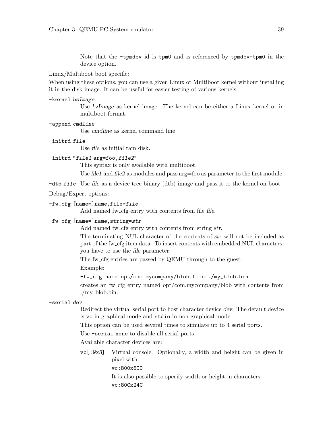Note that the -tpmdev id is tpm0 and is referenced by tpmdev=tpm0 in the device option.

### Linux/Multiboot boot specific:

When using these options, you can use a given Linux or Multiboot kernel without installing it in the disk image. It can be useful for easier testing of various kernels.

### -kernel bzImage

Use bzImage as kernel image. The kernel can be either a Linux kernel or in multiboot format.

### -append cmdline

Use cmdline as kernel command line

# -initrd file

Use file as initial ram disk.

# -initrd "file1 arg=foo,file2"

This syntax is only available with multiboot.

Use file1 and file2 as modules and pass arg=foo as parameter to the first module.

-dtb file Use file as a device tree binary (dtb) image and pass it to the kernel on boot.

Debug/Expert options:

# -fw\_cfg [name=]name,file=file

Add named fw cfg entry with contents from file file.

# -fw\_cfg [name=]name,string=str

Add named fw cfg entry with contents from string str.

The terminating NUL character of the contents of str will not be included as part of the fw cfg item data. To insert contents with embedded NUL characters, you have to use the file parameter.

The fw cfg entries are passed by QEMU through to the guest.

Example:

-fw\_cfg name=opt/com.mycompany/blob,file=./my\_blob.bin

creates an fw cfg entry named opt/com.mycompany/blob with contents from  $./$ my\_blob.bin.

### -serial dev

Redirect the virtual serial port to host character device dev. The default device is vc in graphical mode and stdio in non graphical mode.

This option can be used several times to simulate up to 4 serial ports.

Use -serial none to disable all serial ports.

Available character devices are:

vc[:WxH] Virtual console. Optionally, a width and height can be given in pixel with

vc:800x600

It is also possible to specify width or height in characters: vc:80Cx24C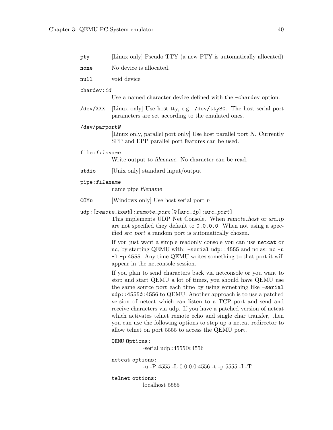| pty         | [Linux only] Pseudo TTY (a new PTY is automatically allocated)            |  |  |  |
|-------------|---------------------------------------------------------------------------|--|--|--|
| none        | No device is allocated.                                                   |  |  |  |
| null        | void device                                                               |  |  |  |
| chardev: id |                                                                           |  |  |  |
|             | Use a named character device defined with the -charder option.            |  |  |  |
|             | /dev/XXX [Linux only] Use host tty, e.g. /dev/ttyS0. The host serial port |  |  |  |

/dev/parportN

[Linux only, parallel port only] Use host parallel port N. Currently SPP and EPP parallel port features can be used.

file:filename

Write output to filename. No character can be read.

parameters are set according to the emulated ones.

stdio [Unix only] standard input/output

pipe:filename

name pipe filename

 $COMn$  [Windows only] Use host serial port n

# udp:[remote\_host]:remote\_port[@[src\_ip]:src\_port]

This implements UDP Net Console. When remote host or src ip are not specified they default to 0.0.0.0. When not using a specified src port a random port is automatically chosen.

If you just want a simple readonly console you can use netcat or nc, by starting QEMU with: -serial udp::4555 and nc as: nc -u -l -p 4555. Any time QEMU writes something to that port it will appear in the netconsole session.

If you plan to send characters back via netconsole or you want to stop and start QEMU a lot of times, you should have QEMU use the same source port each time by using something like -serial udp::4555@:4556 to QEMU. Another approach is to use a patched version of netcat which can listen to a TCP port and send and receive characters via udp. If you have a patched version of netcat which activates telnet remote echo and single char transfer, then you can use the following options to step up a netcat redirector to allow telnet on port 5555 to access the QEMU port.

QEMU Options:

-serial udp::4555@:4556

netcat options: -u -P 4555 -L 0.0.0.0:4556 -t -p 5555 -I -T

telnet options: localhost 5555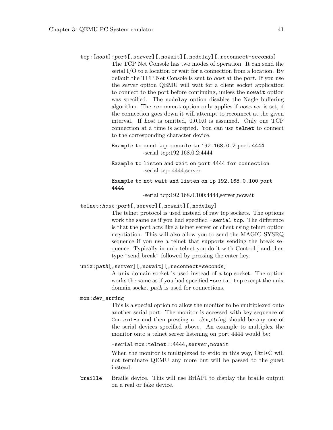tcp:[host]:port[,server][,nowait][,nodelay][,reconnect=seconds]

The TCP Net Console has two modes of operation. It can send the serial I/O to a location or wait for a connection from a location. By default the TCP Net Console is sent to host at the port. If you use the server option QEMU will wait for a client socket application to connect to the port before continuing, unless the nowait option was specified. The nodelay option disables the Nagle buffering algorithm. The reconnect option only applies if noserver is set, if the connection goes down it will attempt to reconnect at the given interval. If host is omitted, 0.0.0.0 is assumed. Only one TCP connection at a time is accepted. You can use telnet to connect to the corresponding character device.

Example to send tcp console to 192.168.0.2 port 4444 -serial tcp:192.168.0.2:4444

Example to listen and wait on port 4444 for connection -serial tcp::4444,server

Example to not wait and listen on ip 192.168.0.100 port 4444

-serial tcp:192.168.0.100:4444,server,nowait

# telnet:host:port[,server][,nowait][,nodelay]

The telnet protocol is used instead of raw tcp sockets. The options work the same as if you had specified -serial tcp. The difference is that the port acts like a telnet server or client using telnet option negotiation. This will also allow you to send the MAGIC SYSRQ sequence if you use a telnet that supports sending the break sequence. Typically in unix telnet you do it with Control-] and then type "send break" followed by pressing the enter key.

# unix:path[,server][,nowait][,reconnect=seconds]

A unix domain socket is used instead of a tcp socket. The option works the same as if you had specified -serial tcp except the unix domain socket path is used for connections.

### mon:dev\_string

This is a special option to allow the monitor to be multiplexed onto another serial port. The monitor is accessed with key sequence of Control-a and then pressing  $c$ . dev<sub>-string</sub> should be any one of the serial devices specified above. An example to multiplex the monitor onto a telnet server listening on port 4444 would be:

# -serial mon:telnet::4444,server,nowait

When the monitor is multiplexed to stdio in this way, Ctrl+C will not terminate QEMU any more but will be passed to the guest instead.

braille Braille device. This will use BrlAPI to display the braille output on a real or fake device.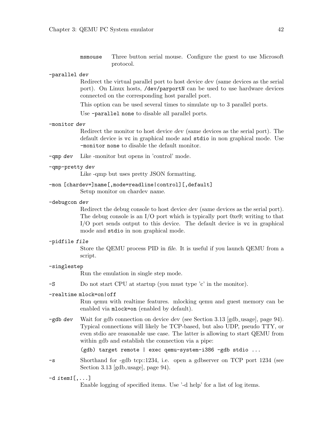msmouse Three button serial mouse. Configure the guest to use Microsoft protocol.

### -parallel dev

Redirect the virtual parallel port to host device dev (same devices as the serial port). On Linux hosts, /dev/parportN can be used to use hardware devices connected on the corresponding host parallel port.

This option can be used several times to simulate up to 3 parallel ports.

Use -parallel none to disable all parallel ports.

-monitor dev

Redirect the monitor to host device dev (same devices as the serial port). The default device is vc in graphical mode and stdio in non graphical mode. Use -monitor none to disable the default monitor.

-qmp dev Like -monitor but opens in 'control' mode.

# -qmp-pretty dev

Like -qmp but uses pretty JSON formatting.

# -mon [chardev=]name[,mode=readline|control][,default] Setup monitor on chardev name.

-debugcon dev

Redirect the debug console to host device dev (same devices as the serial port). The debug console is an I/O port which is typically port 0xe9; writing to that I/O port sends output to this device. The default device is vc in graphical mode and stdio in non graphical mode.

### -pidfile file

Store the QEMU process PID in file. It is useful if you launch QEMU from a script.

### -singlestep

Run the emulation in single step mode.

-S Do not start CPU at startup (you must type 'c' in the monitor).

### -realtime mlock=on|off

Run qemu with realtime features. mlocking qemu and guest memory can be enabled via mlock=on (enabled by default).

-gdb dev Wait for gdb connection on device dev (see [Section 3.13 \[gdb](#page-97-0) usage], page 94). Typical connections will likely be TCP-based, but also UDP, pseudo TTY, or even stdio are reasonable use case. The latter is allowing to start QEMU from within gdb and establish the connection via a pipe:

(gdb) target remote | exec qemu-system-i386 -gdb stdio ...

-s Shorthand for -gdb tcp::1234, i.e. open a gdbserver on TCP port 1234 (see [Section 3.13 \[gdb](#page-97-0)\_usage], page 94).

 $-d$  item $1[$ ,...]

Enable logging of specified items. Use '-d help' for a list of log items.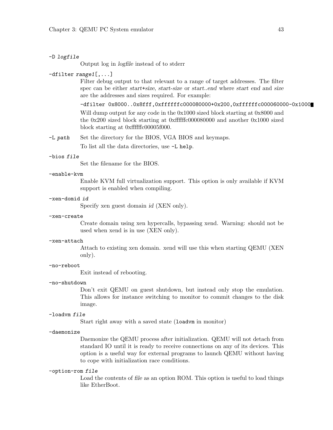# -D logfile

Output log in logfile instead of to stderr

# -dfilter range1[,...]

Filter debug output to that relevant to a range of target addresses. The filter spec can be either start+size, start-size or start..end where start end and size are the addresses and sizes required. For example:

# -dfilter 0x8000..0x8fff,0xffffffc000080000+0x200,0xffffffc000060000-0x1000

Will dump output for any code in the  $0x1000$  sized block starting at  $0x8000$  and the 0x200 sized block starting at 0xffffffc000080000 and another 0x1000 sized block starting at 0xffffffc00005f000.

-L path Set the directory for the BIOS, VGA BIOS and keymaps.

To list all the data directories, use -L help.

# -bios file

Set the filename for the BIOS.

# -enable-kvm

Enable KVM full virtualization support. This option is only available if KVM support is enabled when compiling.

### -xen-domid id

Specify xen guest domain id (XEN only).

#### -xen-create

Create domain using xen hypercalls, bypassing xend. Warning: should not be used when xend is in use (XEN only).

### -xen-attach

Attach to existing xen domain. xend will use this when starting QEMU (XEN only).

### -no-reboot

Exit instead of rebooting.

### -no-shutdown

Don't exit QEMU on guest shutdown, but instead only stop the emulation. This allows for instance switching to monitor to commit changes to the disk image.

# -loadvm file

Start right away with a saved state (loadvm in monitor)

### -daemonize

Daemonize the QEMU process after initialization. QEMU will not detach from standard IO until it is ready to receive connections on any of its devices. This option is a useful way for external programs to launch QEMU without having to cope with initialization race conditions.

### -option-rom file

Load the contents of file as an option ROM. This option is useful to load things like EtherBoot.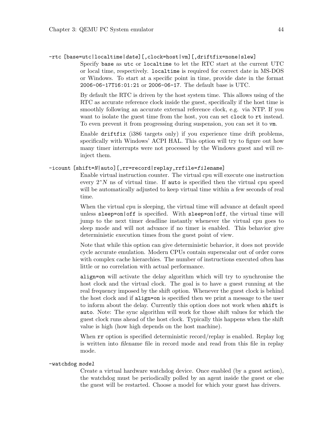# -rtc [base=utc|localtime|date][,clock=host|vm][,driftfix=none|slew]

Specify base as utc or localtime to let the RTC start at the current UTC or local time, respectively. localtime is required for correct date in MS-DOS or Windows. To start at a specific point in time, provide date in the format 2006-06-17T16:01:21 or 2006-06-17. The default base is UTC.

By default the RTC is driven by the host system time. This allows using of the RTC as accurate reference clock inside the guest, specifically if the host time is smoothly following an accurate external reference clock, e.g. via NTP. If you want to isolate the guest time from the host, you can set clock to rt instead. To even prevent it from progressing during suspension, you can set it to vm.

Enable driftfix (i386 targets only) if you experience time drift problems, specifically with Windows' ACPI HAL. This option will try to figure out how many timer interrupts were not processed by the Windows guest and will reinject them.

### -icount [shift=N|auto][,rr=record|replay,rrfile=filename]

Enable virtual instruction counter. The virtual cpu will execute one instruction every  $2^N$  ns of virtual time. If auto is specified then the virtual cpu speed will be automatically adjusted to keep virtual time within a few seconds of real time.

When the virtual cpu is sleeping, the virtual time will advance at default speed unless sleep=on|off is specified. With sleep=on|off, the virtual time will jump to the next timer deadline instantly whenever the virtual cpu goes to sleep mode and will not advance if no timer is enabled. This behavior give deterministic execution times from the guest point of view.

Note that while this option can give deterministic behavior, it does not provide cycle accurate emulation. Modern CPUs contain superscalar out of order cores with complex cache hierarchies. The number of instructions executed often has little or no correlation with actual performance.

align=on will activate the delay algorithm which will try to synchronise the host clock and the virtual clock. The goal is to have a guest running at the real frequency imposed by the shift option. Whenever the guest clock is behind the host clock and if align=on is specified then we print a message to the user to inform about the delay. Currently this option does not work when shift is auto. Note: The sync algorithm will work for those shift values for which the guest clock runs ahead of the host clock. Typically this happens when the shift value is high (how high depends on the host machine).

When **rr** option is specified deterministic record/replay is enabled. Replay log is written into filename file in record mode and read from this file in replay mode.

### -watchdog model

Create a virtual hardware watchdog device. Once enabled (by a guest action), the watchdog must be periodically polled by an agent inside the guest or else the guest will be restarted. Choose a model for which your guest has drivers.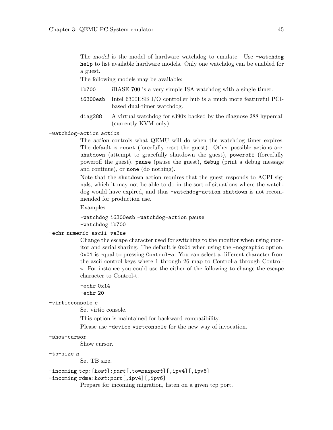The model is the model of hardware watchdog to emulate. Use -watchdog help to list available hardware models. Only one watchdog can be enabled for a guest.

The following models may be available:

- ib700 iBASE 700 is a very simple ISA watchdog with a single timer.
- i6300esb Intel 6300ESB I/O controller hub is a much more featureful PCIbased dual-timer watchdog.
- diag288 A virtual watchdog for s390x backed by the diagnose 288 hypercall (currently KVM only).

-watchdog-action action

The action controls what QEMU will do when the watchdog timer expires. The default is reset (forcefully reset the guest). Other possible actions are: shutdown (attempt to gracefully shutdown the guest), poweroff (forcefully poweroff the guest), pause (pause the guest), debug (print a debug message and continue), or none (do nothing).

Note that the shutdown action requires that the guest responds to ACPI signals, which it may not be able to do in the sort of situations where the watchdog would have expired, and thus -watchdog-action shutdown is not recommended for production use.

Examples:

```
-watchdog i6300esb -watchdog-action pause
-watchdog ib700
```
# -echr numeric\_ascii\_value

Change the escape character used for switching to the monitor when using monitor and serial sharing. The default is 0x01 when using the -nographic option. 0x01 is equal to pressing Control-a. You can select a different character from the ascii control keys where 1 through 26 map to Control-a through Controlz. For instance you could use the either of the following to change the escape character to Control-t.

-echr 0x14 -echr 20

#### -virtioconsole c

Set virtio console.

This option is maintained for backward compatibility.

Please use -device virtconsole for the new way of invocation.

### -show-cursor

Show cursor.

### -tb-size n

Set TB size.

```
-incoming tcp: [host]: port [, to=maxport] [, ipv4] [, ipv6]
```

```
-incoming rdma: host: port[,ipv4][,ipv6]
```
Prepare for incoming migration, listen on a given tcp port.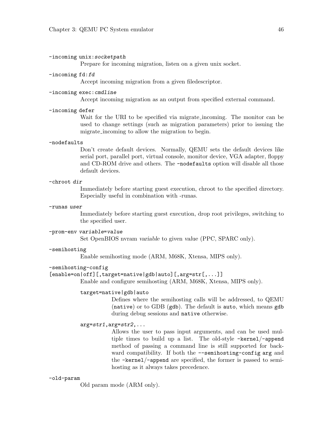### -incoming unix:socketpath

Prepare for incoming migration, listen on a given unix socket.

### -incoming fd:fd

Accept incoming migration from a given filedescriptor.

# -incoming exec:cmdline

Accept incoming migration as an output from specified external command.

### -incoming defer

Wait for the URI to be specified via migrate incoming. The monitor can be used to change settings (such as migration parameters) prior to issuing the migrate incoming to allow the migration to begin.

### -nodefaults

Don't create default devices. Normally, QEMU sets the default devices like serial port, parallel port, virtual console, monitor device, VGA adapter, floppy and CD-ROM drive and others. The -nodefaults option will disable all those default devices.

# -chroot dir

Immediately before starting guest execution, chroot to the specified directory. Especially useful in combination with -runas.

### -runas user

Immediately before starting guest execution, drop root privileges, switching to the specified user.

# -prom-env variable=value

Set OpenBIOS nvram variable to given value (PPC, SPARC only).

# -semihosting

Enable semihosting mode (ARM, M68K, Xtensa, MIPS only).

# -semihosting-config

# [enable=on|off][,target=native|gdb|auto][,arg=str[,...]]

Enable and configure semihosting (ARM, M68K, Xtensa, MIPS only).

### target=native|gdb|auto

Defines where the semihosting calls will be addressed, to QEMU (native) or to GDB (gdb). The default is auto, which means gdb during debug sessions and native otherwise.

# arg=str1,arg=str2,...

Allows the user to pass input arguments, and can be used multiple times to build up a list. The old-style -kernel/-append method of passing a command line is still supported for backward compatibility. If both the --semihosting-config arg and the -kernel/-append are specified, the former is passed to semihosting as it always takes precedence.

#### -old-param

Old param mode (ARM only).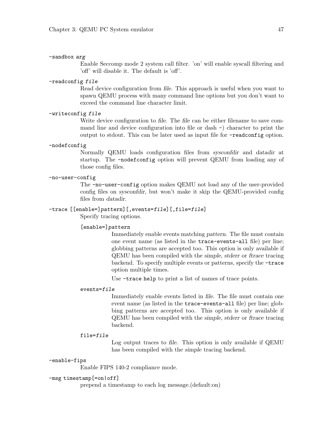### -sandbox arg

Enable Seccomp mode 2 system call filter. 'on' will enable syscall filtering and 'off' will disable it. The default is 'off'.

### -readconfig file

Read device configuration from file. This approach is useful when you want to spawn QEMU process with many command line options but you don't want to exceed the command line character limit.

# -writeconfig file

Write device configuration to file. The file can be either filename to save command line and device configuration into file or dash -) character to print the output to stdout. This can be later used as input file for -readconfig option.

### -nodefconfig

Normally QEMU loads configuration files from sysconfdir and datadir at startup. The -nodefconfig option will prevent QEMU from loading any of those config files.

### -no-user-config

The -no-user-config option makes QEMU not load any of the user-provided config files on sysconfdir, but won't make it skip the QEMU-provided config files from datadir.

# -trace [[enable=]pattern][,events=file][,file=file]

Specify tracing options.

# [enable=]pattern

Immediately enable events matching pattern. The file must contain one event name (as listed in the trace-events-all file) per line; globbing patterns are accepted too. This option is only available if QEMU has been compiled with the simple, stderr or ftrace tracing backend. To specify multiple events or patterns, specify the -trace option multiple times.

Use -trace help to print a list of names of trace points.

#### events=file

Immediately enable events listed in file. The file must contain one event name (as listed in the trace-events-all file) per line; globbing patterns are accepted too. This option is only available if QEMU has been compiled with the simple, stderr or ftrace tracing backend.

### file=file

Log output traces to file. This option is only available if QEMU has been compiled with the simple tracing backend.

### -enable-fips

Enable FIPS 140-2 compliance mode.

### -msg timestamp[=on|off]

prepend a timestamp to each log message.(default:on)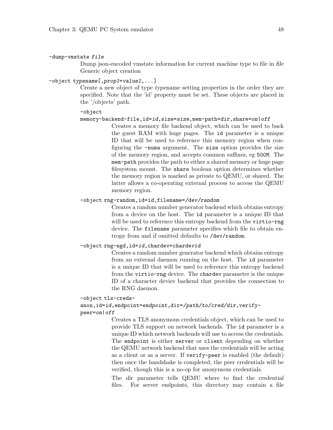### -dump-vmstate file

Dump json-encoded vmstate information for current machine type to file in file Generic object creation

# -object typename[,prop1=value1,...]

Create a new object of type typename setting properties in the order they are specified. Note that the 'id' property must be set. These objects are placed in the '/objects' path.

### -object

# memory-backend-file,id=id,size=size,mem-path=dir,share=on|off

Creates a memory file backend object, which can be used to back the guest RAM with huge pages. The id parameter is a unique ID that will be used to reference this memory region when configuring the -numa argument. The size option provides the size of the memory region, and accepts common suffixes, eg 500M. The mem-path provides the path to either a shared memory or huge page filesystem mount. The share boolean option determines whether the memory region is marked as private to QEMU, or shared. The latter allows a co-operating external process to access the QEMU memory region.

# -object rng-random,id=id,filename=/dev/random

Creates a random number generator backend which obtains entropy from a device on the host. The id parameter is a unique ID that will be used to reference this entropy backend from the virtio-rng device. The filename parameter specifies which file to obtain entropy from and if omitted defaults to /dev/random.

# -object rng-egd,id=id,chardev=chardevid

Creates a random number generator backend which obtains entropy from an external daemon running on the host. The id parameter is a unique ID that will be used to reference this entropy backend from the virtio-rng device. The chardev parameter is the unique ID of a character device backend that provides the connection to the RNG daemon.

# -object tls-creds-

anon,id=id,endpoint=endpoint,dir=/path/to/cred/dir,verifypeer=on|off

> Creates a TLS anonymous credentials object, which can be used to provide TLS support on network backends. The id parameter is a unique ID which network backends will use to access the credentials. The endpoint is either server or client depending on whether the QEMU network backend that uses the credentials will be acting as a client or as a server. If verify-peer is enabled (the default) then once the handshake is completed, the peer credentials will be verified, though this is a no-op for anonymous credentials.

> The dir parameter tells QEMU where to find the credential files. For server endpoints, this directory may contain a file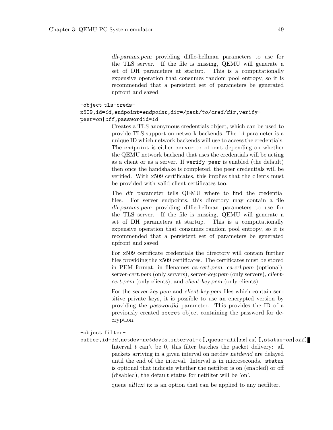dh-params.pem providing diffie-hellman parameters to use for the TLS server. If the file is missing, QEMU will generate a set of DH parameters at startup. This is a computationally expensive operation that consumes random pool entropy, so it is recommended that a persistent set of parameters be generated upfront and saved.

```
-object tls-creds-
```

```
x509,id=id,endpoint=endpoint,dir=/path/to/cred/dir,verify-
peer=on|off,passwordid=id
```
Creates a TLS anonymous credentials object, which can be used to provide TLS support on network backends. The id parameter is a unique ID which network backends will use to access the credentials. The endpoint is either server or client depending on whether the QEMU network backend that uses the credentials will be acting as a client or as a server. If verify-peer is enabled (the default) then once the handshake is completed, the peer credentials will be verified. With x509 certificates, this implies that the clients must be provided with valid client certificates too.

The dir parameter tells QEMU where to find the credential files. For server endpoints, this directory may contain a file dh-params.pem providing diffie-hellman parameters to use for the TLS server. If the file is missing, QEMU will generate a set of DH parameters at startup. This is a computationally expensive operation that consumes random pool entropy, so it is recommended that a persistent set of parameters be generated upfront and saved.

For x509 certificate credentials the directory will contain further files providing the x509 certificates. The certificates must be stored in PEM format, in filenames ca-cert.pem, ca-crl.pem (optional), server-cert.pem (only servers), server-key.pem (only servers), clientcert.pem (only clients), and client-key.pem (only clients).

For the server-key.pem and client-key.pem files which contain sensitive private keys, it is possible to use an encrypted version by providing the passwordid parameter. This provides the ID of a previously created secret object containing the password for decryption.

### -object filter-

buffer,id=id,netdev=netdevid,interval=t[,queue=all|rx|tx][,status=on|off] Interval t can't be 0, this filter batches the packet delivery: all packets arriving in a given interval on netdev netdevid are delayed until the end of the interval. Interval is in microseconds. status is optional that indicate whether the netfilter is on (enabled) or off (disabled), the default status for netfilter will be 'on'.

queue all $|rx|tx$  is an option that can be applied to any netfilter.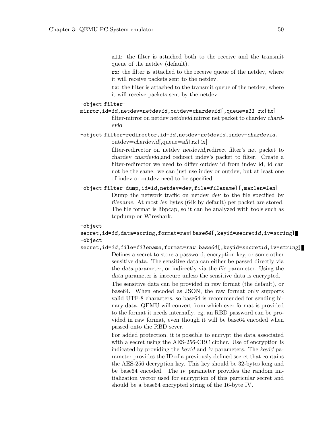all: the filter is attached both to the receive and the transmit queue of the netdev (default).

rx: the filter is attached to the receive queue of the netdev, where it will receive packets sent to the netdev.

tx: the filter is attached to the transmit queue of the netdev, where it will receive packets sent by the netdev.

### -object filter-

 $mirror$ ,id=id,netdev=netdevid,outdev=chardevid[,queue=all|rx|tx]

filter-mirror on netdev netdevid,mirror net packet to chardev chardevid

-object filter-redirector, id=id, netdev=netdevid, indev=chardevid, outdev=chardevid[,queue=all|rx|tx]

> filter-redirector on netdev netdevid,redirect filter's net packet to chardev chardevid,and redirect indev's packet to filter. Create a filter-redirector we need to differ outdev id from indev id, id can not be the same. we can just use indev or outdev, but at least one of indev or outdev need to be specified.

-object filter-dump,id=id,netdev=dev,file=filename][,maxlen=len] Dump the network traffic on netdev dev to the file specified by filename. At most len bytes (64k by default) per packet are stored. The file format is libpcap, so it can be analyzed with tools such as tcpdump or Wireshark.

### -object

secret, id=id, data=string, format=raw|base64[, keyid=secretid, iv=string] -object

secret, id=id,file=filename,format=raw|base64[, keyid=secretid, iv=string] Defines a secret to store a password, encryption key, or some other sensitive data. The sensitive data can either be passed directly via the data parameter, or indirectly via the file parameter. Using the data parameter is insecure unless the sensitive data is encrypted.

The sensitive data can be provided in raw format (the default), or base64. When encoded as JSON, the raw format only supports valid UTF-8 characters, so base64 is recommended for sending binary data. QEMU will convert from which ever format is provided to the format it needs internally. eg, an RBD password can be provided in raw format, even though it will be base64 encoded when passed onto the RBD sever.

For added protection, it is possible to encrypt the data associated with a secret using the AES-256-CBC cipher. Use of encryption is indicated by providing the keyid and iv parameters. The keyid parameter provides the ID of a previously defined secret that contains the AES-256 decryption key. This key should be 32-bytes long and be base64 encoded. The iv parameter provides the random initialization vector used for encryption of this particular secret and should be a base64 encrypted string of the 16-byte IV.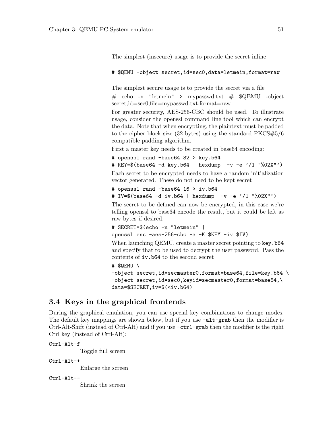The simplest (insecure) usage is to provide the secret inline

```
# $QEMU -object secret,id=sec0,data=letmein,format=raw
```
The simplest secure usage is to provide the secret via a file  $\#$  echo -n "letmein" > mypasswd.txt  $\#$  \$QEMU -object secret,id=sec0,file=mypasswd.txt,format=raw

For greater security, AES-256-CBC should be used. To illustrate usage, consider the openssl command line tool which can encrypt the data. Note that when encrypting, the plaintext must be padded to the cipher block size  $(32 \text{ bytes})$  using the standard  $PKCS#5/6$ compatible padding algorithm.

First a master key needs to be created in base64 encoding:

# openssl rand -base64 32 > key.b64

# KEY=\$(base64 -d key.b64 | hexdump -v -e '/1 "%02X"')

Each secret to be encrypted needs to have a random initialization vector generated. These do not need to be kept secret

```
# openssl rand -base64 16 > iv.b64
```
# IV=\$(base64 -d iv.b64 | hexdump -v -e '/1 "%02X"')

The secret to be defined can now be encrypted, in this case we're telling openssl to base64 encode the result, but it could be left as raw bytes if desired.

```
# SECRET=$(echo -n "letmein" |
openssl enc -aes-256-cbc -a -K $KEY -iv $IV)
```
When launching QEMU, create a master secret pointing to key.b64 and specify that to be used to decrypt the user password. Pass the contents of iv.b64 to the second secret

```
# $QEMU \
```

```
-object secret,id=secmaster0,format=base64,file=key.b64 \
-object secret,id=sec0,keyid=secmaster0,format=base64,\
data=$SECRET,iv=$(<iv.b64)
```
# 3.4 Keys in the graphical frontends

During the graphical emulation, you can use special key combinations to change modes. The default key mappings are shown below, but if you use  $-\text{alt-grad}$  then the modifier is Ctrl-Alt-Shift (instead of Ctrl-Alt) and if you use -ctrl-grab then the modifier is the right Ctrl key (instead of Ctrl-Alt):

Ctrl-Alt-f

Toggle full screen

Ctrl-Alt-+

Enlarge the screen

Ctrl-Alt--

Shrink the screen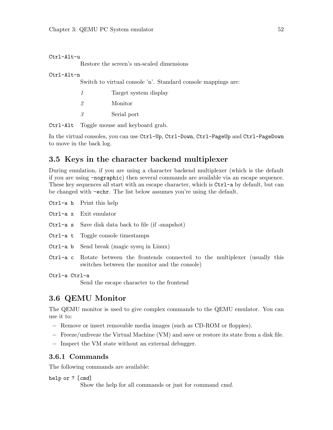### Ctrl-Alt-u

Restore the screen's un-scaled dimensions

### Ctrl-Alt-n

Switch to virtual console 'n'. Standard console mappings are:

|               | Target system display |
|---------------|-----------------------|
| - 2           | Monitor               |
| $\mathcal{S}$ | Serial port           |

Ctrl-Alt Toggle mouse and keyboard grab.

In the virtual consoles, you can use Ctrl-Up, Ctrl-Down, Ctrl-PageUp and Ctrl-PageDown to move in the back log.

# 3.5 Keys in the character backend multiplexer

During emulation, if you are using a character backend multiplexer (which is the default if you are using -nographic) then several commands are available via an escape sequence. These key sequences all start with an escape character, which is  $\text{Ctrl}-a$  by default, but can be changed with -echr. The list below assumes you're using the default.

|               | Ctrl-a h Print this help                                                                                                          |
|---------------|-----------------------------------------------------------------------------------------------------------------------------------|
|               | $Ctrl-a \times$ Exit emulator                                                                                                     |
|               | Ctrl-a s Save disk data back to file (if -snapshot)                                                                               |
|               | Ctrl-a t Toggle console timestamps                                                                                                |
|               | Ctrl-a b Send break (magic sysrq in Linux)                                                                                        |
|               | Ctrl-a c Rotate between the frontends connected to the multiplexer (usually this<br>switches between the monitor and the console) |
| Ctrl-a Ctrl-a |                                                                                                                                   |

Send the escape character to the frontend

# 3.6 QEMU Monitor

The QEMU monitor is used to give complex commands to the QEMU emulator. You can use it to:

- − Remove or insert removable media images (such as CD-ROM or floppies).
- − Freeze/unfreeze the Virtual Machine (VM) and save or restore its state from a disk file.
- − Inspect the VM state without an external debugger.

# 3.6.1 Commands

The following commands are available:

help or ? [cmd]

Show the help for all commands or just for command cmd.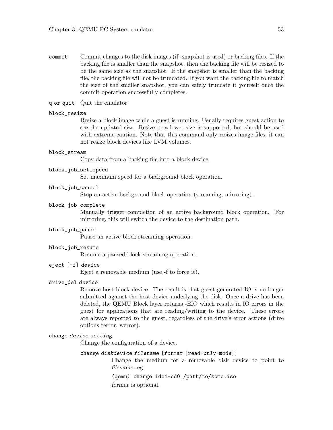commit Commit changes to the disk images (if -snapshot is used) or backing files. If the backing file is smaller than the snapshot, then the backing file will be resized to be the same size as the snapshot. If the snapshot is smaller than the backing file, the backing file will not be truncated. If you want the backing file to match the size of the smaller snapshot, you can safely truncate it yourself once the commit operation successfully completes.

q or quit Quit the emulator.

### block\_resize

Resize a block image while a guest is running. Usually requires guest action to see the updated size. Resize to a lower size is supported, but should be used with extreme caution. Note that this command only resizes image files, it can not resize block devices like LVM volumes.

### block\_stream

Copy data from a backing file into a block device.

### block\_job\_set\_speed

Set maximum speed for a background block operation.

### block\_job\_cancel

Stop an active background block operation (streaming, mirroring).

# block\_job\_complete

Manually trigger completion of an active background block operation. For mirroring, this will switch the device to the destination path.

### block\_job\_pause

Pause an active block streaming operation.

### block\_job\_resume

Resume a paused block streaming operation.

# eject [-f] device

Eject a removable medium (use -f to force it).

### drive del device

Remove host block device. The result is that guest generated IO is no longer submitted against the host device underlying the disk. Once a drive has been deleted, the QEMU Block layer returns -EIO which results in IO errors in the guest for applications that are reading/writing to the device. These errors are always reported to the guest, regardless of the drive's error actions (drive options rerror, werror).

### change device setting

Change the configuration of a device.

### change diskdevice filename [format [read-only-mode]]

Change the medium for a removable disk device to point to filename. eg

(qemu) change ide1-cd0 /path/to/some.iso format is optional.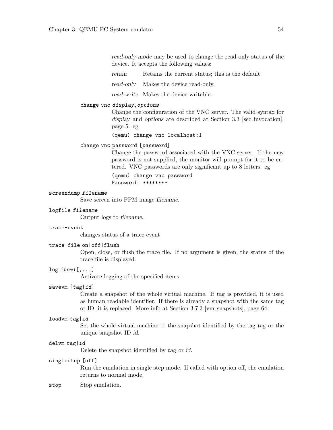read-only-mode may be used to change the read-only status of the device. It accepts the following values:

retain Retains the current status; this is the default.

read-only Makes the device read-only.

read-write Makes the device writable.

# change vnc display,options

Change the configuration of the VNC server. The valid syntax for display and options are described at [Section 3.3 \[sec](#page-8-0)\_invocation], [page 5](#page-8-0). eg

(qemu) change vnc localhost:1

### change vnc password [password]

Change the password associated with the VNC server. If the new password is not supplied, the monitor will prompt for it to be entered. VNC passwords are only significant up to 8 letters. eg

(qemu) change vnc password

Password: \*\*\*\*\*\*\*\*

### screendump filename

Save screen into PPM image filename.

### logfile filename

Output logs to filename.

### trace-event

changes status of a trace event

### trace-file on|off|flush

Open, close, or flush the trace file. If no argument is given, the status of the trace file is displayed.

# $log item1[,...]$

Activate logging of the specified items.

# savevm [tag|id]

Create a snapshot of the whole virtual machine. If tag is provided, it is used as human readable identifier. If there is already a snapshot with the same tag or ID, it is replaced. More info at Section 3.7.3 [vm\_[snapshots\], page 64](#page-67-0).

### loadvm tag|id

Set the whole virtual machine to the snapshot identified by the tag tag or the unique snapshot ID id.

### delvm tag|id

Delete the snapshot identified by tag or id.

### singlestep [off]

Run the emulation in single step mode. If called with option off, the emulation returns to normal mode.

# stop Stop emulation.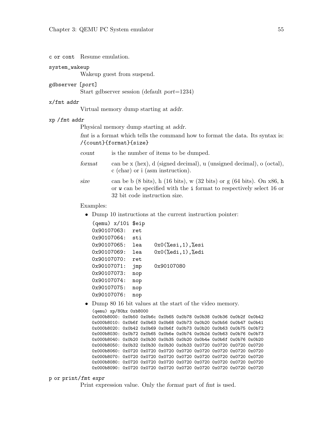c or cont Resume emulation.

#### system\_wakeup

Wakeup guest from suspend.

### gdbserver [port]

Start gdbserver session (default port=1234)

### x/fmt addr

Virtual memory dump starting at addr.

### xp /fmt addr

Physical memory dump starting at addr.

fmt is a format which tells the command how to format the data. Its syntax is: /{count}{format}{size}

- count is the number of items to be dumped.
- format can be x (hex), d (signed decimal), u (unsigned decimal), o (octal), c (char) or i (asm instruction).
- size can be b  $(8 \text{ bits}), h (16 \text{ bits}), w (32 \text{ bits})$  or g  $(64 \text{ bits}).$  On  $x86$ , h or w can be specified with the i format to respectively select 16 or 32 bit code instruction size.

Examples:

• Dump 10 instructions at the current instruction pointer:

```
(qemu) x/10i $eip
0x90107063: ret
0x90107064: sti
0x90107065: lea 0x0(%esi,1),%esi
0x90107069: lea 0x0(%edi,1),%edi
0x90107070: ret
0x90107071: jmp 0x90107080
0x90107073: nop
0x90107074: nop
0x90107075: nop
0x90107076: nop
```
• Dump 80 16 bit values at the start of the video memory.

(qemu) xp/80hx 0xb8000 0x000b8000: 0x0b50 0x0b6c 0x0b65 0x0b78 0x0b38 0x0b36 0x0b2f 0x0b42 0x000b8010: 0x0b6f 0x0b63 0x0b68 0x0b73 0x0b20 0x0b56 0x0b47 0x0b41 0x000b8020: 0x0b42 0x0b69 0x0b6f 0x0b73 0x0b20 0x0b63 0x0b75 0x0b72 0x000b8030: 0x0b72 0x0b65 0x0b6e 0x0b74 0x0b2d 0x0b63 0x0b76 0x0b73 0x000b8040: 0x0b20 0x0b30 0x0b35 0x0b20 0x0b4e 0x0b6f 0x0b76 0x0b20 0x000b8050: 0x0b32 0x0b30 0x0b30 0x0b33 0x0720 0x0720 0x0720 0x0720 0x000b8060: 0x0720 0x0720 0x0720 0x0720 0x0720 0x0720 0x0720 0x0720 0x000b8070: 0x0720 0x0720 0x0720 0x0720 0x0720 0x0720 0x0720 0x0720 0x000b8080: 0x0720 0x0720 0x0720 0x0720 0x0720 0x0720 0x0720 0x0720 0x000b8090: 0x0720 0x0720 0x0720 0x0720 0x0720 0x0720 0x0720 0x0720

### p or print/fmt expr

Print expression value. Only the format part of fmt is used.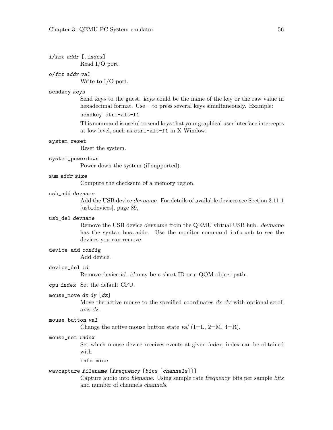i/fmt addr [.index] Read I/O port.

### o/fmt addr val

Write to I/O port.

# sendkey keys

Send keys to the guest. keys could be the name of the key or the raw value in hexadecimal format. Use - to press several keys simultaneously. Example:

# sendkey ctrl-alt-f1

This command is useful to send keys that your graphical user interface intercepts at low level, such as ctrl-alt-f1 in X Window.

### system\_reset

Reset the system.

# system\_powerdown

Power down the system (if supported).

# sum addr size

Compute the checksum of a memory region.

# usb\_add devname

Add the USB device devname. For details of available devices see [Section 3.11.1](#page-92-0) [usb [devices\], page 89,](#page-92-0)

# usb\_del devname

Remove the USB device devname from the QEMU virtual USB hub. devname has the syntax bus.addr. Use the monitor command info usb to see the devices you can remove.

### device\_add config

Add device.

# device\_del id

Remove device id. id may be a short ID or a QOM object path.

cpu index Set the default CPU.

# mouse\_move dx dy [dz]

Move the active mouse to the specified coordinates dx dy with optional scroll axis dz.

# mouse\_button val

Change the active mouse button state val  $(1=L, 2=M, 4=R)$ .

### mouse\_set index

Set which mouse device receives events at given index, index can be obtained with

info mice

# wavcapture filename [frequency [bits [channels]]]

Capture audio into filename. Using sample rate frequency bits per sample bits and number of channels channels.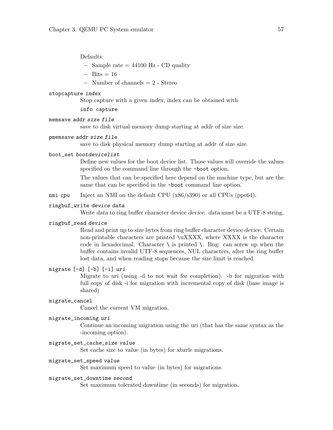Defaults:

- − Sample rate = 44100 Hz CD quality
- $-$  Bits = 16
- − Number of channels = 2 Stereo

### stopcapture index

Stop capture with a given index, index can be obtained with

info capture

# memsave addr size file

save to disk virtual memory dump starting at addr of size size.

### pmemsave addr size file

save to disk physical memory dump starting at addr of size size.

### boot\_set bootdevicelist

Define new values for the boot device list. Those values will override the values specified on the command line through the -boot option.

The values that can be specified here depend on the machine type, but are the same that can be specified in the -boot command line option.

nmi cpu Inject an NMI on the default CPU (x86/s390) or all CPUs (ppc64).

# ringbuf\_write device data

Write data to ring buffer character device device. data must be a UTF-8 string.

# ringbuf\_read device

Read and print up to size bytes from ring buffer character device device. Certain non-printable characters are printed \uXXXX, where XXXX is the character code in hexadecimal. Character  $\setminus$  is printed  $\setminus$ . Bug: can screw up when the buffer contains invalid UTF-8 sequences, NUL characters, after the ring buffer lost data, and when reading stops because the size limit is reached.

# migrate [-d] [-b] [-i] uri

Migrate to uri (using -d to not wait for completion). -b for migration with full copy of disk -i for migration with incremental copy of disk (base image is shared)

# migrate\_cancel

Cancel the current VM migration.

# migrate\_incoming uri

Continue an incoming migration using the uri (that has the same syntax as the -incoming option).

# migrate\_set\_cache\_size value

Set cache size to value (in bytes) for xbzrle migrations.

### migrate\_set\_speed value

Set maximum speed to value (in bytes) for migrations.

### migrate\_set\_downtime second

Set maximum tolerated downtime (in seconds) for migration.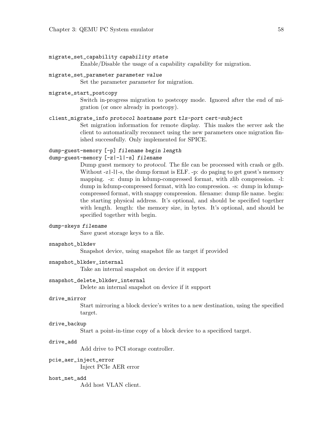# migrate\_set\_capability capability state

Enable/Disable the usage of a capability capability for migration.

# migrate\_set\_parameter parameter value

Set the parameter parameter for migration.

### migrate\_start\_postcopy

Switch in-progress migration to postcopy mode. Ignored after the end of migration (or once already in postcopy).

# client\_migrate\_info protocol hostname port tls-port cert-subject

Set migration information for remote display. This makes the server ask the client to automatically reconnect using the new parameters once migration finished successfully. Only implemented for SPICE.

# dump-guest-memory [-p] filename begin length

# dump-guest-memory [-z|-l|-s] filename

Dump guest memory to protocol. The file can be processed with crash or gdb. Without  $-z$ . The dump format is ELF. -p: do paging to get guest's memory mapping. -z: dump in kdump-compressed format, with zlib compression. -l: dump in kdump-compressed format, with lzo compression. -s: dump in kdumpcompressed format, with snappy compression. filename: dump file name. begin: the starting physical address. It's optional, and should be specified together with length. length: the memory size, in bytes. It's optional, and should be specified together with begin.

# dump-skeys filename

Save guest storage keys to a file.

### snapshot\_blkdev

Snapshot device, using snapshot file as target if provided

# snapshot\_blkdev\_internal

Take an internal snapshot on device if it support

### snapshot\_delete\_blkdev\_internal

Delete an internal snapshot on device if it support

# drive\_mirror

Start mirroring a block device's writes to a new destination, using the specified target.

### drive\_backup

Start a point-in-time copy of a block device to a specificed target.

### drive\_add

Add drive to PCI storage controller.

# pcie\_aer\_inject\_error

Inject PCIe AER error

### host\_net\_add

Add host VLAN client.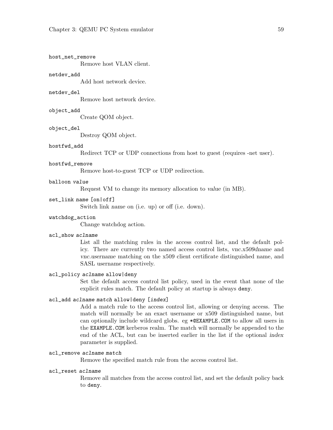host\_net\_remove

Remove host VLAN client.

### netdev\_add

Add host network device.

### netdev\_del

Remove host network device.

### object\_add

Create QOM object.

### object\_del

Destroy QOM object.

### hostfwd\_add

Redirect TCP or UDP connections from host to guest (requires -net user).

### hostfwd\_remove

Remove host-to-guest TCP or UDP redirection.

### balloon value

Request VM to change its memory allocation to value (in MB).

# set\_link name [on|off]

Switch link name on (i.e. up) or off (i.e. down).

# watchdog\_action

Change watchdog action.

# acl\_show aclname

List all the matching rules in the access control list, and the default policy. There are currently two named access control lists, vnc.x509dname and vnc.username matching on the x509 client certificate distinguished name, and SASL username respectively.

# acl\_policy aclname allow|deny

Set the default access control list policy, used in the event that none of the explicit rules match. The default policy at startup is always deny.

### acl\_add aclname match allow|deny [index]

Add a match rule to the access control list, allowing or denying access. The match will normally be an exact username or x509 distinguished name, but can optionally include wildcard globs. eg \*@EXAMPLE.COM to allow all users in the EXAMPLE.COM kerberos realm. The match will normally be appended to the end of the ACL, but can be inserted earlier in the list if the optional index parameter is supplied.

# acl\_remove aclname match

Remove the specified match rule from the access control list.

### acl\_reset aclname

Remove all matches from the access control list, and set the default policy back to deny.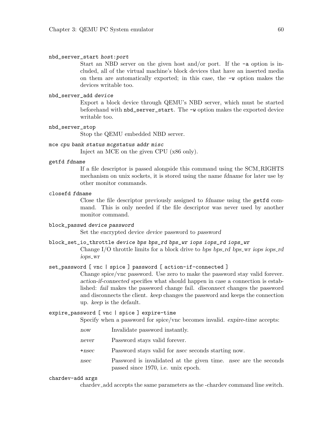# nbd\_server\_start host:port

Start an NBD server on the given host and/or port. If the -a option is included, all of the virtual machine's block devices that have an inserted media on them are automatically exported; in this case, the -w option makes the devices writable too.

# nbd\_server\_add device

Export a block device through QEMU's NBD server, which must be started beforehand with nbd\_server\_start. The -w option makes the exported device writable too.

#### nbd\_server\_stop

Stop the QEMU embedded NBD server.

### mce cpu bank status mcgstatus addr misc

Inject an MCE on the given CPU (x86 only).

### getfd fdname

If a file descriptor is passed alongside this command using the SCM RIGHTS mechanism on unix sockets, it is stored using the name fdname for later use by other monitor commands.

### closefd fdname

Close the file descriptor previously assigned to fdname using the getfd command. This is only needed if the file descriptor was never used by another monitor command.

### block\_passwd device password

Set the encrypted device device password to password

# block\_set\_io\_throttle device bps bps\_rd bps\_wr iops iops\_rd iops\_wr

Change I/O throttle limits for a block drive to bps bps rd bps wr iops iops rd iops\_wr

# set\_password [ vnc | spice ] password [ action-if-connected ]

Change spice/vnc password. Use zero to make the password stay valid forever. action-if-connected specifies what should happen in case a connection is established: fail makes the password change fail. disconnect changes the password and disconnects the client. keep changes the password and keeps the connection up. keep is the default.

# expire\_password [ vnc | spice ] expire-time

Specify when a password for spice/vnc becomes invalid. expire-time accepts:

- now Invalidate password instantly.
- never Password stays valid forever.
- +nsec Password stays valid for nsec seconds starting now.
- nsec Password is invalidated at the given time. nsec are the seconds passed since 1970, i.e. unix epoch.

### chardev-add args

chardev add accepts the same parameters as the -chardev command line switch.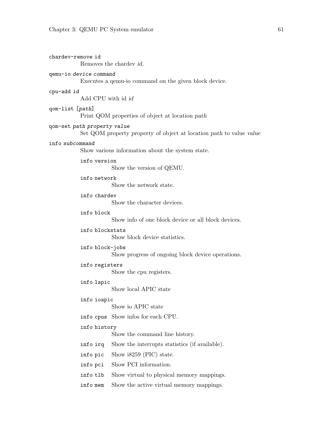Removes the chardev id. qemu-io device command Executes a qemu-io command on the given block device. cpu-add id Add CPU with id id qom-list [path] Print QOM properties of object at location path qom-set path property value Set QOM property property of object at location path to value value

### info subcommand

chardev-remove id

Show various information about the system state.

info version Show the version of QEMU.

info network Show the network state.

info chardev

Show the character devices.

### info block

Show info of one block device or all block devices.

### info blockstats

Show block device statistics.

# info block-jobs

Show progress of ongoing block device operations.

info registers

Show the cpu registers.

### info lapic

Show local APIC state

# info ioapic

Show io APIC state

info cpus Show infos for each CPU.

# info history

Show the command line history.

- info irq Show the interrupts statistics (if available).
- info pic Show i8259 (PIC) state.
- info pci Show PCI information.
- info tlb Show virtual to physical memory mappings.
- info mem Show the active virtual memory mappings.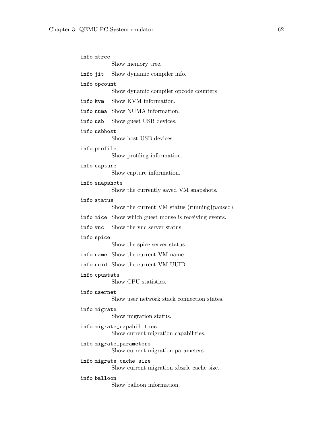info mtree Show memory tree. info jit Show dynamic compiler info. info opcount Show dynamic compiler opcode counters info kvm Show KVM information. info numa Show NUMA information. info usb Show guest USB devices. info usbhost Show host USB devices. info profile Show profiling information. info capture Show capture information. info snapshots Show the currently saved VM snapshots. info status Show the current VM status (running paused). info mice Show which guest mouse is receiving events. info vnc Show the vnc server status. info spice Show the spice server status. info name Show the current VM name. info uuid Show the current VM UUID. info cpustats Show CPU statistics. info usernet Show user network stack connection states. info migrate Show migration status. info migrate\_capabilities Show current migration capabilities. info migrate\_parameters Show current migration parameters. info migrate\_cache\_size Show current migration xbzrle cache size. info balloon Show balloon information.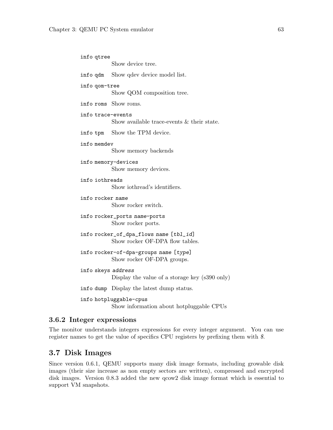info qtree Show device tree. info qdm Show qdev device model list. info qom-tree Show QOM composition tree. info roms Show roms. info trace-events Show available trace-events & their state. info tpm Show the TPM device. info memdev Show memory backends info memory-devices Show memory devices. info iothreads Show iothread's identifiers. info rocker name Show rocker switch. info rocker\_ports name-ports Show rocker ports. info rocker\_of\_dpa\_flows name [tbl\_id] Show rocker OF-DPA flow tables. info rocker-of-dpa-groups name [type] Show rocker OF-DPA groups. info skeys address Display the value of a storage key (s390 only) info dump Display the latest dump status. info hotpluggable-cpus Show information about hotpluggable CPUs 3.6.2 Integer expressions

The monitor understands integers expressions for every integer argument. You can use register names to get the value of specifics CPU registers by prefixing them with \$.

# 3.7 Disk Images

Since version 0.6.1, QEMU supports many disk image formats, including growable disk images (their size increase as non empty sectors are written), compressed and encrypted disk images. Version 0.8.3 added the new qcow2 disk image format which is essential to support VM snapshots.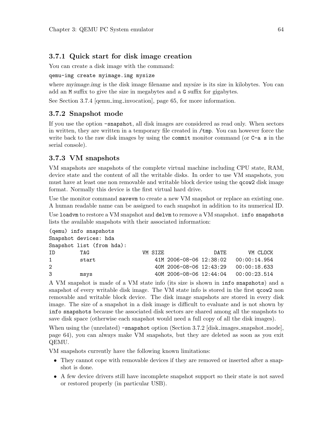# 3.7.1 Quick start for disk image creation

You can create a disk image with the command:

# qemu-img create myimage.img mysize

where myimage.img is the disk image filename and mysize is its size in kilobytes. You can add an M suffix to give the size in megabytes and a G suffix for gigabytes.

See Section 3.7.4 [qemu\_img\_[invocation\], page 65,](#page-68-0) for more information.

# <span id="page-67-1"></span>3.7.2 Snapshot mode

If you use the option -snapshot, all disk images are considered as read only. When sectors in written, they are written in a temporary file created in  $/\text{tmp}$ . You can however force the write back to the raw disk images by using the commitmonitor command (or  $C-a$  s in the serial console).

# <span id="page-67-0"></span>3.7.3 VM snapshots

VM snapshots are snapshots of the complete virtual machine including CPU state, RAM, device state and the content of all the writable disks. In order to use VM snapshots, you must have at least one non removable and writable block device using the qcow2 disk image format. Normally this device is the first virtual hard drive.

Use the monitor command savevm to create a new VM snapshot or replace an existing one. A human readable name can be assigned to each snapshot in addition to its numerical ID.

Use loadym to restore a VM snapshot and delym to remove a VM snapshot. info snapshots lists the available snapshots with their associated information:

|              | (qemu) info snapshots     |         |                         |       |              |
|--------------|---------------------------|---------|-------------------------|-------|--------------|
|              | Snapshot devices: hda     |         |                         |       |              |
|              | Snapshot list (from hda): |         |                         |       |              |
| ID           | TAG                       | VM SIZE |                         | DATF. | VM CLOCK     |
| $\mathbf{1}$ | start                     |         | 41M 2006-08-06 12:38:02 |       | 00:00:14.954 |
| 2            |                           |         | 40M 2006-08-06 12:43:29 |       | 00:00:18.633 |
| 3            | msys                      |         | 40M 2006-08-06 12:44:04 |       | 00:00:23.514 |

A VM snapshot is made of a VM state info (its size is shown in info snapshots) and a snapshot of every writable disk image. The VM state info is stored in the first qcow2 non removable and writable block device. The disk image snapshots are stored in every disk image. The size of a snapshot in a disk image is difficult to evaluate and is not shown by info snapshots because the associated disk sectors are shared among all the snapshots to save disk space (otherwise each snapshot would need a full copy of all the disk images).

When using the (unrelated) -snapshot option [\(Section 3.7.2 \[disk](#page-67-1)\_images\_snapshot\_mode], [page 64](#page-67-1)), you can always make VM snapshots, but they are deleted as soon as you exit QEMU.

VM snapshots currently have the following known limitations:

- They cannot cope with removable devices if they are removed or inserted after a snapshot is done.
- A few device drivers still have incomplete snapshot support so their state is not saved or restored properly (in particular USB).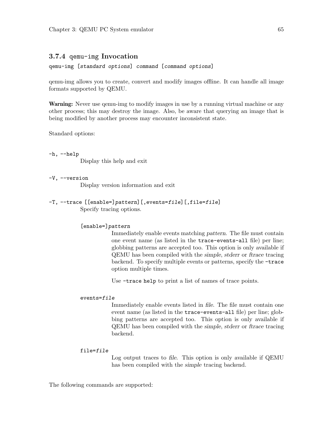# <span id="page-68-0"></span>3.7.4 qemu-img Invocation

# qemu-img [standard options] command [command options]

qemu-img allows you to create, convert and modify images offline. It can handle all image formats supported by QEMU.

**Warning:** Never use qemu-img to modify images in use by a running virtual machine or any other process; this may destroy the image. Also, be aware that querying an image that is being modified by another process may encounter inconsistent state.

Standard options:

-h, --help Display this help and exit

- -V, --version Display version information and exit
- -T, --trace [[enable=]pattern][,events=file][,file=file] Specify tracing options.

### [enable=]pattern

Immediately enable events matching pattern. The file must contain one event name (as listed in the trace-events-all file) per line; globbing patterns are accepted too. This option is only available if QEMU has been compiled with the simple, stderr or ftrace tracing backend. To specify multiple events or patterns, specify the -trace option multiple times.

Use -trace help to print a list of names of trace points.

#### events=file

Immediately enable events listed in file. The file must contain one event name (as listed in the trace-events-all file) per line; globbing patterns are accepted too. This option is only available if QEMU has been compiled with the simple, stderr or ftrace tracing backend.

### file=file

Log output traces to file. This option is only available if QEMU has been compiled with the simple tracing backend.

The following commands are supported: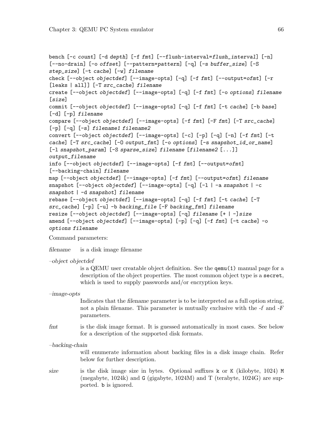```
bench [-c count] [-d depth] [-f fmt] [--flush-interval=flush_interval] [-n]
[--no-drain] [-o offset] [--pattern=pattern] [-q] [-s buffer_size] [-S
step_size] [-t cache] [-w] filename
check [--object objectdef] [--image-opts] [-q] [-f fmt] [--output=ofmt] [-r
[leaks | all]] [-T src_cache] filename
create [--object objectdef] [--image-opts] [-q] [-f fmt] [-o options] filename
[size]
commit [--object objectdef] [--image-opts] [-q] [-f fmt] [-t cache] [-b base]
[-d] [-p] filename
compare [--object objectdef] [--image-opts] [-f fmt] [-F fmt] [-T src_cache]
[-p] [-q] [-s] filename1 filename2
convert [--object objectdef] [--image-opts] [-c] [-p] [-q] [-n] [-f fmt] [-t
cache] [-T src_cache] [-O output_fmt] [-o options] [-s snapshot_id_or_name]
[-1 snapshot_param] [-S sparse_size] filename [filename2 [...]]
output_filename
info [--object objectdef] [--image-opts] [-f fmt] [--output=ofmt]
[--backing-chain] filename
map [--object objectdef] [--image-opts] [-f fmt] [--output=ofmt] filename
snapshot [--object objectdef] [--image-opts] [-q] [-1 | -a snapshot | -c
snapshot | -d snapshot] filename
rebase [--object objectdef] [--image-opts] [-q] [-f fmt] [-t cache] [-T
src_cache] [-p] [-u] -b backing_file [-F backing_fmt] filename
resize [--object objectdef] [--image-opts] [-q] filename [+ | -]size
amend [--object objectdef] [--image-opts] [-p] [-q] [-f fmt] [-t cache] -o
options filename
```
Command parameters:

filename is a disk image filename

–object objectdef

is a QEMU user creatable object definition. See the qemu(1) manual page for a description of the object properties. The most common object type is a secret, which is used to supply passwords and/or encryption keys.

–image-opts

Indicates that the filename parameter is to be interpreted as a full option string, not a plain filename. This parameter is mutually exclusive with the  $-f$  and  $-F$ parameters.

fmt is the disk image format. It is guessed automatically in most cases. See below for a description of the supported disk formats.

–backing-chain

will enumerate information about backing files in a disk image chain. Refer below for further description.

size is the disk image size in bytes. Optional suffixes k or K (kilobyte, 1024) M (megabyte,  $1024k$ ) and G (gigabyte,  $1024M$ ) and T (terabyte,  $1024G$ ) are supported. b is ignored.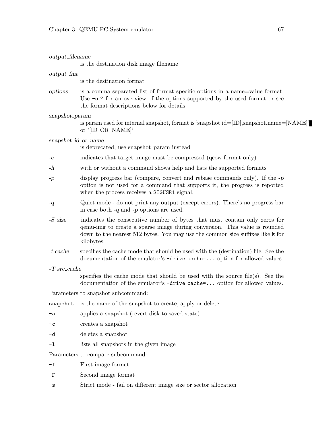| $output$ -filename  |                                                                                                                                                                                                                                                          |  |  |  |
|---------------------|----------------------------------------------------------------------------------------------------------------------------------------------------------------------------------------------------------------------------------------------------------|--|--|--|
|                     | is the destination disk image filename.                                                                                                                                                                                                                  |  |  |  |
| output_fmt          |                                                                                                                                                                                                                                                          |  |  |  |
|                     | is the destination format                                                                                                                                                                                                                                |  |  |  |
| options             | is a comma separated list of format specific options in a name=value format.<br>Use -o? for an overview of the options supported by the used format or see<br>the format descriptions below for details.                                                 |  |  |  |
| snapshot_param      |                                                                                                                                                                                                                                                          |  |  |  |
|                     | is param used for internal snapshot, format is 'snapshot.id=[ID], snapshot.name=[NAME]'<br>or '[ID_OR_NAME]'                                                                                                                                             |  |  |  |
| snapshot_id_or_name |                                                                                                                                                                                                                                                          |  |  |  |
|                     | is deprecated, use snapshot_param instead                                                                                                                                                                                                                |  |  |  |
| -c                  | indicates that target image must be compressed (qcow format only)                                                                                                                                                                                        |  |  |  |
| -h                  | with or without a command shows help and lists the supported formats                                                                                                                                                                                     |  |  |  |
| $-p$                | display progress bar (compare, convert and rebase commands only). If the $-p$<br>option is not used for a command that supports it, the progress is reported<br>when the process receives a SIGUSR1 signal.                                              |  |  |  |
| $-q$                | Quiet mode - do not print any output (except errors). There's no progress bar<br>in case both $-q$ and $-p$ options are used.                                                                                                                            |  |  |  |
| -S size             | indicates the consecutive number of bytes that must contain only zeros for<br>qemu-img to create a sparse image during conversion. This value is rounded<br>down to the nearest 512 bytes. You may use the common size suffixes like k for<br>kilobytes. |  |  |  |
| $-t$ cache          | specifies the cache mode that should be used with the (destination) file. See the<br>documentation of the emulator's -drive cache= option for allowed values.                                                                                            |  |  |  |
| $-T$ src_cache      |                                                                                                                                                                                                                                                          |  |  |  |
|                     | specifies the cache mode that should be used with the source file(s). See the<br>documentation of the emulator's -drive cache= option for allowed values.                                                                                                |  |  |  |
|                     | Parameters to snapshot subcommand:                                                                                                                                                                                                                       |  |  |  |
| snapshot            | is the name of the snapshot to create, apply or delete                                                                                                                                                                                                   |  |  |  |
| -a                  | applies a snapshot (revert disk to saved state)                                                                                                                                                                                                          |  |  |  |
| -c                  | creates a snapshot                                                                                                                                                                                                                                       |  |  |  |
| -d                  | deletes a snapshot                                                                                                                                                                                                                                       |  |  |  |
| -1                  | lists all snapshots in the given image                                                                                                                                                                                                                   |  |  |  |
|                     | Parameters to compare subcommand:                                                                                                                                                                                                                        |  |  |  |
|                     |                                                                                                                                                                                                                                                          |  |  |  |

- -f First image format
- -F Second image format
- -s Strict mode fail on different image size or sector allocation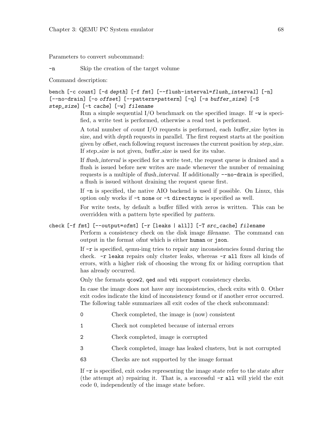Parameters to convert subcommand:

# -n Skip the creation of the target volume

Command description:

```
bench [-c count] [-d depth] [-f fmt] [--flush-interval=flush_interval] [-n]
[--no-drain] [-o offset] [--pattern=pattern] [-q] [-s buffer_size] [-S
step_size] [-t cache] [-w] filename
```
Run a simple sequential  $I/O$  benchmark on the specified image. If  $-w$  is specified, a write test is performed, otherwise a read test is performed.

A total number of count I/O requests is performed, each buffer size bytes in size, and with depth requests in parallel. The first request starts at the position given by offset, each following request increases the current position by step size. If step size is not given, buffer size is used for its value.

If flush interval is specified for a write test, the request queue is drained and a flush is issued before new writes are made whenever the number of remaining requests is a multiple of flush interval. If additionally  $\neg$ -no-drain is specified, a flush is issued without draining the request queue first.

If -n is specified, the native AIO backend is used if possible. On Linux, this option only works if -t none or -t directsync is specified as well.

For write tests, by default a buffer filled with zeros is written. This can be overridden with a pattern byte specified by pattern.

# check [-f fmt] [--output=ofmt] [-r [leaks | all]] [-T src\_cache] filename

Perform a consistency check on the disk image filename. The command can output in the format ofmt which is either human or json.

If  $-r$  is specified, gemu-img tries to repair any inconsistencies found during the check.  $-r$  leaks repairs only cluster leaks, whereas  $-r$  all fixes all kinds of errors, with a higher risk of choosing the wrong fix or hiding corruption that has already occurred.

Only the formats qcow2, qed and vdi support consistency checks.

In case the image does not have any inconsistencies, check exits with 0. Other exit codes indicate the kind of inconsistency found or if another error occurred. The following table summarizes all exit codes of the check subcommand:

- 0 Check completed, the image is (now) consistent
- 1 Check not completed because of internal errors
- 2 Check completed, image is corrupted
- 3 Check completed, image has leaked clusters, but is not corrupted
- 63 Checks are not supported by the image format

If  $-r$  is specified, exit codes representing the image state refer to the state after (the attempt at) repairing it. That is, a successful -r all will yield the exit code 0, independently of the image state before.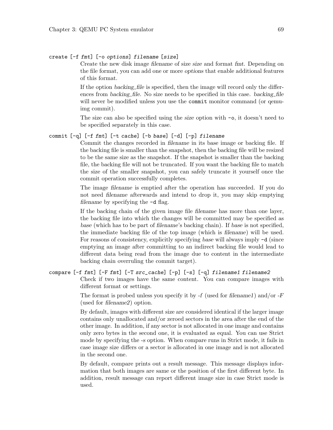```
create [-f fmt] [-o options] filename [size]
```
Create the new disk image filename of size size and format fmt. Depending on the file format, you can add one or more options that enable additional features of this format.

If the option backing file is specified, then the image will record only the differences from *backing file*. No size needs to be specified in this case. *backing file* will never be modified unless you use the commit monitor command (or qemuimg commit).

The size can also be specified using the size option with -o, it doesn't need to be specified separately in this case.

#### commit  $[-q]$   $[-f$   $f$ mt]  $[-t]$  cache]  $[-b]$  base]  $[-d]$   $[-p]$   $f$ ilename

Commit the changes recorded in filename in its base image or backing file. If the backing file is smaller than the snapshot, then the backing file will be resized to be the same size as the snapshot. If the snapshot is smaller than the backing file, the backing file will not be truncated. If you want the backing file to match the size of the smaller snapshot, you can safely truncate it yourself once the commit operation successfully completes.

The image filename is emptied after the operation has succeeded. If you do not need filename afterwards and intend to drop it, you may skip emptying filename by specifying the  $-d$  flag.

If the backing chain of the given image file filename has more than one layer, the backing file into which the changes will be committed may be specified as base (which has to be part of filename's backing chain). If base is not specified, the immediate backing file of the top image (which is filename) will be used. For reasons of consistency, explicitly specifying base will always imply -d (since emptying an image after committing to an indirect backing file would lead to different data being read from the image due to content in the intermediate backing chain overruling the commit target).

#### compare  $[-f$  fmt]  $[-F$  fmt]  $[-T$  src\_cache]  $[-p]$   $[-s]$   $[-q]$  filename1 filename2

Check if two images have the same content. You can compare images with different format or settings.

The format is probed unless you specify it by  $-f$  (used for filename1) and/or  $-F$ (used for filename2) option.

By default, images with different size are considered identical if the larger image contains only unallocated and/or zeroed sectors in the area after the end of the other image. In addition, if any sector is not allocated in one image and contains only zero bytes in the second one, it is evaluated as equal. You can use Strict mode by specifying the -s option. When compare runs in Strict mode, it fails in case image size differs or a sector is allocated in one image and is not allocated in the second one.

By default, compare prints out a result message. This message displays information that both images are same or the position of the first different byte. In addition, result message can report different image size in case Strict mode is used.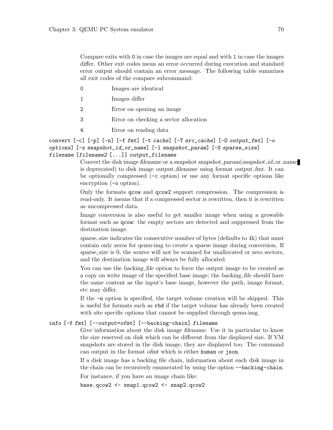Compare exits with 0 in case the images are equal and with 1 in case the images differ. Other exit codes mean an error occurred during execution and standard error output should contain an error message. The following table sumarizes all exit codes of the compare subcommand:

- 0 Images are identical
- 1 Images differ
- 2 Error on opening an image
- 3 Error on checking a sector allocation
- 4 Error on reading data

```
convert [-c] [-p] [-n] [-f fmt] [-t cache] [-T src_cache] [-O output_fmt] [-o
options] [-s snapshot_id_or_name] [-l snapshot_param] [-S sparse_size]
filename [filename2 [...]] output_filename
```
Convert the disk image filename or a snapshot snapshot param(snapshot id or name is deprecated) to disk image *output filename* using format *output fmt*. It can be optionally compressed (-c option) or use any format specific options like encryption (-o option).

Only the formats qcow and qcow2 support compression. The compression is read-only. It means that if a compressed sector is rewritten, then it is rewritten as uncompressed data.

Image conversion is also useful to get smaller image when using a growable format such as qcow: the empty sectors are detected and suppressed from the destination image.

sparse size indicates the consecutive number of bytes (defaults to 4k) that must contain only zeros for qemu-img to create a sparse image during conversion. If sparse size is 0, the source will not be scanned for unallocated or zero sectors, and the destination image will always be fully allocated.

You can use the backing file option to force the output image to be created as a copy on write image of the specified base image; the backing file should have the same content as the input's base image, however the path, image format, etc may differ.

If the -n option is specified, the target volume creation will be skipped. This is useful for formats such as rbd if the target volume has already been created with site specific options that cannot be supplied through qemu-img.

### info [-f fmt] [--output=ofmt] [--backing-chain] filename

Give information about the disk image filename. Use it in particular to know the size reserved on disk which can be different from the displayed size. If VM snapshots are stored in the disk image, they are displayed too. The command can output in the format ofmt which is either human or json.

If a disk image has a backing file chain, information about each disk image in the chain can be recursively enumerated by using the option --backing-chain.

For instance, if you have an image chain like:

base.qcow2 <- snap1.qcow2 <- snap2.qcow2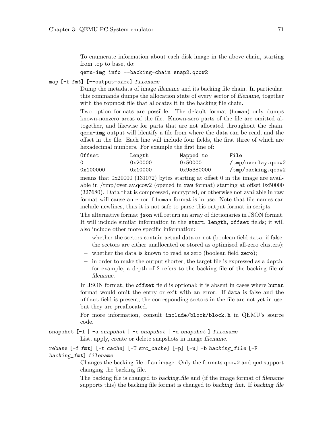To enumerate information about each disk image in the above chain, starting from top to base, do:

qemu-img info --backing-chain snap2.qcow2

#### map [-f fmt] [--output=ofmt] filename

Dump the metadata of image filename and its backing file chain. In particular, this commands dumps the allocation state of every sector of filename, together with the topmost file that allocates it in the backing file chain.

Two option formats are possible. The default format (human) only dumps known-nonzero areas of the file. Known-zero parts of the file are omitted altogether, and likewise for parts that are not allocated throughout the chain. qemu-img output will identify a file from where the data can be read, and the offset in the file. Each line will include four fields, the first three of which are hexadecimal numbers. For example the first line of:

| Offset   | Length  | Mapped to  | File               |
|----------|---------|------------|--------------------|
|          | 0x20000 | 0x50000    | /tmp/overlay.qcow2 |
| 0x100000 | 0x10000 | 0x95380000 | /tmp/backing.qcow2 |

means that 0x20000 (131072) bytes starting at offset 0 in the image are available in /tmp/overlay.qcow2 (opened in raw format) starting at offset 0x50000 (327680). Data that is compressed, encrypted, or otherwise not available in raw format will cause an error if human format is in use. Note that file names can include newlines, thus it is not safe to parse this output format in scripts.

The alternative format json will return an array of dictionaries in JSON format. It will include similar information in the start, length, offset fields; it will also include other more specific information:

- − whether the sectors contain actual data or not (boolean field data; if false, the sectors are either unallocated or stored as optimized all-zero clusters);
- − whether the data is known to read as zero (boolean field zero);
- − in order to make the output shorter, the target file is expressed as a depth; for example, a depth of 2 refers to the backing file of the backing file of filename.

In JSON format, the offset field is optional; it is absent in cases where human format would omit the entry or exit with an error. If data is false and the offset field is present, the corresponding sectors in the file are not yet in use, but they are preallocated.

For more information, consult include/block/block.h in QEMU's source code.

snapshot  $[-1 \mid -a \text{ snapshot} \mid -c \text{ snapshot} \mid -d \text{ snapshot} \cdot]$  filename List, apply, create or delete snapshots in image filename.

```
rebase [-f fmt] [-t cache] [-T src_cache] [-p] [-u] -b backing_file [-F
backing_fmt] filename
```
Changes the backing file of an image. Only the formats qcow2 and qed support changing the backing file.

The backing file is changed to backing file and (if the image format of filename supports this) the backing file format is changed to backing fmt. If backing file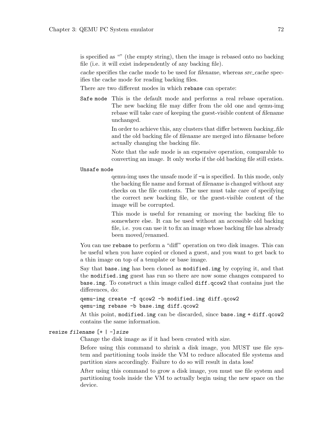is specified as "" (the empty string), then the image is rebased onto no backing file (i.e. it will exist independently of any backing file).

cache specifies the cache mode to be used for filename, whereas src cache specifies the cache mode for reading backing files.

There are two different modes in which rebase can operate:

Safe mode This is the default mode and performs a real rebase operation. The new backing file may differ from the old one and qemu-img rebase will take care of keeping the guest-visible content of filename unchanged.

> In order to achieve this, any clusters that differ between backing file and the old backing file of filename are merged into filename before actually changing the backing file.

> Note that the safe mode is an expensive operation, comparable to converting an image. It only works if the old backing file still exists.

#### Unsafe mode

qemu-img uses the unsafe mode if -u is specified. In this mode, only the backing file name and format of filename is changed without any checks on the file contents. The user must take care of specifying the correct new backing file, or the guest-visible content of the image will be corrupted.

This mode is useful for renaming or moving the backing file to somewhere else. It can be used without an accessible old backing file, i.e. you can use it to fix an image whose backing file has already been moved/renamed.

You can use rebase to perform a "diff" operation on two disk images. This can be useful when you have copied or cloned a guest, and you want to get back to a thin image on top of a template or base image.

Say that base.img has been cloned as modified.img by copying it, and that the modified.img guest has run so there are now some changes compared to base.img. To construct a thin image called diff.qcow2 that contains just the differences, do:

```
qemu-img create -f qcow2 -b modified.img diff.qcow2
qemu-img rebase -b base.img diff.qcow2
```
At this point, modified.img can be discarded, since base.img + diff.qcow2 contains the same information.

### resize filename [+ | -]size

Change the disk image as if it had been created with size.

Before using this command to shrink a disk image, you MUST use file system and partitioning tools inside the VM to reduce allocated file systems and partition sizes accordingly. Failure to do so will result in data loss!

After using this command to grow a disk image, you must use file system and partitioning tools inside the VM to actually begin using the new space on the device.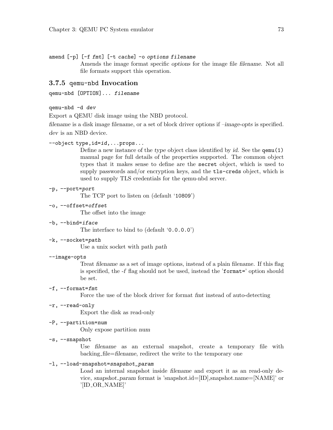amend [-p] [-f fmt] [-t cache] -o options filename

Amends the image format specific options for the image file filename. Not all file formats support this operation.

### 3.7.5 qemu-nbd Invocation

qemu-nbd [OPTION]... filename

qemu-nbd -d dev

Export a QEMU disk image using the NBD protocol.

filename is a disk image filename, or a set of block driver options if  $\text{-image-opts}$  is specified. dev is an NBD device.

#### --object type, id=id,...props...

Define a new instance of the type object class identified by id. See the  $qemu(1)$ manual page for full details of the properties supported. The common object types that it makes sense to define are the secret object, which is used to supply passwords and/or encryption keys, and the tls-creds object, which is used to supply TLS credentials for the qemu-nbd server.

#### -p, --port=port

The TCP port to listen on (default '10809')

-o, --offset=offset

The offset into the image

 $-b$ ,  $-\text{bind}=iface$ 

The interface to bind to (default '0.0.0.0')

-k, --socket=path

Use a unix socket with path path

--image-opts

Treat filename as a set of image options, instead of a plain filename. If this flag is specified, the -f flag should not be used, instead the 'format=' option should be set.

#### $-f$ ,  $-f$ ormat= $f$ mt

Force the use of the block driver for format fmt instead of auto-detecting

### -r, --read-only

Export the disk as read-only

### -P, --partition=num

Only expose partition num

### -s, --snapshot

Use filename as an external snapshot, create a temporary file with backing file=filename, redirect the write to the temporary one

### -l, --load-snapshot=snapshot\_param

Load an internal snapshot inside *filename* and export it as an read-only device, snapshot param format is 'snapshot.id=[ID],snapshot.name=[NAME]' or '[ID\_OR\_NAME]'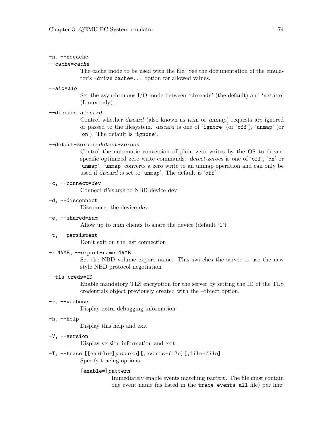#### --cache=cache

The cache mode to be used with the file. See the documentation of the emulator's -drive cache=... option for allowed values.

#### --aio=aio

Set the asynchronous I/O mode between 'threads' (the default) and 'native' (Linux only).

#### --discard=discard

Control whether discard (also known as trim or unmap) requests are ignored or passed to the filesystem. discard is one of 'ignore' (or 'off'), 'unmap' (or 'on'). The default is 'ignore'.

#### --detect-zeroes=detect-zeroes

Control the automatic conversion of plain zero writes by the OS to driverspecific optimized zero write commands. detect-zeroes is one of 'off', 'on' or 'unmap'. 'unmap' converts a zero write to an unmap operation and can only be used if discard is set to 'unmap'. The default is 'off'.

#### -c, --connect=dev

Connect filename to NBD device dev

#### -d, --disconnect

Disconnect the device dev

-e, --shared=num

Allow up to num clients to share the device (default '1')

#### -t, --persistent

Don't exit on the last connection

### -x NAME, --export-name=NAME

Set the NBD volume export name. This switches the server to use the new style NBD protocol negotiation

#### --tls-creds=ID

Enable mandatory TLS encryption for the server by setting the ID of the TLS credentials object previously created with the –object option.

#### -v, --verbose

Display extra debugging information

### -h, --help

Display this help and exit

### -V, --version

Display version information and exit

### -T, --trace [[enable=]pattern][,events=file][,file=file] Specify tracing options.

## $[enable=]$  pattern

Immediately enable events matching pattern. The file must contain one event name (as listed in the trace-events-all file) per line;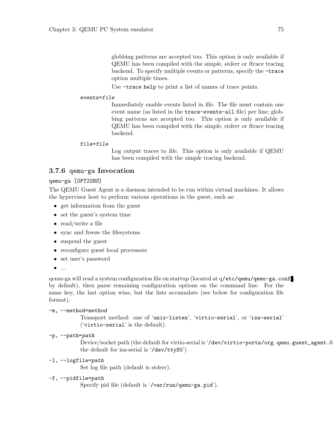globbing patterns are accepted too. This option is only available if QEMU has been compiled with the simple, stderr or ftrace tracing backend. To specify multiple events or patterns, specify the -trace option multiple times.

Use -trace help to print a list of names of trace points.

#### events=file

Immediately enable events listed in file. The file must contain one event name (as listed in the trace-events-all file) per line; globbing patterns are accepted too. This option is only available if QEMU has been compiled with the simple, stderr or ftrace tracing backend.

file=file

Log output traces to file. This option is only available if QEMU has been compiled with the simple tracing backend.

### 3.7.6 qemu-ga Invocation

### qemu-ga [OPTIONS]

The QEMU Guest Agent is a daemon intended to be run within virtual machines. It allows the hypervisor host to perform various operations in the guest, such as:

- get information from the guest
- set the guest's system time
- read/write a file
- sync and freeze the filesystems
- suspend the guest
- reconfigure guest local processors
- set user's password
- $\bullet$  ...

qemu-ga will read a system configuration file on startup (located at q/etc/qemu/qemu-ga.conf by default), then parse remaining configuration options on the command line. For the same key, the last option wins, but the lists accumulate (see below for configuration file format).

### -m, --method=method

Transport method: one of 'unix-listen', 'virtio-serial', or 'isa-serial' ('virtio-serial' is the default).

### -p, --path=path

Device/socket path (the default for virtio-serial is '/dev/virtio-ports/org.qemu.guest\_agent.0', the default for isa-serial is '/dev/ttyS0')

### -l, --logfile=path

Set log file path (default is stderr).

### -f, --pidfile=path

Specify pid file (default is '/var/run/qemu-ga.pid').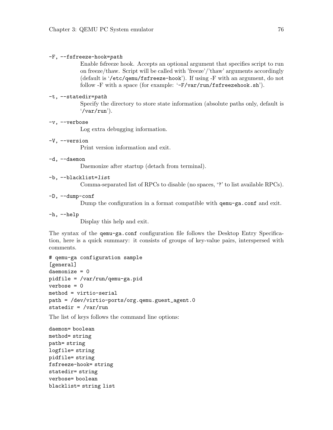#### -F, --fsfreeze-hook=path

Enable fsfreeze hook. Accepts an optional argument that specifies script to run on freeze/thaw. Script will be called with 'freeze'/'thaw' arguments accordingly (default is '/etc/qemu/fsfreeze-hook'). If using -F with an argument, do not follow -F with a space (for example: '-F/var/run/fsfreezehook.sh').

### -t, --statedir=path

Specify the directory to store state information (absolute paths only, default is  $\frac{y}{x}$  /var/run').

### -v, --verbose

Log extra debugging information.

#### -V, --version

Print version information and exit.

-d, --daemon

Daemonize after startup (detach from terminal).

-b, --blacklist=list

Comma-separated list of RPCs to disable (no spaces, '?' to list available RPCs).

-D, --dump-conf

Dump the configuration in a format compatible with qemu-ga.conf and exit.

-h, --help

Display this help and exit.

The syntax of the qemu-ga.conf configuration file follows the Desktop Entry Specification, here is a quick summary: it consists of groups of key-value pairs, interspersed with comments.

```
# qemu-ga configuration sample
[general]
daemonize = 0
pidfile = /var/run/qemu-ga.pid
verbose = 0method = virtio-serial
path = /dev/virtio-ports/org.qemu.guest_agent.0
statedir = /var/run
```
The list of keys follows the command line options:

```
daemon= boolean
method= string
path= string
logfile= string
pidfile= string
fsfreeze-hook= string
statedir= string
verbose= boolean
blacklist= string list
```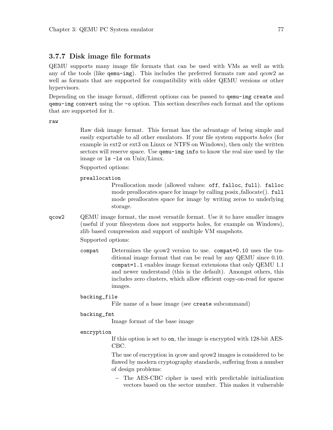### 3.7.7 Disk image file formats

QEMU supports many image file formats that can be used with VMs as well as with any of the tools (like qemu-img). This includes the preferred formats raw and qcow2 as well as formats that are supported for compatibility with older QEMU versions or other hypervisors.

Depending on the image format, different options can be passed to qemu-img create and qemu-img convert using the -o option. This section describes each format and the options that are supported for it.

raw

Raw disk image format. This format has the advantage of being simple and easily exportable to all other emulators. If your file system supports holes (for example in ext2 or ext3 on Linux or NTFS on Windows), then only the written sectors will reserve space. Use qemu-img info to know the real size used by the image or ls -ls on Unix/Linux.

Supported options:

preallocation

Preallocation mode (allowed values: off, falloc, full). falloc mode preallocates space for image by calling posix fallocate(). full mode preallocates space for image by writing zeros to underlying storage.

qcow2 QEMU image format, the most versatile format. Use it to have smaller images (useful if your filesystem does not supports holes, for example on Windows), zlib based compression and support of multiple VM snapshots.

Supported options:

compat Determines the qcow2 version to use. compat=0.10 uses the traditional image format that can be read by any QEMU since 0.10. compat=1.1 enables image format extensions that only QEMU 1.1 and newer understand (this is the default). Amongst others, this includes zero clusters, which allow efficient copy-on-read for sparse images.

backing\_file

File name of a base image (see create subcommand)

#### backing\_fmt

Image format of the base image

#### encryption

If this option is set to on, the image is encrypted with 128-bit AES-CBC.

The use of encryption in qcow and qcow2 images is considered to be flawed by modern cryptography standards, suffering from a number of design problems:

− The AES-CBC cipher is used with predictable initialization vectors based on the sector number. This makes it vulnerable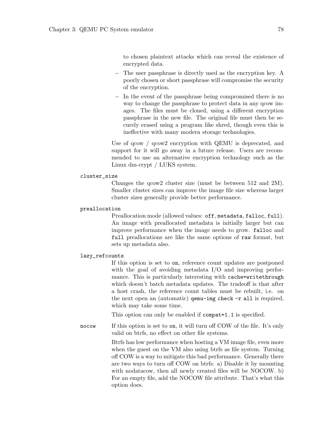to chosen plaintext attacks which can reveal the existence of encrypted data.

- − The user passphrase is directly used as the encryption key. A poorly chosen or short passphrase will compromise the security of the encryption.
- − In the event of the passphrase being compromised there is no way to change the passphrase to protect data in any qcow images. The files must be cloned, using a different encryption passphrase in the new file. The original file must then be securely erased using a program like shred, though even this is ineffective with many modern storage technologies.

Use of qcow / qcow2 encryption with QEMU is deprecated, and support for it will go away in a future release. Users are recommended to use an alternative encryption technology such as the Linux dm-crypt / LUKS system.

#### cluster\_size

Changes the qcow2 cluster size (must be between 512 and 2M). Smaller cluster sizes can improve the image file size whereas larger cluster sizes generally provide better performance.

#### preallocation

Preallocation mode (allowed values: off, metadata, falloc, full). An image with preallocated metadata is initially larger but can improve performance when the image needs to grow. falloc and full preallocations are like the same options of raw format, but sets up metadata also.

#### lazy\_refcounts

If this option is set to on, reference count updates are postponed with the goal of avoiding metadata I/O and improving performance. This is particularly interesting with cache=writethrough which doesn't batch metadata updates. The tradeoff is that after a host crash, the reference count tables must be rebuilt, i.e. on the next open an (automatic) qemu-img check -r all is required, which may take some time.

This option can only be enabled if compat=1.1 is specified.

nocow If this option is set to on, it will turn off COW of the file. It's only valid on btrfs, no effect on other file systems.

> Btrfs has low performance when hosting a VM image file, even more when the guest on the VM also using btrfs as file system. Turning off COW is a way to mitigate this bad performance. Generally there are two ways to turn off COW on btrfs: a) Disable it by mounting with nodatacow, then all newly created files will be NOCOW. b) For an empty file, add the NOCOW file attribute. That's what this option does.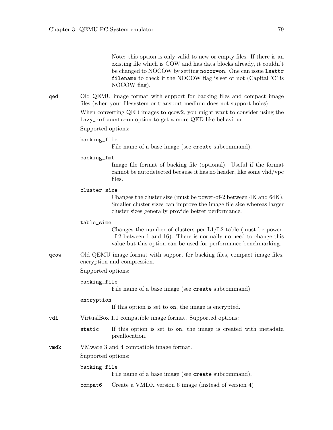Note: this option is only valid to new or empty files. If there is an existing file which is COW and has data blocks already, it couldn't be changed to NOCOW by setting nocow=on. One can issue lsattr filename to check if the NOCOW flag is set or not (Capital 'C' is NOCOW flag).

qed Old QEMU image format with support for backing files and compact image files (when your filesystem or transport medium does not support holes).

> When converting QED images to qcow2, you might want to consider using the lazy\_refcounts=on option to get a more QED-like behaviour.

Supported options:

#### backing\_file

File name of a base image (see create subcommand).

#### backing\_fmt

Image file format of backing file (optional). Useful if the format cannot be autodetected because it has no header, like some vhd/vpc files.

#### cluster\_size

Changes the cluster size (must be power-of-2 between 4K and 64K). Smaller cluster sizes can improve the image file size whereas larger cluster sizes generally provide better performance.

#### table\_size

Changes the number of clusters per L1/L2 table (must be powerof-2 between 1 and 16). There is normally no need to change this value but this option can be used for performance benchmarking.

qcow Old QEMU image format with support for backing files, compact image files, encryption and compression.

Supported options:

#### backing\_file

File name of a base image (see create subcommand)

#### encryption

If this option is set to on, the image is encrypted.

| vdi | VirtualBox 1.1 compatible image format. Supported options: |  |  |  |  |  |  |  |
|-----|------------------------------------------------------------|--|--|--|--|--|--|--|
|-----|------------------------------------------------------------|--|--|--|--|--|--|--|

- static If this option is set to on, the image is created with metadata preallocation.
- vmdk VMware 3 and 4 compatible image format.

Supported options:

backing\_file

File name of a base image (see create subcommand).

compat6 Create a VMDK version 6 image (instead of version 4)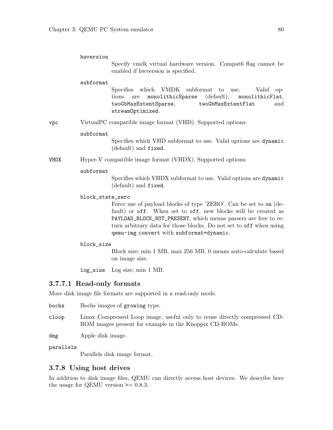|       | hwyersion                     |                                                                                                                                                                                                                                                                                                                        |  |  |  |  |  |
|-------|-------------------------------|------------------------------------------------------------------------------------------------------------------------------------------------------------------------------------------------------------------------------------------------------------------------------------------------------------------------|--|--|--|--|--|
|       |                               | Specify vmdk virtual hardware version. Compat6 flag cannot be<br>enabled if hwyersion is specified.                                                                                                                                                                                                                    |  |  |  |  |  |
|       | subformat                     | which VMDK subformat<br><b>Specifies</b><br>to use.<br>Valid                                                                                                                                                                                                                                                           |  |  |  |  |  |
|       |                               | op-<br>(default),<br>tions<br>monolithicSparse<br>$\operatorname{are}$<br>monolithicFlat,<br>twoGbMaxExtentSparse,<br>twoGbMaxExtentFlat<br>and<br>streamOptimized.                                                                                                                                                    |  |  |  |  |  |
| vpc   |                               | VirtualPC compatible image format (VHD). Supported options:                                                                                                                                                                                                                                                            |  |  |  |  |  |
|       | subformat                     |                                                                                                                                                                                                                                                                                                                        |  |  |  |  |  |
|       |                               | Specifies which VHD subformat to use. Valid options are dynamic<br>(default) and fixed.                                                                                                                                                                                                                                |  |  |  |  |  |
| VHDX  |                               | Hyper-V compatible image format (VHDX). Supported options:                                                                                                                                                                                                                                                             |  |  |  |  |  |
|       | subformat                     |                                                                                                                                                                                                                                                                                                                        |  |  |  |  |  |
|       |                               | Specifies which VHDX subformat to use. Valid options are dynamic<br>(default) and fixed.                                                                                                                                                                                                                               |  |  |  |  |  |
|       | block_state_zero              |                                                                                                                                                                                                                                                                                                                        |  |  |  |  |  |
|       |                               | Force use of payload blocks of type 'ZERO'. Can be set to on (de-<br>fault) or off. When set to off, new blocks will be created as<br>PAYLOAD_BLOCK_NOT_PRESENT, which means parsers are free to re-<br>turn arbitrary data for those blocks. Do not set to off when using<br>qemu-img convert with subformat=dynamic. |  |  |  |  |  |
|       | block_size                    |                                                                                                                                                                                                                                                                                                                        |  |  |  |  |  |
|       |                               | Block size; min 1 MB, max 256 MB. 0 means auto-calculate based<br>on image size.                                                                                                                                                                                                                                       |  |  |  |  |  |
|       |                               | $log\_size$ $Log size; min 1 MB.$                                                                                                                                                                                                                                                                                      |  |  |  |  |  |
|       |                               | 3.7.7.1 Read-only formats                                                                                                                                                                                                                                                                                              |  |  |  |  |  |
|       |                               | More disk image file formats are supported in a read-only mode.                                                                                                                                                                                                                                                        |  |  |  |  |  |
| bochs | Bochs images of growing type. |                                                                                                                                                                                                                                                                                                                        |  |  |  |  |  |

cloop Linux Compressed Loop image, useful only to reuse directly compressed CD-ROM images present for example in the Knoppix CD-ROMs.

dmg Apple disk image.

parallels

Parallels disk image format.

## 3.7.8 Using host drives

In addition to disk image files, QEMU can directly access host devices. We describe here the usage for QEMU version  $\geq 0.8.3$ .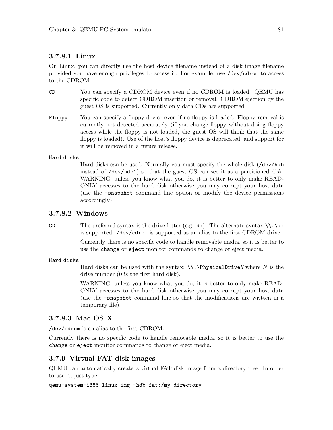### 3.7.8.1 Linux

On Linux, you can directly use the host device filename instead of a disk image filename provided you have enough privileges to access it. For example, use /dev/cdrom to access to the CDROM.

- CD You can specify a CDROM device even if no CDROM is loaded. QEMU has specific code to detect CDROM insertion or removal. CDROM ejection by the guest OS is supported. Currently only data CDs are supported.
- Floppy You can specify a floppy device even if no floppy is loaded. Floppy removal is currently not detected accurately (if you change floppy without doing floppy access while the floppy is not loaded, the guest OS will think that the same floppy is loaded). Use of the host's floppy device is deprecated, and support for it will be removed in a future release.

Hard disks

Hard disks can be used. Normally you must specify the whole disk (/dev/hdb instead of /dev/hdb1) so that the guest OS can see it as a partitioned disk. WARNING: unless you know what you do, it is better to only make READ-ONLY accesses to the hard disk otherwise you may corrupt your host data (use the -snapshot command line option or modify the device permissions accordingly).

### 3.7.8.2 Windows

CD The preferred syntax is the drive letter (e.g. d:). The alternate syntax  $\setminus \setminus \setminus d$ : is supported. /dev/cdrom is supported as an alias to the first CDROM drive.

> Currently there is no specific code to handle removable media, so it is better to use the change or eject monitor commands to change or eject media.

Hard disks

Hard disks can be used with the syntax:  $\{\.\}\$  PhysicalDriveN where N is the drive number (0 is the first hard disk).

WARNING: unless you know what you do, it is better to only make READ-ONLY accesses to the hard disk otherwise you may corrupt your host data (use the -snapshot command line so that the modifications are written in a temporary file).

### 3.7.8.3 Mac OS X

/dev/cdrom is an alias to the first CDROM.

Currently there is no specific code to handle removable media, so it is better to use the change or eject monitor commands to change or eject media.

### 3.7.9 Virtual FAT disk images

QEMU can automatically create a virtual FAT disk image from a directory tree. In order to use it, just type:

qemu-system-i386 linux.img -hdb fat:/my\_directory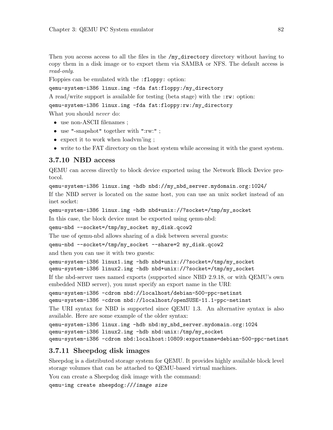Then you access access to all the files in the /my\_directory directory without having to copy them in a disk image or to export them via SAMBA or NFS. The default access is read-only.

Floppies can be emulated with the :floppy: option:

qemu-system-i386 linux.img -fda fat:floppy:/my\_directory

A read/write support is available for testing (beta stage) with the  $:\mathbf{rw}:\text{option}:$ 

qemu-system-i386 linux.img -fda fat:floppy:rw:/my\_directory

What you should *never* do:

- use non-ASCII filenames ;
- use "-snapshot" together with ":rw:" ;
- expect it to work when loadym'ing ;
- write to the FAT directory on the host system while accessing it with the guest system.

### 3.7.10 NBD access

QEMU can access directly to block device exported using the Network Block Device protocol.

qemu-system-i386 linux.img -hdb nbd://my\_nbd\_server.mydomain.org:1024/ If the NBD server is located on the same host, you can use an unix socket instead of an inet socket:

qemu-system-i386 linux.img -hdb nbd+unix://?socket=/tmp/my\_socket

In this case, the block device must be exported using qemu-nbd:

qemu-nbd --socket=/tmp/my\_socket my\_disk.qcow2

The use of qemu-nbd allows sharing of a disk between several guests:

```
qemu-nbd --socket=/tmp/my_socket --share=2 my_disk.qcow2
```
and then you can use it with two guests:

qemu-system-i386 linux1.img -hdb nbd+unix://?socket=/tmp/my\_socket qemu-system-i386 linux2.img -hdb nbd+unix://?socket=/tmp/my\_socket

If the nbd-server uses named exports (supported since NBD 2.9.18, or with QEMU's own embedded NBD server), you must specify an export name in the URI:

qemu-system-i386 -cdrom nbd://localhost/debian-500-ppc-netinst qemu-system-i386 -cdrom nbd://localhost/openSUSE-11.1-ppc-netinst

The URI syntax for NBD is supported since QEMU 1.3. An alternative syntax is also available. Here are some example of the older syntax:

```
qemu-system-i386 linux.img -hdb nbd:my_nbd_server.mydomain.org:1024
qemu-system-i386 linux2.img -hdb nbd:unix:/tmp/my_socket
qemu-system-i386 -cdrom nbd:localhost:10809:exportname=debian-500-ppc-netinst
```
## 3.7.11 Sheepdog disk images

Sheepdog is a distributed storage system for QEMU. It provides highly available block level storage volumes that can be attached to QEMU-based virtual machines.

You can create a Sheepdog disk image with the command:

qemu-img create sheepdog:///image size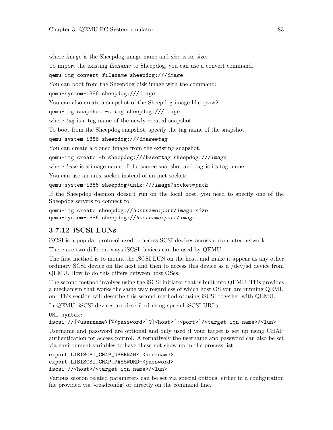where *image* is the Sheepdog image name and *size* is its size.

To import the existing filename to Sheepdog, you can use a convert command.

### qemu-img convert filename sheepdog:///image

You can boot from the Sheepdog disk image with the command:

qemu-system-i386 sheepdog:///image

You can also create a snapshot of the Sheepdog image like  $q_{\text{c}}$  and You

qemu-img snapshot -c tag sheepdog:///image

where tag is a tag name of the newly created snapshot.

To boot from the Sheepdog snapshot, specify the tag name of the snapshot.

### qemu-system-i386 sheepdog:///image#tag

You can create a cloned image from the existing snapshot.

qemu-img create -b sheepdog:///base#tag sheepdog:///image

where base is a image name of the source snapshot and tag is its tag name.

You can use an unix socket instead of an inet socket:

qemu-system-i386 sheepdog+unix:///image?socket=path

If the Sheepdog daemon doesn't run on the local host, you need to specify one of the Sheepdog servers to connect to.

qemu-img create sheepdog://hostname:port/image size qemu-system-i386 sheepdog://hostname:port/image

### 3.7.12 iSCSI LUNs

iSCSI is a popular protocol used to access SCSI devices across a computer network.

There are two different ways iSCSI devices can be used by QEMU.

The first method is to mount the iSCSI LUN on the host, and make it appear as any other ordinary SCSI device on the host and then to access this device as a /dev/sd device from QEMU. How to do this differs between host OSes.

The second method involves using the iSCSI initiator that is built into QEMU. This provides a mechanism that works the same way regardless of which host OS you are running QEMU on. This section will describe this second method of using iSCSI together with QEMU.

In QEMU, iSCSI devices are described using special iSCSI URLs

```
URL syntax:
```
iscsi://[<username>[%<password>]@]<host>[:<port>]/<target-iqn-name>/<lun>

Username and password are optional and only used if your target is set up using CHAP authentication for access control. Alternatively the username and password can also be set via environment variables to have these not show up in the process list

```
export LIBISCSI_CHAP_USERNAME=<username>
export LIBISCSI_CHAP_PASSWORD=<password>
iscsi://<host>/<target-iqn-name>/<lun>
```
Various session related parameters can be set via special options, either in a configuration file provided via '-readconfig' or directly on the command line.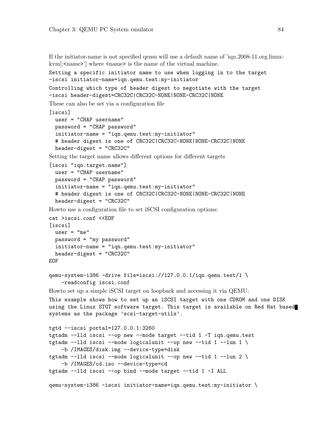If the initiator-name is not specified qemu will use a default name of 'iqn.2008-11.org.linuxkvm[:<name>'] where <name> is the name of the virtual machine.

```
Setting a specific initiator name to use when logging in to the target
-iscsi initiator-name=iqn.qemu.test:my-initiator
```

```
Controlling which type of header digest to negotiate with the target
-iscsi header-digest=CRC32C|CRC32C-NONE|NONE-CRC32C|NONE
```
These can also be set via a configuration file

```
[iscsi]
 user = "CHAP username"
 password = "CHAP password"
 initiator-name = "iqn.qemu.test:my-initiator"
 # header digest is one of CRC32C|CRC32C-NONE|NONE-CRC32C|NONE
 header-digest = "CRC32C"
```
Setting the target name allows different options for different targets

```
[iscsi "iqn.target.name"]
 user = "CHAP username"
 password = "CHAP password"
 initiator-name = "iqn.qemu.test:my-initiator"
 # header digest is one of CRC32C|CRC32C-NONE|NONE-CRC32C|NONE
 header-digest = "CRC32C"
```
Howto use a configuration file to set iSCSI configuration options:

```
cat >iscsi.conf <<EOF
[iscsi]
 user = "me"
 password = "my password"
  initiator-name = "iqn.qemu.test:my-initiator"
 header-digest = "CRC32C"
EOF
```

```
qemu-system-i386 -drive file=iscsi://127.0.0.1/iqn.qemu.test/1 \
   -readconfig iscsi.conf
```
Howto set up a simple iSCSI target on loopback and accessing it via QEMU:

```
This example shows how to set up an iSCSI target with one CDROM and one DISK
using the Linux STGT software target. This target is available on Red Hat based
systems as the package 'scsi-target-utils'.
```

```
tgtd --iscsi portal=127.0.0.1:3260
tgtadm --lld iscsi --op new --mode target --tid 1 -T iqn.qemu.test
tgtadm --11d iscsi --mode logicalunit --op new --tid 1 --lun 1 \setminus-b /IMAGES/disk.img --device-type=disk
tgtadm --11d iscsi --mode logicalunit --op new --tid 1 --1un 2 \
    -b /IMAGES/cd.iso --device-type=cd
tgtadm --lld iscsi --op bind --mode target --tid 1 -I ALL
```
qemu-system-i386 -iscsi initiator-name=iqn.qemu.test:my-initiator \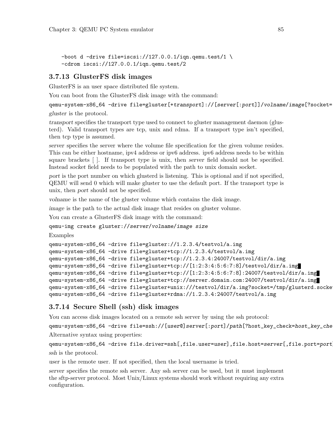```
-boot d -drive file=iscsi://127.0.0.1/iqn.qemu.test/1 \
-cdrom iscsi://127.0.0.1/iqn.qemu.test/2
```
### 3.7.13 GlusterFS disk images

GlusterFS is an user space distributed file system.

You can boot from the GlusterFS disk image with the command:

```
qemu-system-x86_64 -drive file=gluster[+transport]://[server[:port]]/volname/image[?socket=
gluster is the protocol.
```
transport specifies the transport type used to connect to gluster management daemon (glusterd). Valid transport types are tcp, unix and rdma. If a transport type isn't specified, then tcp type is assumed.

server specifies the server where the volume file specification for the given volume resides. This can be either hostname, ipv4 address or ipv6 address. ipv6 address needs to be within square brackets []. If transport type is unix, then server field should not be specified. Instead socket field needs to be populated with the path to unix domain socket.

port is the port number on which glusterd is listening. This is optional and if not specified, QEMU will send 0 which will make gluster to use the default port. If the transport type is unix, then port should not be specified.

volname is the name of the gluster volume which contains the disk image.

image is the path to the actual disk image that resides on gluster volume.

You can create a GlusterFS disk image with the command:

```
qemu-img create gluster://server/volname/image size
```
Examples

```
qemu-system-x86_64 -drive file=gluster://1.2.3.4/testvol/a.img
qemu-system-x86_64 -drive file=gluster+tcp://1.2.3.4/testvol/a.img
qemu-system-x86_64 -drive file=gluster+tcp://1.2.3.4:24007/testvol/dir/a.img
qemu-system-x86_64 -drive file=gluster+tcp://[1:2:3:4:5:6:7:8]/testvol/dir/a.img
qemu-system-x86_64 -drive file=gluster+tcp://[1:2:3:4:5:6:7:8]:24007/testvol/dir/a.img
qemu-system-x86_64 -drive file=gluster+tcp://server.domain.com:24007/testvol/dir/a.img
qemu-system-x86_64 -drive file=gluster+unix:///testvol/dir/a.img?socket=/tmp/glusterd.socket
qemu-system-x86_64 -drive file=gluster+rdma://1.2.3.4:24007/testvol/a.img
```
### 3.7.14 Secure Shell (ssh) disk images

You can access disk images located on a remote ssh server by using the ssh protocol:

qemu-system-x86\_64 -drive file=ssh://[user@]server[:port]/path[?host\_key\_check=host\_key\_check] Alternative syntax using properties:

```
qemu-system-x86_64 -drive file.driver=ssh[,file.user=user],file.host=server[,file.port=port
ssh is the protocol.
```
user is the remote user. If not specified, then the local username is tried.

server specifies the remote ssh server. Any ssh server can be used, but it must implement the sftp-server protocol. Most Unix/Linux systems should work without requiring any extra configuration.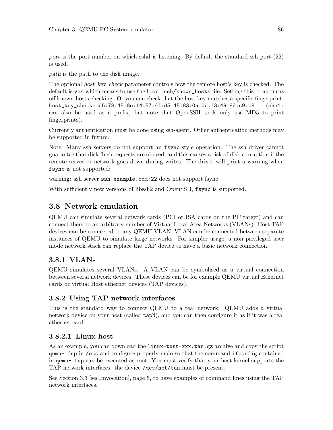port is the port number on which sshd is listening. By default the standard ssh port (22) is used.

path is the path to the disk image.

The optional host\_key\_check parameter controls how the remote host's key is checked. The default is yes which means to use the local .ssh/known\_hosts file. Setting this to no turns off known-hosts checking. Or you can check that the host key matches a specific fingerprint: host\_key\_check=md5:78:45:8e:14:57:4f:d5:45:83:0a:0e:f3:49:82:c9:c8 (sha1: can also be used as a prefix, but note that OpenSSH tools only use MD5 to print fingerprints).

Currently authentication must be done using ssh-agent. Other authentication methods may be supported in future.

Note: Many ssh servers do not support an fsync-style operation. The ssh driver cannot guarantee that disk flush requests are obeyed, and this causes a risk of disk corruption if the remote server or network goes down during writes. The driver will print a warning when fsync is not supported:

warning: ssh server ssh.example.com: 22 does not support fsync

With sufficiently new versions of libssh2 and OpenSSH,  $\epsilon$  are is supported.

## 3.8 Network emulation

QEMU can simulate several network cards (PCI or ISA cards on the PC target) and can connect them to an arbitrary number of Virtual Local Area Networks (VLANs). Host TAP devices can be connected to any QEMU VLAN. VLAN can be connected between separate instances of QEMU to simulate large networks. For simpler usage, a non privileged user mode network stack can replace the TAP device to have a basic network connection.

### 3.8.1 VLANs

QEMU simulates several VLANs. A VLAN can be symbolised as a virtual connection between several network devices. These devices can be for example QEMU virtual Ethernet cards or virtual Host ethernet devices (TAP devices).

## 3.8.2 Using TAP network interfaces

This is the standard way to connect QEMU to a real network. QEMU adds a virtual network device on your host (called tapN), and you can then configure it as if it was a real ethernet card.

### 3.8.2.1 Linux host

As an example, you can download the linux-test-xxx.tar.gz archive and copy the script qemu-ifup in /etc and configure properly sudo so that the command ifconfig contained in qemu-ifup can be executed as root. You must verify that your host kernel supports the TAP network interfaces: the device /dev/net/tun must be present.

See Section 3.3 [sec [invocation\], page 5,](#page-8-0) to have examples of command lines using the TAP network interfaces.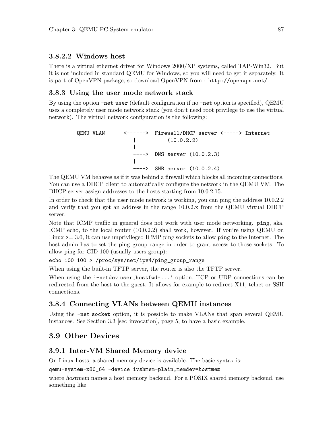### 3.8.2.2 Windows host

There is a virtual ethernet driver for Windows 2000/XP systems, called TAP-Win32. But it is not included in standard QEMU for Windows, so you will need to get it separately. It is part of OpenVPN package, so download OpenVPN from : <http://openvpn.net/>.

### 3.8.3 Using the user mode network stack

By using the option -net user (default configuration if no -net option is specified), QEMU uses a completely user mode network stack (you don't need root privilege to use the virtual network). The virtual network configuration is the following:

> QEMU VLAN <------> Firewall/DHCP server <-----> Internet  $(10.0.2.2)$ | ----> DNS server (10.0.2.3) | ----> SMB server (10.0.2.4)

The QEMU VM behaves as if it was behind a firewall which blocks all incoming connections. You can use a DHCP client to automatically configure the network in the QEMU VM. The DHCP server assign addresses to the hosts starting from  $10.0.2.15$ .

In order to check that the user mode network is working, you can ping the address 10.0.2.2 and verify that you got an address in the range 10.0.2.x from the QEMU virtual DHCP server.

Note that ICMP traffic in general does not work with user mode networking. ping, aka. ICMP echo, to the local router (10.0.2.2) shall work, however. If you're using QEMU on Linux  $\geq$  = 3.0, it can use unprivileged ICMP ping sockets to allow ping to the Internet. The host admin has to set the ping group range in order to grant access to those sockets. To allow ping for GID 100 (usually users group):

echo 100 100 > /proc/sys/net/ipv4/ping\_group\_range

When using the built-in TFTP server, the router is also the TFTP server.

When using the '-netdev user, hostfwd=...' option, TCP or UDP connections can be redirected from the host to the guest. It allows for example to redirect X11, telnet or SSH connections.

### 3.8.4 Connecting VLANs between QEMU instances

Using the -net socket option, it is possible to make VLANs that span several QEMU instances. See Section 3.3 [sec [invocation\], page 5,](#page-8-0) to have a basic example.

## 3.9 Other Devices

### 3.9.1 Inter-VM Shared Memory device

On Linux hosts, a shared memory device is available. The basic syntax is:

#### qemu-system-x86\_64 -device ivshmem-plain,memdev=hostmem

where hostmem names a host memory backend. For a POSIX shared memory backend, use something like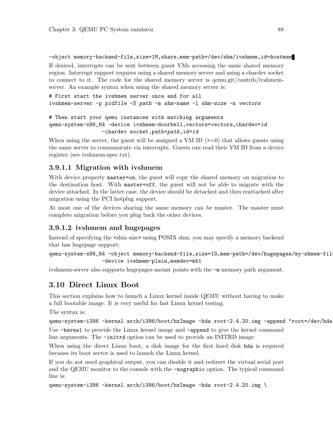-object memory-backend-file, size=1M, share, mem-path=/dev/shm/ivshmem, id=hostmem

If desired, interrupts can be sent between guest VMs accessing the same shared memory region. Interrupt support requires using a shared memory server and using a chardev socket to connect to it. The code for the shared memory server is qemu.git/contrib/ivshmemserver. An example syntax when using the shared memory server is:

```
# First start the ivshmem server once and for all
ivshmem-server -p pidfile -S path -m shm-name -l shm-size -n vectors
```

```
# Then start your qemu instances with matching arguments
qemu-system-x86_64 -device ivshmem-doorbell,vectors=vectors,chardev=id
                 -chardev socket, path=path, id=id
```
When using the server, the guest will be assigned a VM ID  $(>=0)$  that allows guests using the same server to communicate via interrupts. Guests can read their VM ID from a device register (see ivshmem-spec.txt).

## 3.9.1.1 Migration with ivshmem

With device property master=on, the guest will copy the shared memory on migration to the destination host. With master=off, the guest will not be able to migrate with the device attached. In the latter case, the device should be detached and then reattached after migration using the PCI hotplug support.

At most one of the devices sharing the same memory can be master. The master must complete migration before you plug back the other devices.

## 3.9.1.2 ivshmem and hugepages

Instead of specifying the <shm size> using POSIX shm, you may specify a memory backend that has hugepage support:

```
qemu-system-x86_64 -object memory-backend-file,size=1G,mem-path=/dev/hugepages/my-shmem-fil
                 -device ivshmem-plain, memdev=mb1
```
ivshmem-server also supports hugepages mount points with the -m memory path argument.

## 3.10 Direct Linux Boot

This section explains how to launch a Linux kernel inside QEMU without having to make a full bootable image. It is very useful for fast Linux kernel testing.

The syntax is:

```
qemu-system-i386 -kernel arch/i386/boot/bzImage -hda root-2.4.20.img -append "root=/dev/hda"
```
Use -kernel to provide the Linux kernel image and -append to give the kernel command line arguments. The **-initrd** option can be used to provide an INITRD image.

When using the direct Linux boot, a disk image for the first hard disk hda is required because its boot sector is used to launch the Linux kernel.

If you do not need graphical output, you can disable it and redirect the virtual serial port and the QEMU monitor to the console with the -nographic option. The typical command line is:

qemu-system-i386 -kernel arch/i386/boot/bzImage -hda root-2.4.20.img \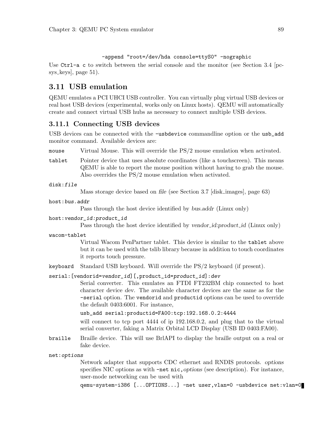### -append "root=/dev/hda console=ttyS0" -nographic

Use Ctrl-a c to switch between the serial console and the monitor (see [Section 3.4 \[pc](#page-54-0)sys\_[keys\], page 51\)](#page-54-0).

## 3.11 USB emulation

QEMU emulates a PCI UHCI USB controller. You can virtually plug virtual USB devices or real host USB devices (experimental, works only on Linux hosts). QEMU will automatically create and connect virtual USB hubs as necessary to connect multiple USB devices.

### 3.11.1 Connecting USB devices

USB devices can be connected with the -usbdevice commandline option or the usb\_add monitor command. Available devices are:

mouse Virtual Mouse. This will override the PS/2 mouse emulation when activated.

tablet Pointer device that uses absolute coordinates (like a touchscreen). This means QEMU is able to report the mouse position without having to grab the mouse. Also overrides the PS/2 mouse emulation when activated.

```
disk:file
```
Mass storage device based on file (see Section 3.7 [disk [images\], page 63\)](#page-66-0)

host:bus.addr

Pass through the host device identified by bus.addr (Linux only)

host:vendor\_id:product\_id

Pass through the host device identified by vendor id: product id (Linux only)

wacom-tablet

Virtual Wacom PenPartner tablet. This device is similar to the tablet above but it can be used with the tslib library because in addition to touch coordinates it reports touch pressure.

- keyboard Standard USB keyboard. Will override the PS/2 keyboard (if present).
- serial: [vendorid=vendor\_id][, product\_id=product\_id]: dev

Serial converter. This emulates an FTDI FT232BM chip connected to host character device dev. The available character devices are the same as for the -serial option. The vendorid and productid options can be used to override the default 0403:6001. For instance,

usb\_add serial:productid=FA00:tcp:192.168.0.2:4444

will connect to tcp port  $4444$  of ip 192.168.0.2, and plug that to the virtual serial converter, faking a Matrix Orbital LCD Display (USB ID 0403:FA00).

braille Braille device. This will use BrlAPI to display the braille output on a real or fake device.

net:options

Network adapter that supports CDC ethernet and RNDIS protocols. options specifies NIC options as with -net nic, options (see description). For instance, user-mode networking can be used with

qemu-system-i386 [...OPTIONS...] -net user,vlan=0 -usbdevice net:vlan=0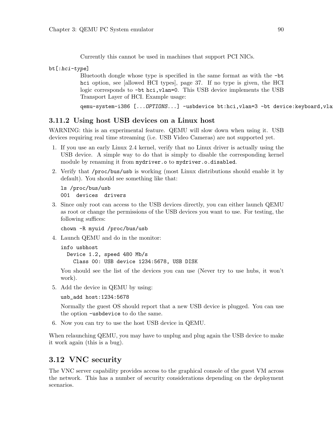Currently this cannot be used in machines that support PCI NICs.

bt[:hci-type]

Bluetooth dongle whose type is specified in the same format as with the -bt hci option, see [\[allowed HCI types\], page 37.](#page-40-0) If no type is given, the HCI logic corresponds to -bt hci, vlan=0. This USB device implements the USB Transport Layer of HCI. Example usage:

qemu-system-i386 [... OPTIONS...] -usbdevice bt:hci, vlan=3 -bt device: keyboard, vla

### 3.11.2 Using host USB devices on a Linux host

WARNING: this is an experimental feature. QEMU will slow down when using it. USB devices requiring real time streaming (i.e. USB Video Cameras) are not supported yet.

- 1. If you use an early Linux 2.4 kernel, verify that no Linux driver is actually using the USB device. A simple way to do that is simply to disable the corresponding kernel module by renaming it from mydriver.o to mydriver.o.disabled.
- 2. Verify that /proc/bus/usb is working (most Linux distributions should enable it by default). You should see something like that:

ls /proc/bus/usb 001 devices drivers

3. Since only root can access to the USB devices directly, you can either launch QEMU as root or change the permissions of the USB devices you want to use. For testing, the following suffices:

chown -R myuid /proc/bus/usb

4. Launch QEMU and do in the monitor:

```
info usbhost
 Device 1.2, speed 480 Mb/s
    Class 00: USB device 1234:5678, USB DISK
```
You should see the list of the devices you can use (Never try to use hubs, it won't work).

5. Add the device in QEMU by using:

usb\_add host:1234:5678

Normally the guest OS should report that a new USB device is plugged. You can use the option -usbdevice to do the same.

6. Now you can try to use the host USB device in QEMU.

When relaunching QEMU, you may have to unplug and plug again the USB device to make it work again (this is a bug).

## 3.12 VNC security

The VNC server capability provides access to the graphical console of the guest VM across the network. This has a number of security considerations depending on the deployment scenarios.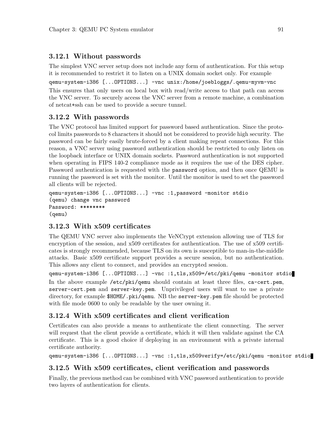## 3.12.1 Without passwords

The simplest VNC server setup does not include any form of authentication. For this setup it is recommended to restrict it to listen on a UNIX domain socket only. For example qemu-system-i386 [...OPTIONS...] -vnc unix:/home/joebloggs/.qemu-myvm-vnc This ensures that only users on local box with read/write access to that path can access the VNC server. To securely access the VNC server from a remote machine, a combination of netcat+ssh can be used to provide a secure tunnel.

## 3.12.2 With passwords

The VNC protocol has limited support for password based authentication. Since the protocol limits passwords to 8 characters it should not be considered to provide high security. The password can be fairly easily brute-forced by a client making repeat connections. For this reason, a VNC server using password authentication should be restricted to only listen on the loopback interface or UNIX domain sockets. Password authentication is not supported when operating in FIPS 140-2 compliance mode as it requires the use of the DES cipher. Password authentication is requested with the password option, and then once QEMU is running the password is set with the monitor. Until the monitor is used to set the password all clients will be rejected.

```
qemu-system-i386 [...OPTIONS...] -vnc :1,password -monitor stdio
(qemu) change vnc password
Password: ********
(qemu)
```
## 3.12.3 With x509 certificates

The QEMU VNC server also implements the VeNCrypt extension allowing use of TLS for encryption of the session, and  $x509$  certificates for authentication. The use of  $x509$  certificates is strongly recommended, because TLS on its own is susceptible to man-in-the-middle attacks. Basic x509 certificate support provides a secure session, but no authentication. This allows any client to connect, and provides an encrypted session.

qemu-system-i386 [...OPTIONS...] -vnc :1,tls,x509=/etc/pki/qemu -monitor stdio In the above example /etc/pki/qemu should contain at least three files, ca-cert.pem, server-cert.pem and server-key.pem. Unprivileged users will want to use a private directory, for example \$HOME/.pki/qemu. NB the server-key.pem file should be protected with file mode 0600 to only be readable by the user owning it.

## 3.12.4 With x509 certificates and client verification

Certificates can also provide a means to authenticate the client connecting. The server will request that the client provide a certificate, which it will then validate against the CA certificate. This is a good choice if deploying in an environment with a private internal certificate authority.

qemu-system-i386 [...OPTIONS...] -vnc :1,tls,x509verify=/etc/pki/qemu -monitor stdio

## 3.12.5 With x509 certificates, client verification and passwords

Finally, the previous method can be combined with VNC password authentication to provide two layers of authentication for clients.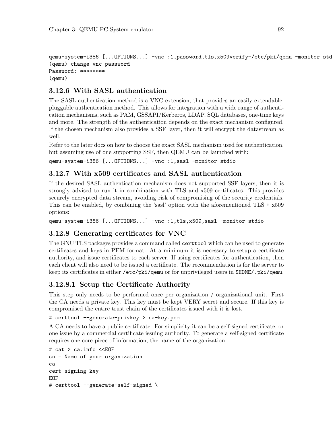qemu-system-i386 [...OPTIONS...] -vnc :1,password,tls,x509verify=/etc/pki/qemu -monitor stdio (qemu) change vnc password Password: \*\*\*\*\*\*\*\* (qemu)

## 3.12.6 With SASL authentication

The SASL authentication method is a VNC extension, that provides an easily extendable, pluggable authentication method. This allows for integration with a wide range of authentication mechanisms, such as PAM, GSSAPI/Kerberos, LDAP, SQL databases, one-time keys and more. The strength of the authentication depends on the exact mechanism configured. If the chosen mechanism also provides a SSF layer, then it will encrypt the datastream as well.

Refer to the later docs on how to choose the exact SASL mechanism used for authentication, but assuming use of one supporting SSF, then QEMU can be launched with:

qemu-system-i386 [...OPTIONS...] -vnc :1,sasl -monitor stdio

## 3.12.7 With x509 certificates and SASL authentication

If the desired SASL authentication mechanism does not supported SSF layers, then it is strongly advised to run it in combination with TLS and x509 certificates. This provides securely encrypted data stream, avoiding risk of compromising of the security credentials. This can be enabled, by combining the 'sasl' option with the aforementioned  $TLS + x509$ options:

qemu-system-i386 [...OPTIONS...] -vnc :1,tls,x509,sasl -monitor stdio

## 3.12.8 Generating certificates for VNC

The GNU TLS packages provides a command called certtool which can be used to generate certificates and keys in PEM format. At a minimum it is necessary to setup a certificate authority, and issue certificates to each server. If using certificates for authentication, then each client will also need to be issued a certificate. The recommendation is for the server to keep its certificates in either /etc/pki/qemu or for unprivileged users in \$HOME/.pki/qemu.

## 3.12.8.1 Setup the Certificate Authority

This step only needs to be performed once per organization / organizational unit. First the CA needs a private key. This key must be kept VERY secret and secure. If this key is compromised the entire trust chain of the certificates issued with it is lost.

```
# certtool --generate-privkey > ca-key.pem
```
A CA needs to have a public certificate. For simplicity it can be a self-signed certificate, or one issue by a commercial certificate issuing authority. To generate a self-signed certificate requires one core piece of information, the name of the organization.

```
# cat > ca.info <<EOF
cn = Name of your organization
ca
cert_signing_key
EOF
# certtool --generate-self-signed \
```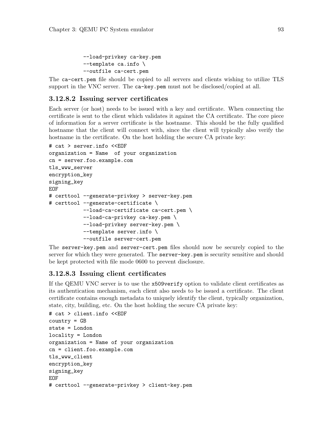--load-privkey ca-key.pem --template ca.info \ --outfile ca-cert.pem

The ca-cert.pem file should be copied to all servers and clients wishing to utilize TLS support in the VNC server. The ca-key.pem must not be disclosed/copied at all.

### 3.12.8.2 Issuing server certificates

Each server (or host) needs to be issued with a key and certificate. When connecting the certificate is sent to the client which validates it against the CA certificate. The core piece of information for a server certificate is the hostname. This should be the fully qualified hostname that the client will connect with, since the client will typically also verify the hostname in the certificate. On the host holding the secure CA private key:

```
# cat > server.info <<EOF
organization = Name of your organization
cn = server.foo.example.com
tls_www_server
encryption_key
signing_key
EOF
# certtool --generate-privkey > server-key.pem
# certtool --generate-certificate \
           --load-ca-certificate ca-cert.pem \
           --load-ca-privkey ca-key.pem \
           --load-privkey server-key.pem \
           --template server.info \
           --outfile server-cert.pem
```
The server-key.pem and server-cert.pem files should now be securely copied to the server for which they were generated. The server-key.pem is security sensitive and should be kept protected with file mode 0600 to prevent disclosure.

### 3.12.8.3 Issuing client certificates

If the QEMU VNC server is to use the x509verify option to validate client certificates as its authentication mechanism, each client also needs to be issued a certificate. The client certificate contains enough metadata to uniquely identify the client, typically organization, state, city, building, etc. On the host holding the secure CA private key:

```
# cat > client.info <<EOF
countery = GBstate = London
locality = London
organization = Name of your organization
cn = client.foo.example.com
tls_www_client
encryption_key
signing_key
EOF
# certtool --generate-privkey > client-key.pem
```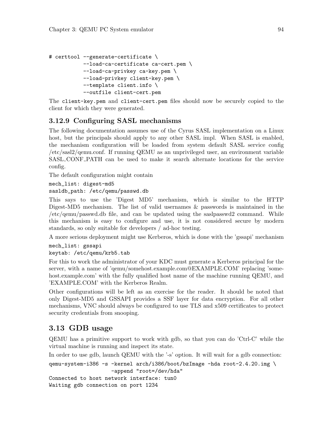```
# certtool --generate-certificate \
           --load-ca-certificate ca-cert.pem \
           --load-ca-privkey ca-key.pem \
           --load-privkey client-key.pem \
           --template client.info \
           --outfile client-cert.pem
```
The client-key.pem and client-cert.pem files should now be securely copied to the client for which they were generated.

## 3.12.9 Configuring SASL mechanisms

The following documentation assumes use of the Cyrus SASL implementation on a Linux host, but the principals should apply to any other SASL impl. When SASL is enabled, the mechanism configuration will be loaded from system default SASL service config /etc/sasl2/qemu.conf. If running QEMU as an unprivileged user, an environment variable SASL CONF PATH can be used to make it search alternate locations for the service config.

The default configuration might contain

mech\_list: digest-md5

sasldb\_path: /etc/qemu/passwd.db

This says to use the 'Digest MD5' mechanism, which is similar to the HTTP Digest-MD5 mechanism. The list of valid usernames & passwords is maintained in the /etc/qemu/passwd.db file, and can be updated using the saslpasswd2 command. While this mechanism is easy to configure and use, it is not considered secure by modern standards, so only suitable for developers / ad-hoc testing.

A more serious deployment might use Kerberos, which is done with the 'gssapi' mechanism

mech\_list: gssapi

keytab: /etc/qemu/krb5.tab

For this to work the administrator of your KDC must generate a Kerberos principal for the server, with a name of 'qemu/somehost.example.com@EXAMPLE.COM' replacing 'somehost.example.com' with the fully qualified host name of the machine running QEMU, and 'EXAMPLE.COM' with the Kerberos Realm.

Other configurations will be left as an exercise for the reader. It should be noted that only Digest-MD5 and GSSAPI provides a SSF layer for data encryption. For all other mechanisms, VNC should always be configured to use TLS and x509 certificates to protect security credentials from snooping.

## 3.13 GDB usage

QEMU has a primitive support to work with gdb, so that you can do 'Ctrl-C' while the virtual machine is running and inspect its state.

In order to use gdb, launch QEMU with the '-s' option. It will wait for a gdb connection:

```
qemu-system-i386 -s -kernel arch/i386/boot/bzImage -hda root-2.4.20.img \
                    -append "root=/dev/hda"
Connected to host network interface: tun0
Waiting gdb connection on port 1234
```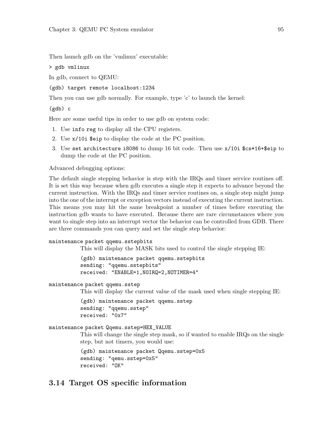Then launch gdb on the 'vmlinux' executable:

> gdb vmlinux

In gdb, connect to QEMU:

(gdb) target remote localhost:1234

Then you can use gdb normally. For example, type 'c' to launch the kernel:

(gdb) c

Here are some useful tips in order to use gdb on system code:

- 1. Use info reg to display all the CPU registers.
- 2. Use x/10i \$eip to display the code at the PC position.
- 3. Use set architecture i8086 to dump 16 bit code. Then use x/10i \$cs\*16+\$eip to dump the code at the PC position.

Advanced debugging options:

The default single stepping behavior is step with the IRQs and timer service routines off. It is set this way because when gdb executes a single step it expects to advance beyond the current instruction. With the IRQs and timer service routines on, a single step might jump into the one of the interrupt or exception vectors instead of executing the current instruction. This means you may hit the same breakpoint a number of times before executing the instruction gdb wants to have executed. Because there are rare circumstances where you want to single step into an interrupt vector the behavior can be controlled from GDB. There are three commands you can query and set the single step behavior:

### maintenance packet qqemu.sstepbits

This will display the MASK bits used to control the single stepping IE:

(gdb) maintenance packet qqemu.sstepbits sending: "qqemu.sstepbits" received: "ENABLE=1,NOIRQ=2,NOTIMER=4"

#### maintenance packet qqemu.sstep

This will display the current value of the mask used when single stepping IE:

(gdb) maintenance packet qqemu.sstep sending: "qqemu.sstep" received: "0x7"

### maintenance packet Qqemu.sstep=HEX\_VALUE

This will change the single step mask, so if wanted to enable IRQs on the single step, but not timers, you would use:

(gdb) maintenance packet Qqemu.sstep=0x5 sending: "qemu.sstep=0x5" received: "OK"

## 3.14 Target OS specific information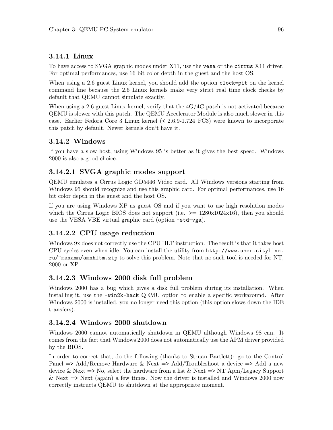## 3.14.1 Linux

To have access to SVGA graphic modes under X11, use the vesa or the cirrus X11 driver. For optimal performances, use 16 bit color depth in the guest and the host OS.

When using a 2.6 guest Linux kernel, you should add the option clock=pit on the kernel command line because the 2.6 Linux kernels make very strict real time clock checks by default that QEMU cannot simulate exactly.

When using a 2.6 guest Linux kernel, verify that the 4G/4G patch is not activated because QEMU is slower with this patch. The QEMU Accelerator Module is also much slower in this case. Earlier Fedora Core 3 Linux kernel (< 2.6.9-1.724 FC3) were known to incorporate this patch by default. Newer kernels don't have it.

## 3.14.2 Windows

If you have a slow host, using Windows 95 is better as it gives the best speed. Windows 2000 is also a good choice.

### 3.14.2.1 SVGA graphic modes support

QEMU emulates a Cirrus Logic GD5446 Video card. All Windows versions starting from Windows 95 should recognize and use this graphic card. For optimal performances, use 16 bit color depth in the guest and the host OS.

If you are using Windows XP as guest OS and if you want to use high resolution modes which the Cirrus Logic BIOS does not support (i.e.  $\geq 1280x1024x16$ ), then you should use the VESA VBE virtual graphic card (option -std-vga).

### 3.14.2.2 CPU usage reduction

Windows 9x does not correctly use the CPU HLT instruction. The result is that it takes host CPU cycles even when idle. You can install the utility from [http://www.user.cityline.](http://www.user.cityline.ru/~maxamn/amnhltm.zip) [ru/~maxamn/amnhltm.zip](http://www.user.cityline.ru/~maxamn/amnhltm.zip) to solve this problem. Note that no such tool is needed for NT, 2000 or XP.

### 3.14.2.3 Windows 2000 disk full problem

Windows 2000 has a bug which gives a disk full problem during its installation. When installing it, use the -win2k-hack QEMU option to enable a specific workaround. After Windows 2000 is installed, you no longer need this option (this option slows down the IDE transfers).

## 3.14.2.4 Windows 2000 shutdown

Windows 2000 cannot automatically shutdown in QEMU although Windows 98 can. It comes from the fact that Windows 2000 does not automatically use the APM driver provided by the BIOS.

In order to correct that, do the following (thanks to Struan Bartlett): go to the Control Panel  $\Rightarrow$  Add/Remove Hardware & Next  $\Rightarrow$  Add/Troubleshoot a device  $\Rightarrow$  Add a new device & Next  $\Rightarrow$  No, select the hardware from a list & Next  $\Rightarrow$  NT Apm/Legacy Support & Next  $\Rightarrow$  Next (again) a few times. Now the driver is installed and Windows 2000 now correctly instructs QEMU to shutdown at the appropriate moment.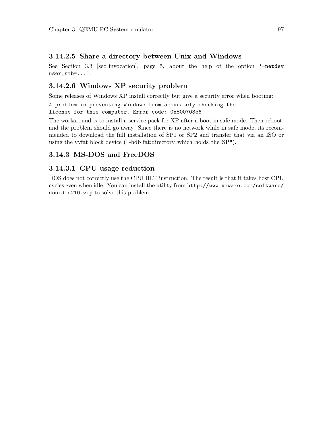### 3.14.2.5 Share a directory between Unix and Windows

See Section 3.3 [sec\_[invocation\], page 5,](#page-8-0) about the help of the option '-netdev user,smb=...'.

## 3.14.2.6 Windows XP security problem

Some releases of Windows XP install correctly but give a security error when booting:

A problem is preventing Windows from accurately checking the license for this computer. Error code: 0x800703e6.

The workaround is to install a service pack for XP after a boot in safe mode. Then reboot, and the problem should go away. Since there is no network while in safe mode, its recommended to download the full installation of SP1 or SP2 and transfer that via an ISO or using the vvfat block device ("-hdb fat:directory\_which\_holds\_the\_SP").

## 3.14.3 MS-DOS and FreeDOS

### 3.14.3.1 CPU usage reduction

DOS does not correctly use the CPU HLT instruction. The result is that it takes host CPU cycles even when idle. You can install the utility from [http://www.vmware.com/software/](http://www.vmware.com/software/dosidle210.zip) [dosidle210.zip](http://www.vmware.com/software/dosidle210.zip) to solve this problem.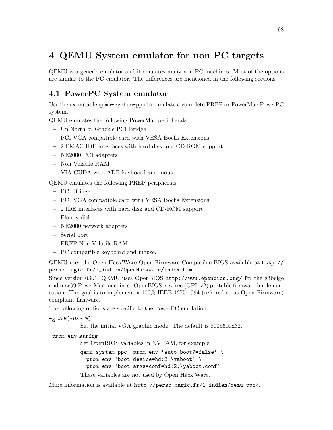# 4 QEMU System emulator for non PC targets

QEMU is a generic emulator and it emulates many non PC machines. Most of the options are similar to the PC emulator. The differences are mentioned in the following sections.

## 4.1 PowerPC System emulator

Use the executable qemu-system-ppc to simulate a complete PREP or PowerMac PowerPC system.

QEMU emulates the following PowerMac peripherals:

- − UniNorth or Grackle PCI Bridge
- − PCI VGA compatible card with VESA Bochs Extensions
- − 2 PMAC IDE interfaces with hard disk and CD-ROM support
- − NE2000 PCI adapters
- − Non Volatile RAM
- − VIA-CUDA with ADB keyboard and mouse.

QEMU emulates the following PREP peripherals:

- − PCI Bridge
- − PCI VGA compatible card with VESA Bochs Extensions
- − 2 IDE interfaces with hard disk and CD-ROM support
- − Floppy disk
- − NE2000 network adapters
- − Serial port
- − PREP Non Volatile RAM
- − PC compatible keyboard and mouse.

QEMU uses the Open Hack'Ware Open Firmware Compatible BIOS available at [http://](http://perso.magic.fr/l_indien/OpenHackWare/index.htm) [perso.magic.fr/l\\_indien/OpenHackWare/index.htm](http://perso.magic.fr/l_indien/OpenHackWare/index.htm).

Since version 0.9.1, QEMU uses OpenBIOS <http://www.openbios.org/> for the g3beige and mac99 PowerMac machines. OpenBIOS is a free (GPL v2) portable firmware implementation. The goal is to implement a 100% IEEE 1275-1994 (referred to as Open Firmware) compliant firmware.

The following options are specific to the PowerPC emulation:

```
-g WxH[xDEPTH]
```
Set the initial VGA graphic mode. The default is 800x600x32.

```
-prom-env string
```
Set OpenBIOS variables in NVRAM, for example:

```
qemu-system-ppc -prom-env 'auto-boot?=false' \
 -prom-env 'boot-device=hd:2,\yaboot' \
 -prom-env 'boot-args=conf=hd:2,\yaboot.conf'
These variables are not used by Open Hack'Ware.
```
More information is available at [http://perso.magic.fr/l\\_indien/qemu-ppc/](http://perso.magic.fr/l_indien/qemu-ppc/).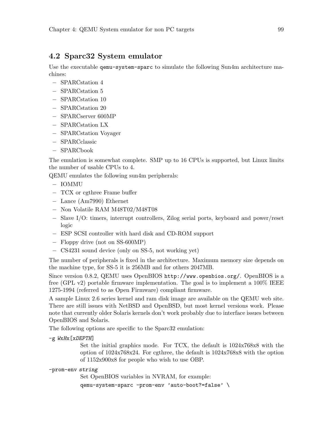## 4.2 Sparc32 System emulator

Use the executable **qemu-system-sparc** to simulate the following Sun4m architecture machines:

- − SPARCstation 4
- − SPARCstation 5
- − SPARCstation 10
- − SPARCstation 20
- − SPARCserver 600MP
- − SPARCstation LX
- − SPARCstation Voyager
- − SPARCclassic
- − SPARCbook

The emulation is somewhat complete. SMP up to 16 CPUs is supported, but Linux limits the number of usable CPUs to 4.

QEMU emulates the following sun4m peripherals:

- − IOMMU
- − TCX or cgthree Frame buffer
- − Lance (Am7990) Ethernet
- − Non Volatile RAM M48T02/M48T08
- − Slave I/O: timers, interrupt controllers, Zilog serial ports, keyboard and power/reset logic
- − ESP SCSI controller with hard disk and CD-ROM support
- − Floppy drive (not on SS-600MP)
- − CS4231 sound device (only on SS-5, not working yet)

The number of peripherals is fixed in the architecture. Maximum memory size depends on the machine type, for SS-5 it is 256MB and for others 2047MB.

Since version 0.8.2, QEMU uses OpenBIOS <http://www.openbios.org/>. OpenBIOS is a free (GPL v2) portable firmware implementation. The goal is to implement a 100% IEEE 1275-1994 (referred to as Open Firmware) compliant firmware.

A sample Linux 2.6 series kernel and ram disk image are available on the QEMU web site. There are still issues with NetBSD and OpenBSD, but most kernel versions work. Please note that currently older Solaris kernels don't work probably due to interface issues between OpenBIOS and Solaris.

The following options are specific to the Sparc32 emulation:

-g WxHx[xDEPTH]

Set the initial graphics mode. For TCX, the default is 1024x768x8 with the option of 1024x768x24. For cgthree, the default is 1024x768x8 with the option of 1152x900x8 for people who wish to use OBP.

### -prom-env string

Set OpenBIOS variables in NVRAM, for example: qemu-system-sparc -prom-env 'auto-boot?=false' \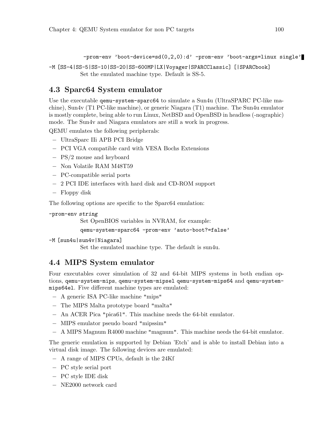```
-prom-env 'boot-device=sd(0,2,0):d' -prom-env 'boot-args=linux single'
```

```
-M [SS-4|SS-5|SS-10|SS-20|SS-600MP|LX|Voyager|SPARCClassic] [|SPARCbook]
          Set the emulated machine type. Default is SS-5.
```
## 4.3 Sparc64 System emulator

Use the executable querillary stem-sparc64 to simulate a Sun4u (UltraSPARC PC-like machine), Sun4v (T1 PC-like machine), or generic Niagara (T1) machine. The Sun4u emulator is mostly complete, being able to run Linux, NetBSD and OpenBSD in headless (-nographic) mode. The Sun4v and Niagara emulators are still a work in progress.

QEMU emulates the following peripherals:

- − UltraSparc IIi APB PCI Bridge
- − PCI VGA compatible card with VESA Bochs Extensions
- − PS/2 mouse and keyboard
- − Non Volatile RAM M48T59
- − PC-compatible serial ports
- − 2 PCI IDE interfaces with hard disk and CD-ROM support
- − Floppy disk

The following options are specific to the Sparc64 emulation:

```
-prom-env string
```
Set OpenBIOS variables in NVRAM, for example:

```
qemu-system-sparc64 -prom-env 'auto-boot?=false'
```

```
-M [sun4u|sun4v|Niagara]
```
Set the emulated machine type. The default is sun4u.

## 4.4 MIPS System emulator

Four executables cover simulation of 32 and 64-bit MIPS systems in both endian options, qemu-system-mips, qemu-system-mipsel qemu-system-mips64 and qemu-systemmips64el. Five different machine types are emulated:

- − A generic ISA PC-like machine "mips"
- − The MIPS Malta prototype board "malta"
- − An ACER Pica "pica61". This machine needs the 64-bit emulator.
- − MIPS emulator pseudo board "mipssim"
- − A MIPS Magnum R4000 machine "magnum". This machine needs the 64-bit emulator.

The generic emulation is supported by Debian 'Etch' and is able to install Debian into a virtual disk image. The following devices are emulated:

- − A range of MIPS CPUs, default is the 24Kf
- − PC style serial port
- − PC style IDE disk
- − NE2000 network card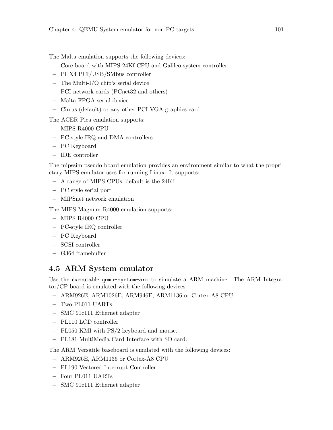The Malta emulation supports the following devices:

- − Core board with MIPS 24Kf CPU and Galileo system controller
- − PIIX4 PCI/USB/SMbus controller
- − The Multi-I/O chip's serial device
- − PCI network cards (PCnet32 and others)
- − Malta FPGA serial device
- − Cirrus (default) or any other PCI VGA graphics card

The ACER Pica emulation supports:

- − MIPS R4000 CPU
- − PC-style IRQ and DMA controllers
- − PC Keyboard
- − IDE controller

The mipssim pseudo board emulation provides an environment similar to what the proprietary MIPS emulator uses for running Linux. It supports:

- − A range of MIPS CPUs, default is the 24Kf
- − PC style serial port
- − MIPSnet network emulation

The MIPS Magnum R4000 emulation supports:

- − MIPS R4000 CPU
- − PC-style IRQ controller
- − PC Keyboard
- − SCSI controller
- − G364 framebuffer

## 4.5 ARM System emulator

Use the executable qemu-system-arm to simulate a ARM machine. The ARM Integrator/CP board is emulated with the following devices:

- − ARM926E, ARM1026E, ARM946E, ARM1136 or Cortex-A8 CPU
- − Two PL011 UARTs
- − SMC 91c111 Ethernet adapter
- − PL110 LCD controller
- − PL050 KMI with PS/2 keyboard and mouse.
- − PL181 MultiMedia Card Interface with SD card.

The ARM Versatile baseboard is emulated with the following devices:

- − ARM926E, ARM1136 or Cortex-A8 CPU
- − PL190 Vectored Interrupt Controller
- − Four PL011 UARTs
- − SMC 91c111 Ethernet adapter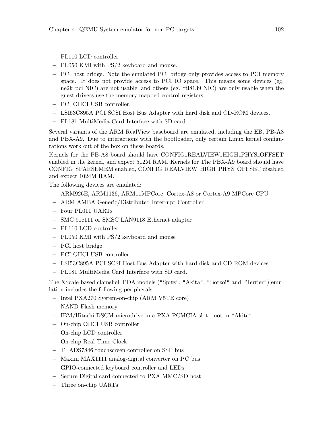- − PL110 LCD controller
- − PL050 KMI with PS/2 keyboard and mouse.
- − PCI host bridge. Note the emulated PCI bridge only provides access to PCI memory space. It does not provide access to PCI IO space. This means some devices (eg. ne2k pci NIC) are not usable, and others (eg. rtl8139 NIC) are only usable when the guest drivers use the memory mapped control registers.
- − PCI OHCI USB controller.
- − LSI53C895A PCI SCSI Host Bus Adapter with hard disk and CD-ROM devices.
- − PL181 MultiMedia Card Interface with SD card.

Several variants of the ARM RealView baseboard are emulated, including the EB, PB-A8 and PBX-A9. Due to interactions with the bootloader, only certain Linux kernel configurations work out of the box on these boards.

Kernels for the PB-A8 board should have CONFIG\_REALVIEW\_HIGH\_PHYS\_OFFSET enabled in the kernel, and expect 512M RAM. Kernels for The PBX-A9 board should have CONFIG SPARSEMEM enabled, CONFIG REALVIEW HIGH PHYS OFFSET disabled and expect 1024M RAM.

The following devices are emulated:

- − ARM926E, ARM1136, ARM11MPCore, Cortex-A8 or Cortex-A9 MPCore CPU
- − ARM AMBA Generic/Distributed Interrupt Controller
- − Four PL011 UARTs
- − SMC 91c111 or SMSC LAN9118 Ethernet adapter
- − PL110 LCD controller
- − PL050 KMI with PS/2 keyboard and mouse
- − PCI host bridge
- − PCI OHCI USB controller
- − LSI53C895A PCI SCSI Host Bus Adapter with hard disk and CD-ROM devices
- − PL181 MultiMedia Card Interface with SD card.

The XScale-based clamshell PDA models ("Spitz", "Akita", "Borzoi" and "Terrier") emulation includes the following peripherals:

- − Intel PXA270 System-on-chip (ARM V5TE core)
- − NAND Flash memory
- − IBM/Hitachi DSCM microdrive in a PXA PCMCIA slot not in "Akita"
- − On-chip OHCI USB controller
- − On-chip LCD controller
- − On-chip Real Time Clock
- − TI ADS7846 touchscreen controller on SSP bus
- − Maxim MAX1111 analog-digital converter on I<sup>2</sup>C bus
- − GPIO-connected keyboard controller and LEDs
- − Secure Digital card connected to PXA MMC/SD host
- − Three on-chip UARTs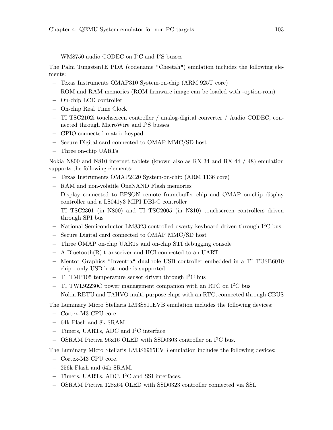− WM8750 audio CODEC on I<sup>2</sup>C and I<sup>2</sup>S busses

The Palm Tungsten|E PDA (codename "Cheetah") emulation includes the following elements:

- − Texas Instruments OMAP310 System-on-chip (ARM 925T core)
- − ROM and RAM memories (ROM firmware image can be loaded with -option-rom)
- − On-chip LCD controller
- − On-chip Real Time Clock
- − TI TSC2102i touchscreen controller / analog-digital converter / Audio CODEC, connected through MicroWire and I<sup>2</sup>S busses
- − GPIO-connected matrix keypad
- − Secure Digital card connected to OMAP MMC/SD host
- − Three on-chip UARTs

Nokia N800 and N810 internet tablets (known also as RX-34 and RX-44 / 48) emulation supports the following elements:

- − Texas Instruments OMAP2420 System-on-chip (ARM 1136 core)
- − RAM and non-volatile OneNAND Flash memories
- − Display connected to EPSON remote framebuffer chip and OMAP on-chip display controller and a LS041y3 MIPI DBI-C controller
- − TI TSC2301 (in N800) and TI TSC2005 (in N810) touchscreen controllers driven through SPI bus
- − National Semiconductor LM8323-controlled qwerty keyboard driven through I<sup>2</sup>C bus
- − Secure Digital card connected to OMAP MMC/SD host
- − Three OMAP on-chip UARTs and on-chip STI debugging console
- − A Bluetooth(R) transceiver and HCI connected to an UART
- − Mentor Graphics "Inventra" dual-role USB controller embedded in a TI TUSB6010 chip - only USB host mode is supported
- − TI TMP105 temperature sensor driven through I<sup>2</sup>C bus
- − TI TWL92230C power management companion with an RTC on I<sup>2</sup>C bus
- − Nokia RETU and TAHVO multi-purpose chips with an RTC, connected through CBUS

The Luminary Micro Stellaris LM3S811EVB emulation includes the following devices:

- − Cortex-M3 CPU core.
- − 64k Flash and 8k SRAM.
- − Timers, UARTs, ADC and I<sup>2</sup>C interface.
- − OSRAM Pictiva 96x16 OLED with SSD0303 controller on I<sup>2</sup>C bus.

The Luminary Micro Stellaris LM3S6965EVB emulation includes the following devices:

- − Cortex-M3 CPU core.
- − 256k Flash and 64k SRAM.
- − Timers, UARTs, ADC, I<sup>2</sup>C and SSI interfaces.
- − OSRAM Pictiva 128x64 OLED with SSD0323 controller connected via SSI.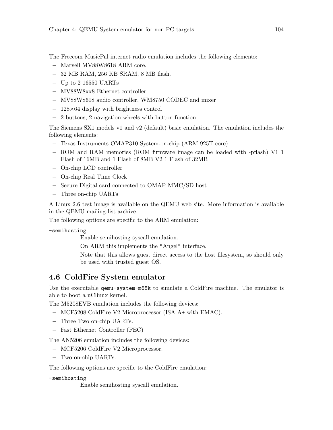The Freecom MusicPal internet radio emulation includes the following elements:

- − Marvell MV88W8618 ARM core.
- − 32 MB RAM, 256 KB SRAM, 8 MB flash.
- − Up to 2 16550 UARTs
- − MV88W8xx8 Ethernet controller
- − MV88W8618 audio controller, WM8750 CODEC and mixer
- − 128×64 display with brightness control
- − 2 buttons, 2 navigation wheels with button function

The Siemens SX1 models v1 and v2 (default) basic emulation. The emulation includes the following elements:

- − Texas Instruments OMAP310 System-on-chip (ARM 925T core)
- − ROM and RAM memories (ROM firmware image can be loaded with -pflash) V1 1 Flash of 16MB and 1 Flash of 8MB V2 1 Flash of 32MB
- − On-chip LCD controller
- − On-chip Real Time Clock
- − Secure Digital card connected to OMAP MMC/SD host
- − Three on-chip UARTs

A Linux 2.6 test image is available on the QEMU web site. More information is available in the QEMU mailing-list archive.

The following options are specific to the ARM emulation:

### -semihosting

Enable semihosting syscall emulation.

On ARM this implements the "Angel" interface.

Note that this allows guest direct access to the host filesystem, so should only be used with trusted guest OS.

## 4.6 ColdFire System emulator

Use the executable **qemu-system-m68k** to simulate a ColdFire machine. The emulator is able to boot a uClinux kernel.

The M5208EVB emulation includes the following devices:

- − MCF5208 ColdFire V2 Microprocessor (ISA A+ with EMAC).
- − Three Two on-chip UARTs.
- − Fast Ethernet Controller (FEC)

The AN5206 emulation includes the following devices:

- − MCF5206 ColdFire V2 Microprocessor.
- − Two on-chip UARTs.

The following options are specific to the ColdFire emulation:

### -semihosting

Enable semihosting syscall emulation.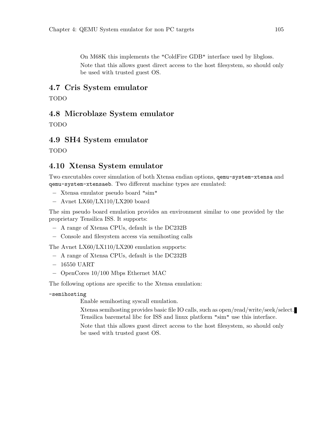<span id="page-108-0"></span>On M68K this implements the "ColdFire GDB" interface used by libgloss. Note that this allows guest direct access to the host filesystem, so should only be used with trusted guest OS.

### 4.7 Cris System emulator

TODO

### 4.8 Microblaze System emulator

TODO

### 4.9 SH4 System emulator

TODO

### 4.10 Xtensa System emulator

Two executables cover simulation of both Xtensa endian options, qemu-system-xtensa and qemu-system-xtensaeb. Two different machine types are emulated:

- − Xtensa emulator pseudo board "sim"
- − Avnet LX60/LX110/LX200 board

The sim pseudo board emulation provides an environment similar to one provided by the proprietary Tensilica ISS. It supports:

- − A range of Xtensa CPUs, default is the DC232B
- − Console and filesystem access via semihosting calls

The Avnet LX60/LX110/LX200 emulation supports:

- − A range of Xtensa CPUs, default is the DC232B
- − 16550 UART
- − OpenCores 10/100 Mbps Ethernet MAC

The following options are specific to the Xtensa emulation:

#### -semihosting

Enable semihosting syscall emulation.

Xtensa semihosting provides basic file IO calls, such as open/read/write/seek/select. Tensilica baremetal libc for ISS and linux platform "sim" use this interface.

Note that this allows guest direct access to the host filesystem, so should only be used with trusted guest OS.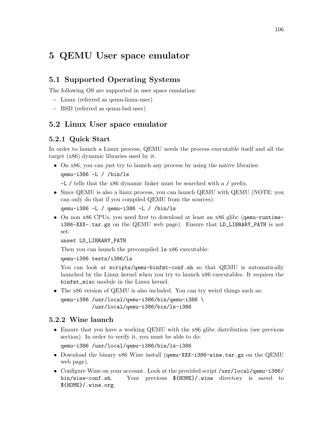# 5 QEMU User space emulator

### 5.1 Supported Operating Systems

The following OS are supported in user space emulation:

- − Linux (referred as qemu-linux-user)
- − BSD (referred as qemu-bsd-user)

### 5.2 Linux User space emulator

#### 5.2.1 Quick Start

In order to launch a Linux process, QEMU needs the process executable itself and all the target (x86) dynamic libraries used by it.

• On x86, you can just try to launch any process by using the native libraries:

```
qemu-i386 -L / /bin/ls
```
-L / tells that the x86 dynamic linker must be searched with a / prefix.

• Since QEMU is also a linux process, you can launch QEMU with QEMU (NOTE: you can only do that if you compiled QEMU from the sources):

```
qemu-i386 -L / qemu-i386 -L / /bin/ls
```
• On non x86 CPUs, you need first to download at least an x86 glibc (qemu-runtimei386-XXX-.tar.gz on the QEMU web page). Ensure that LD\_LIBRARY\_PATH is not set:

#### unset LD\_LIBRARY\_PATH

Then you can launch the precompiled  $\text{ls } x86$  executable:

```
qemu-i386 tests/i386/ls
```
You can look at scripts/qemu-binfmt-conf.sh so that QEMU is automatically launched by the Linux kernel when you try to launch x86 executables. It requires the binfmt\_misc module in the Linux kernel.

• The x86 version of QEMU is also included. You can try weird things such as:

```
qemu-i386 /usr/local/qemu-i386/bin/qemu-i386 \
          /usr/local/qemu-i386/bin/ls-i386
```
#### 5.2.2 Wine launch

• Ensure that you have a working QEMU with the x86 glibc distribution (see previous section). In order to verify it, you must be able to do:

```
qemu-i386 /usr/local/qemu-i386/bin/ls-i386
```
- Download the binary x86 Wine install (qemu-XXX-i386-wine.tar.gz on the QEMU web page).
- Configure Wine on your account. Look at the provided script /usr/local/qemu-i386/ bin/wine-conf.sh. Your previous \${HOME}/.wine directory is saved to \${HOME}/.wine.org.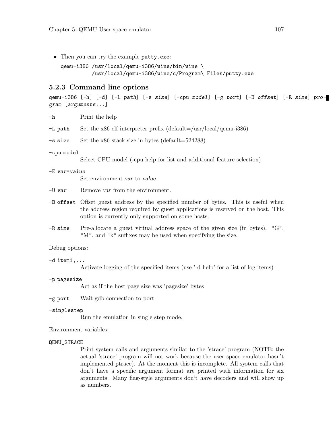• Then you can try the example putty.exe:

```
qemu-i386 /usr/local/qemu-i386/wine/bin/wine \
          /usr/local/qemu-i386/wine/c/Program\ Files/putty.exe
```
#### 5.2.3 Command line options

QEMU\_STRACE

qemu-i386 [-h] [-d] [-L path] [-s size] [-cpu model] [-g port] [-B offset] [-R size] program [arguments...]

| -h                    | Print the help                                                                                                                                                                                                               |
|-----------------------|------------------------------------------------------------------------------------------------------------------------------------------------------------------------------------------------------------------------------|
| -L path               | Set the $x86$ elf interpreter prefix (default=/usr/local/qemu-i386)                                                                                                                                                          |
| -s size               | Set the $x86$ stack size in bytes (default= $524288$ )                                                                                                                                                                       |
| -cpu model            | Select CPU model (-cpu help for list and additional feature selection)                                                                                                                                                       |
| -E var=value          | Set environment var to value.                                                                                                                                                                                                |
| -U var                | Remove var from the environment.                                                                                                                                                                                             |
|                       | -B offset Offset guest address by the specified number of bytes. This is useful when<br>the address region required by guest applications is reserved on the host. This<br>option is currently only supported on some hosts. |
| -R size               | Pre-allocate a guest virtual address space of the given size (in bytes). "G",<br>"M", and "k" suffixes may be used when specifying the size.                                                                                 |
| Debug options:        |                                                                                                                                                                                                                              |
| $-d$ item $1, \ldots$ | Activate logging of the specified items (use '-d help' for a list of log items)                                                                                                                                              |
| -p pagesize           | Act as if the host page size was 'pagesize' bytes                                                                                                                                                                            |
| -g port               | Wait gdb connection to port                                                                                                                                                                                                  |
| -singlestep           | Run the emulation in single step mode.                                                                                                                                                                                       |
|                       | Environment variables:                                                                                                                                                                                                       |

Print system calls and arguments similar to the 'strace' program (NOTE: the actual 'strace' program will not work because the user space emulator hasn't implemented ptrace). At the moment this is incomplete. All system calls that don't have a specific argument format are printed with information for six arguments. Many flag-style arguments don't have decoders and will show up as numbers.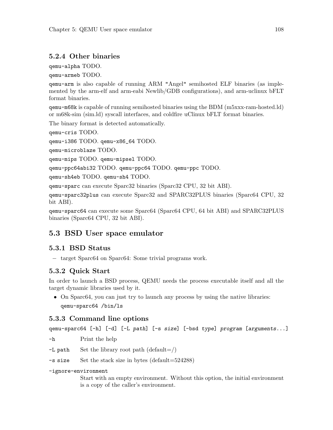#### <span id="page-111-0"></span>5.2.4 Other binaries

qemu-alpha TODO.

qemu-armeb TODO.

qemu-arm is also capable of running ARM "Angel" semihosted ELF binaries (as implemented by the arm-elf and arm-eabi Newlib/GDB configurations), and arm-uclinux bFLT format binaries.

qemu-m68k is capable of running semihosted binaries using the BDM (m5xxx-ram-hosted.ld) or m68k-sim (sim.ld) syscall interfaces, and coldfire uClinux bFLT format binaries.

The binary format is detected automatically.

qemu-cris TODO.

qemu-i386 TODO. qemu-x86\_64 TODO.

qemu-microblaze TODO.

qemu-mips TODO. qemu-mipsel TODO.

qemu-ppc64abi32 TODO. qemu-ppc64 TODO. qemu-ppc TODO.

```
qemu-sh4eb TODO. qemu-sh4 TODO.
```
qemu-sparc can execute Sparc32 binaries (Sparc32 CPU, 32 bit ABI).

qemu-sparc32plus can execute Sparc32 and SPARC32PLUS binaries (Sparc64 CPU, 32 bit ABI).

qemu-sparc64 can execute some Sparc64 (Sparc64 CPU, 64 bit ABI) and SPARC32PLUS binaries (Sparc64 CPU, 32 bit ABI).

#### 5.3 BSD User space emulator

#### 5.3.1 BSD Status

− target Sparc64 on Sparc64: Some trivial programs work.

#### 5.3.2 Quick Start

In order to launch a BSD process, QEMU needs the process executable itself and all the target dynamic libraries used by it.

• On Sparc64, you can just try to launch any process by using the native libraries: qemu-sparc64 /bin/ls

#### 5.3.3 Command line options

qemu-sparc64 [-h] [-d] [-L path] [-s size] [-bsd type] program [arguments...]

-h Print the help

 $-L$  path Set the library root path (default=/)

 $\text{-s size}$  Set the stack size in bytes (default=524288)

#### -ignore-environment

Start with an empty environment. Without this option, the initial environment is a copy of the caller's environment.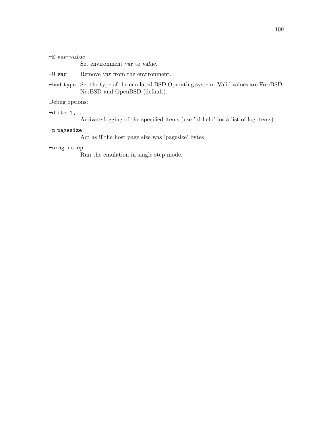#### -E var=value

Set environment var to value.

- -U var Remove var from the environment.
- -bsd type Set the type of the emulated BSD Operating system. Valid values are FreeBSD, NetBSD and OpenBSD (default).

Debug options:

#### $-d$  item $1, \ldots$

Activate logging of the specified items (use '-d help' for a list of log items)

#### -p pagesize

Act as if the host page size was 'pagesize' bytes

#### -singlestep

Run the emulation in single step mode.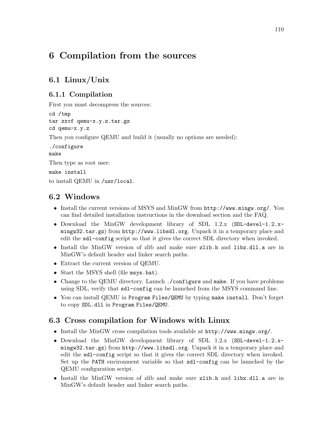# 6 Compilation from the sources

## 6.1 Linux/Unix

### 6.1.1 Compilation

First you must decompress the sources:

```
cd /tmp
tar zxvf qemu-x.y.z.tar.gz
cd qemu-x.y.z
```
Then you configure QEMU and build it (usually no options are needed):

```
./configure
make
```
Then type as root user:

make install

to install QEMU in /usr/local.

## 6.2 Windows

- Install the current versions of MSYS and MinGW from <http://www.mingw.org/>. You can find detailed installation instructions in the download section and the FAQ.
- Download the MinGW development library of SDL 1.2.x (SDL-devel-1.2.xmingw32.tar.gz) from <http://www.libsdl.org>. Unpack it in a temporary place and edit the sdl-config script so that it gives the correct SDL directory when invoked.
- Install the MinGW version of zlib and make sure zlib.h and libz.dll.a are in MinGW's default header and linker search paths.
- Extract the current version of QEMU.
- Start the MSYS shell (file msys.bat).
- Change to the QEMU directory. Launch ./configure and make. If you have problems using SDL, verify that sdl-config can be launched from the MSYS command line.
- You can install QEMU in Program Files/QEMU by typing make install. Don't forget to copy SDL.dll in Program Files/QEMU.

## 6.3 Cross compilation for Windows with Linux

- Install the MinGW cross compilation tools available at <http://www.mingw.org/>.
- Download the MinGW development library of SDL 1.2.x (SDL-devel-1.2.xmingw32.tar.gz) from <http://www.libsdl.org>. Unpack it in a temporary place and edit the sdl-config script so that it gives the correct SDL directory when invoked. Set up the PATH environment variable so that sdl-config can be launched by the QEMU configuration script.
- Install the MinGW version of zlib and make sure zlib.h and libz.dll.a are in MinGW's default header and linker search paths.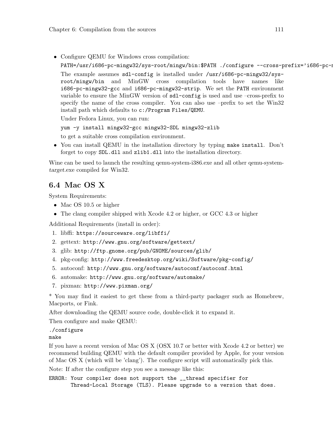• Configure QEMU for Windows cross compilation:

```
PATH=/usr/i686-pc-mingw32/sys-root/mingw/bin:$PATH ./configure --cross-prefix='i686-pc-
```
The example assumes sdl-config is installed under /usr/i686-pc-mingw32/sysroot/mingw/bin and MinGW cross compilation tools have names like i686-pc-mingw32-gcc and i686-pc-mingw32-strip. We set the PATH environment variable to ensure the MinGW version of  $sd1$ -config is used and use -cross-prefix to specify the name of the cross compiler. You can also use –prefix to set the Win32 install path which defaults to c:/Program Files/QEMU.

Under Fedora Linux, you can run:

yum -y install mingw32-gcc mingw32-SDL mingw32-zlib

to get a suitable cross compilation environment.

• You can install QEMU in the installation directory by typing make install. Don't forget to copy SDL.dll and zlib1.dll into the installation directory.

Wine can be used to launch the resulting qemu-system-i386.exe and all other qemu-systemtarget.exe compiled for Win32.

#### 6.4 Mac OS X

System Requirements:

- Mac OS 10.5 or higher
- The clang compiler shipped with Xcode 4.2 or higher, or GCC 4.3 or higher

Additional Requirements (install in order):

- 1. libffi: <https://sourceware.org/libffi/>
- 2. gettext: <http://www.gnu.org/software/gettext/>
- 3. glib: <http://ftp.gnome.org/pub/GNOME/sources/glib/>
- 4. pkg-config: <http://www.freedesktop.org/wiki/Software/pkg-config/>
- 5. autoconf: <http://www.gnu.org/software/autoconf/autoconf.html>
- 6. automake: <http://www.gnu.org/software/automake/>
- 7. pixman: <http://www.pixman.org/>

\* You may find it easiest to get these from a third-party packager such as Homebrew, Macports, or Fink.

After downloading the QEMU source code, double-click it to expand it.

Then configure and make QEMU:

./configure

make

If you have a recent version of Mac OS X (OSX 10.7 or better with Xcode 4.2 or better) we recommend building QEMU with the default compiler provided by Apple, for your version of Mac OS X (which will be 'clang'). The configure script will automatically pick this.

Note: If after the configure step you see a message like this:

ERROR: Your compiler does not support the \_\_thread specifier for Thread-Local Storage (TLS). Please upgrade to a version that does.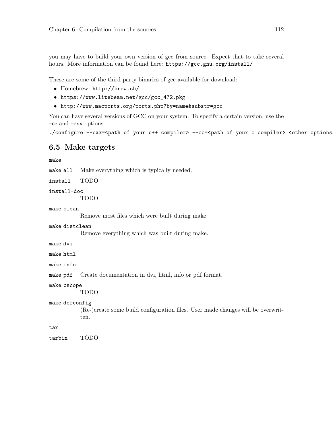you may have to build your own version of gcc from source. Expect that to take several hours. More information can be found here: <https://gcc.gnu.org/install/>

These are some of the third party binaries of gcc available for download:

- Homebrew: <http://brew.sh/>
- [https://www.litebeam.net/gcc/gcc\\_472.pkg](https://www.litebeam.net/gcc/gcc_472.pkg)
- <http://www.macports.org/ports.php?by=name&substr=gcc>

You can have several versions of GCC on your system. To specify a certain version, use the –cc and –cxx options.

```
./configure --cxx=<path of your c++ compiler> --cc=<path of your c compiler> <other options
```
### 6.5 Make targets

#### make

make all Make everything which is typically needed.

install TODO

install-doc

TODO

#### make clean

Remove most files which were built during make.

make distclean

Remove everything which was built during make.

make dvi

make html

make info

make pdf Create documentation in dvi, html, info or pdf format.

make cscope

TODO

make defconfig

(Re-)create some build configuration files. User made changes will be overwritten.

tar

tarbin TODO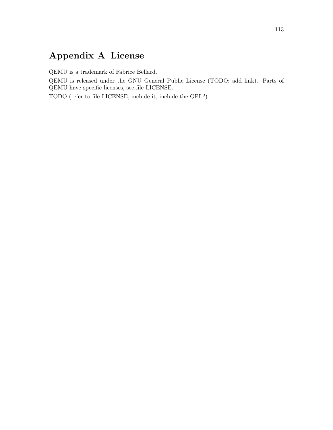# Appendix A License

QEMU is a trademark of Fabrice Bellard.

QEMU is released under the GNU General Public License (TODO: add link). Parts of QEMU have specific licenses, see file LICENSE.

TODO (refer to file LICENSE, include it, include the GPL?)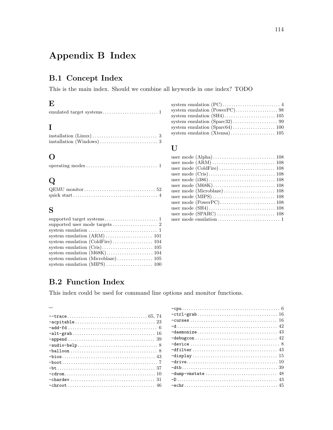# Appendix B Index

### B.1 Concept Index

This is the main index. Should we combine all keywords in one index? TODO

#### E

|--|--|--|--|

### I

### O

|--|--|

### Q

### S

| system emulation $\dots\dots\dots\dots\dots\dots\dots\dots\dots\dots\dots$ |
|----------------------------------------------------------------------------|
|                                                                            |
|                                                                            |
|                                                                            |
|                                                                            |
|                                                                            |
|                                                                            |

#### system emulation (PC). . . . . . . . . . . . . . . . . . . . . . . . . . [4](#page-7-0) system emulation (PowerPC). . . . . . . . . . . . . . . . . . . [98](#page-101-0) system emulation (SH4). . . . . . . . . . . . . . . . . . . . . . . [105](#page-108-0) system emulation (Sparc32) . . . . . . . . . . . . . . . . . . . . [99](#page-102-0) system emulation (Sparc64). . . . . . . . . . . . . . . . . . [100](#page-103-0) system emulation (Xtensa). . . . . . . . . . . . . . . . . . . . [105](#page-108-0)

### U

## B.2 Function Index

This index could be used for command line options and monitor functions.

| $-dfilter \dots \dots \dots \dots \dots \dots \dots \dots \dots \dots \dots \dots \ 43$ |
|-----------------------------------------------------------------------------------------|
|                                                                                         |
|                                                                                         |
|                                                                                         |
|                                                                                         |
|                                                                                         |
|                                                                                         |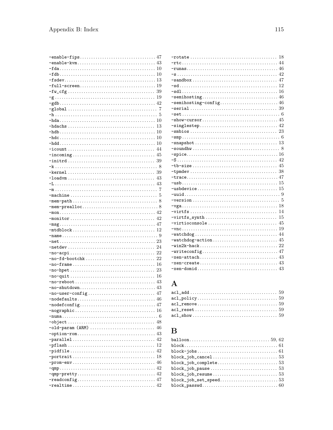| $-full\text{-}screen \ldots \ldots \ldots \ldots \ldots \ldots \ldots \ldots \ldots \ldots 19$                                                                                                                                                                                                                                                                                                                                          |    |
|-----------------------------------------------------------------------------------------------------------------------------------------------------------------------------------------------------------------------------------------------------------------------------------------------------------------------------------------------------------------------------------------------------------------------------------------|----|
|                                                                                                                                                                                                                                                                                                                                                                                                                                         |    |
|                                                                                                                                                                                                                                                                                                                                                                                                                                         |    |
|                                                                                                                                                                                                                                                                                                                                                                                                                                         |    |
|                                                                                                                                                                                                                                                                                                                                                                                                                                         |    |
|                                                                                                                                                                                                                                                                                                                                                                                                                                         |    |
|                                                                                                                                                                                                                                                                                                                                                                                                                                         |    |
|                                                                                                                                                                                                                                                                                                                                                                                                                                         | 13 |
|                                                                                                                                                                                                                                                                                                                                                                                                                                         |    |
|                                                                                                                                                                                                                                                                                                                                                                                                                                         |    |
|                                                                                                                                                                                                                                                                                                                                                                                                                                         |    |
|                                                                                                                                                                                                                                                                                                                                                                                                                                         |    |
| $-icount \ldots \ldots \ldots \ldots \ldots \ldots \ldots \ldots \ldots \ldots \ldots$                                                                                                                                                                                                                                                                                                                                                  | 44 |
|                                                                                                                                                                                                                                                                                                                                                                                                                                         |    |
|                                                                                                                                                                                                                                                                                                                                                                                                                                         |    |
|                                                                                                                                                                                                                                                                                                                                                                                                                                         |    |
|                                                                                                                                                                                                                                                                                                                                                                                                                                         |    |
|                                                                                                                                                                                                                                                                                                                                                                                                                                         | 43 |
|                                                                                                                                                                                                                                                                                                                                                                                                                                         |    |
|                                                                                                                                                                                                                                                                                                                                                                                                                                         |    |
|                                                                                                                                                                                                                                                                                                                                                                                                                                         | 5  |
|                                                                                                                                                                                                                                                                                                                                                                                                                                         |    |
|                                                                                                                                                                                                                                                                                                                                                                                                                                         |    |
|                                                                                                                                                                                                                                                                                                                                                                                                                                         |    |
|                                                                                                                                                                                                                                                                                                                                                                                                                                         |    |
|                                                                                                                                                                                                                                                                                                                                                                                                                                         |    |
|                                                                                                                                                                                                                                                                                                                                                                                                                                         |    |
|                                                                                                                                                                                                                                                                                                                                                                                                                                         |    |
| $\texttt{-net}\dots\dots\dots\dots\dots\dots\dots\dots\dots\dots\dots\dots\dots\dots\ 23$                                                                                                                                                                                                                                                                                                                                               |    |
|                                                                                                                                                                                                                                                                                                                                                                                                                                         |    |
|                                                                                                                                                                                                                                                                                                                                                                                                                                         |    |
|                                                                                                                                                                                                                                                                                                                                                                                                                                         |    |
|                                                                                                                                                                                                                                                                                                                                                                                                                                         |    |
|                                                                                                                                                                                                                                                                                                                                                                                                                                         |    |
|                                                                                                                                                                                                                                                                                                                                                                                                                                         |    |
|                                                                                                                                                                                                                                                                                                                                                                                                                                         |    |
|                                                                                                                                                                                                                                                                                                                                                                                                                                         |    |
|                                                                                                                                                                                                                                                                                                                                                                                                                                         |    |
| $-no-user-config \ldots \ldots \ldots \ldots \ldots \ldots \ldots \ldots \ldots \ldots \qquad 47$                                                                                                                                                                                                                                                                                                                                       |    |
|                                                                                                                                                                                                                                                                                                                                                                                                                                         |    |
|                                                                                                                                                                                                                                                                                                                                                                                                                                         |    |
|                                                                                                                                                                                                                                                                                                                                                                                                                                         |    |
|                                                                                                                                                                                                                                                                                                                                                                                                                                         |    |
|                                                                                                                                                                                                                                                                                                                                                                                                                                         | 48 |
|                                                                                                                                                                                                                                                                                                                                                                                                                                         | 46 |
|                                                                                                                                                                                                                                                                                                                                                                                                                                         |    |
|                                                                                                                                                                                                                                                                                                                                                                                                                                         |    |
|                                                                                                                                                                                                                                                                                                                                                                                                                                         | 12 |
|                                                                                                                                                                                                                                                                                                                                                                                                                                         | 42 |
| $\hspace*{20mm}- \hspace*{1mm}\texttt{portrait}\hspace*{1mm}\ldots\hspace*{1mm}\ldots\hspace*{1mm}\ldots\hspace*{1mm}\ldots\hspace*{1mm}\ldots\hspace*{1mm}\ldots\hspace*{1mm}\ldots\hspace*{1mm}\ldots\hspace*{1mm}\ldots\hspace*{1mm}\ldots\hspace*{1mm}\ldots\hspace*{1mm}\ldots\hspace*{1mm}\ldots\hspace*{1mm}\ldots\hspace*{1mm}\ldots\hspace*{1mm}\ldots\hspace*{1mm}\ldots\hspace*{1mm}\ldots\hspace*{1mm}\ldots\hspace*{1mm}\$ | 18 |
|                                                                                                                                                                                                                                                                                                                                                                                                                                         | 46 |
|                                                                                                                                                                                                                                                                                                                                                                                                                                         |    |
|                                                                                                                                                                                                                                                                                                                                                                                                                                         |    |
|                                                                                                                                                                                                                                                                                                                                                                                                                                         |    |
|                                                                                                                                                                                                                                                                                                                                                                                                                                         |    |
|                                                                                                                                                                                                                                                                                                                                                                                                                                         |    |

|                                                                                                     | 18 |
|-----------------------------------------------------------------------------------------------------|----|
|                                                                                                     | 44 |
|                                                                                                     |    |
|                                                                                                     |    |
|                                                                                                     |    |
|                                                                                                     | 12 |
|                                                                                                     |    |
|                                                                                                     |    |
|                                                                                                     |    |
|                                                                                                     |    |
|                                                                                                     |    |
|                                                                                                     |    |
| $-singlestep \ldots \ldots \ldots \ldots \ldots \ldots \ldots \ldots \ldots \ldots \ldots \cdot 42$ |    |
|                                                                                                     |    |
|                                                                                                     |    |
|                                                                                                     |    |
|                                                                                                     |    |
|                                                                                                     |    |
|                                                                                                     | 42 |
|                                                                                                     |    |
|                                                                                                     |    |
|                                                                                                     |    |
|                                                                                                     |    |
|                                                                                                     |    |
|                                                                                                     |    |
|                                                                                                     |    |
|                                                                                                     |    |
|                                                                                                     | 14 |
| $-virts$ _synth                                                                                     | 15 |
| -virtioconsole                                                                                      | 45 |
|                                                                                                     |    |
|                                                                                                     |    |
|                                                                                                     |    |
|                                                                                                     |    |
|                                                                                                     |    |
|                                                                                                     |    |
|                                                                                                     |    |
|                                                                                                     |    |

# ${\bf A}$

| $\texttt{acl\_policy} \ldots \ldots \ldots \ldots \ldots \ldots \ldots \ldots \ldots \ldots \ldots 59$ |  |
|--------------------------------------------------------------------------------------------------------|--|
|                                                                                                        |  |
| $\texttt{acl\_reset} \ldots \ldots \ldots \ldots \ldots \ldots \ldots \ldots \ldots \ldots \ldots 59$  |  |
| $\texttt{acl\_show} \ldots \ldots \ldots \ldots \ldots \ldots \ldots \ldots \ldots \ldots \ldots 59$   |  |

# $\, {\bf B}$

| $block\_job\_pause \ldots \ldots \ldots \ldots \ldots \ldots \ldots \ldots \ldots 53$ |
|---------------------------------------------------------------------------------------|
|                                                                                       |
| $block_job_set_speed \ldots \ldots \ldots \ldots \ldots \ldots 53$                    |
|                                                                                       |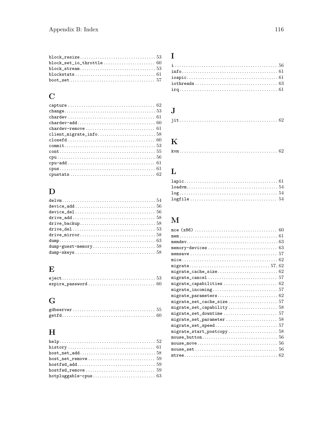# $\mathbf C$

# $\mathbf D$

| $dump-guest-memory \ldots \ldots \ldots \ldots \ldots \ldots \ldots \ldots \ldots 58$ |
|---------------------------------------------------------------------------------------|
|                                                                                       |
|                                                                                       |

# $\bf{E}$

# $\mathbf G$

# $\mathbf H$

| $host\_net\_remove \ldots \ldots \ldots \ldots \ldots \ldots \ldots \ldots 59$ |  |
|--------------------------------------------------------------------------------|--|
|                                                                                |  |
|                                                                                |  |
|                                                                                |  |

# $\mathbf I$

# $\mathbf{J}$

|  | $\cdot$ $\cdot$ $\cdot$ |  |  |  |
|--|-------------------------|--|--|--|
|--|-------------------------|--|--|--|

# $\mathbf K$

|--|--|

# $\mathbf L$

# $\mathbf{M}$

| ${\tt mem} \dots \dots \dots \dots \dots \dots \dots \dots \dots \dots \dots \dots \dots \dots \dots \61$ |
|-----------------------------------------------------------------------------------------------------------|
| ${\tt memdev.}\dots\dots\dots\dots\dots\dots\dots\dots\dots\dots\dots\dots\dots\ 63$                      |
|                                                                                                           |
|                                                                                                           |
|                                                                                                           |
|                                                                                                           |
|                                                                                                           |
|                                                                                                           |
|                                                                                                           |
|                                                                                                           |
|                                                                                                           |
|                                                                                                           |
|                                                                                                           |
|                                                                                                           |
| $\mathtt{migrate\_set\_parameter}\dots\dots\dots\dots\dots\dots\dots58$                                   |
|                                                                                                           |
|                                                                                                           |
| ${\tt mouse\_button.}\dots\dots\dots\dots\dots\dots\dots\dots\dots\dots\dots56$                           |
| $\mathtt{mouse\_move}\dots\dots\dots\dots\dots\dots\dots\dots\dots\dots56$                                |
|                                                                                                           |
|                                                                                                           |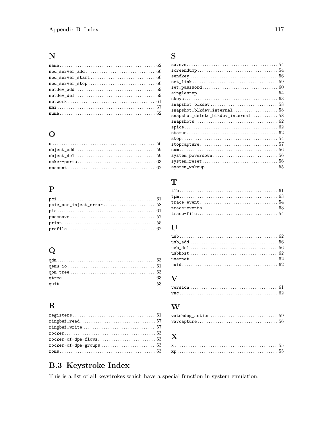## $\mathbf N$

## $\mathbf O$

## ${\bf P}$

# $\bf Q$

## ${\bf R}$

| $ringbut_write \ldots \ldots \ldots \ldots \ldots \ldots \ldots \ldots \ldots 57$                                 |  |
|-------------------------------------------------------------------------------------------------------------------|--|
|                                                                                                                   |  |
|                                                                                                                   |  |
| $rocket-of-dpa-groups \ldots \ldots \ldots \ldots \ldots \ldots \ldots \ldots \ldots \ldots \ldots \ldots \ldots$ |  |
|                                                                                                                   |  |

## ${\bf S}$

| $snapshot\_delete\_blkdev\_internal$ 58 |  |
|-----------------------------------------|--|
|                                         |  |
|                                         |  |
|                                         |  |
|                                         |  |
|                                         |  |
|                                         |  |
|                                         |  |
|                                         |  |
|                                         |  |
|                                         |  |

## $\mathbf T$

## $\mathbf U$

## $\mathbf{V}$

## $\mathbf{W}$

# $\mathbf X$

## **B.3 Keystroke Index**

This is a list of all keystrokes which have a special function in system emulation.